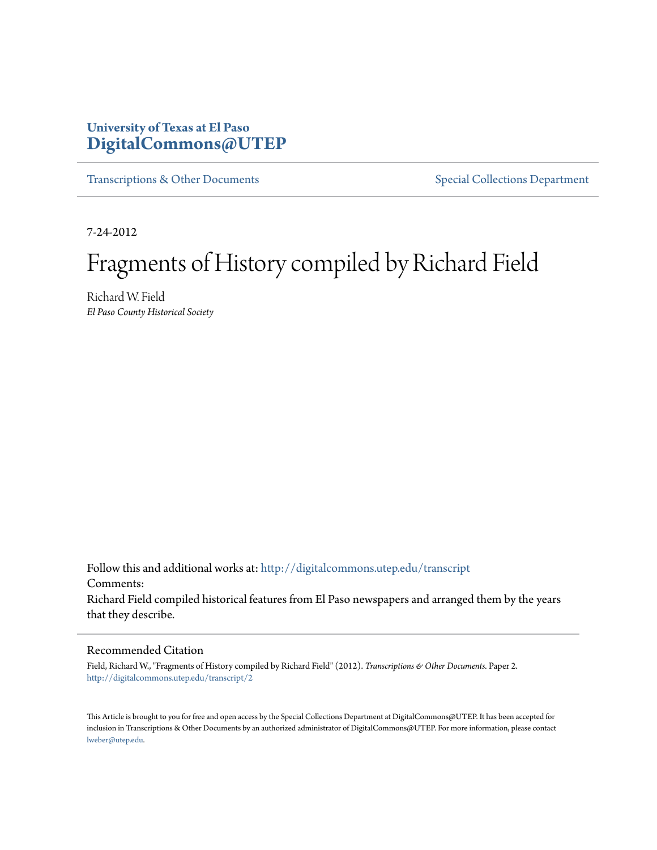## **University of Texas at El Paso [DigitalCommons@UTEP](http://digitalcommons.utep.edu?utm_source=digitalcommons.utep.edu%2Ftranscript%2F2&utm_medium=PDF&utm_campaign=PDFCoverPages)**

[Transcriptions & Other Documents](http://digitalcommons.utep.edu/transcript?utm_source=digitalcommons.utep.edu%2Ftranscript%2F2&utm_medium=PDF&utm_campaign=PDFCoverPages) [Special Collections Department](http://digitalcommons.utep.edu/spec_coll?utm_source=digitalcommons.utep.edu%2Ftranscript%2F2&utm_medium=PDF&utm_campaign=PDFCoverPages)

7-24-2012

# Fragments of History compiled by Richard Field

Richard W. Field *El Paso County Historical Society*

Follow this and additional works at: [http://digitalcommons.utep.edu/transcript](http://digitalcommons.utep.edu/transcript?utm_source=digitalcommons.utep.edu%2Ftranscript%2F2&utm_medium=PDF&utm_campaign=PDFCoverPages) Comments: Richard Field compiled historical features from El Paso newspapers and arranged them by the years that they describe.

#### Recommended Citation

Field, Richard W., "Fragments of History compiled by Richard Field" (2012). *Transcriptions & Other Documents.* Paper 2. [http://digitalcommons.utep.edu/transcript/2](http://digitalcommons.utep.edu/transcript/2?utm_source=digitalcommons.utep.edu%2Ftranscript%2F2&utm_medium=PDF&utm_campaign=PDFCoverPages)

This Article is brought to you for free and open access by the Special Collections Department at DigitalCommons@UTEP. It has been accepted for inclusion in Transcriptions & Other Documents by an authorized administrator of DigitalCommons@UTEP. For more information, please contact [lweber@utep.edu](mailto:lweber@utep.edu).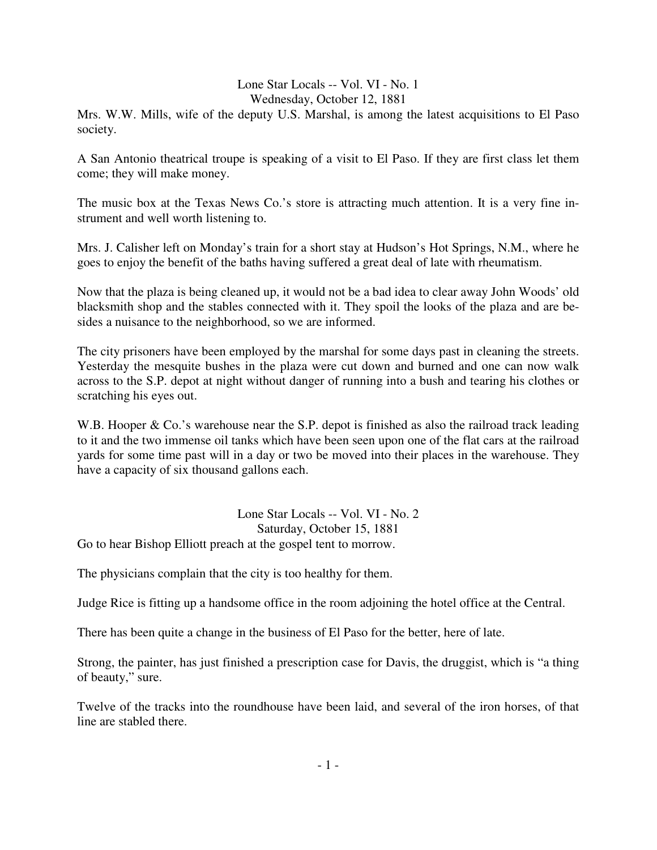#### Lone Star Locals -- Vol. VI - No. 1 Wednesday, October 12, 1881

Mrs. W.W. Mills, wife of the deputy U.S. Marshal, is among the latest acquisitions to El Paso society.

A San Antonio theatrical troupe is speaking of a visit to El Paso. If they are first class let them come; they will make money.

The music box at the Texas News Co.'s store is attracting much attention. It is a very fine instrument and well worth listening to.

Mrs. J. Calisher left on Monday's train for a short stay at Hudson's Hot Springs, N.M., where he goes to enjoy the benefit of the baths having suffered a great deal of late with rheumatism.

Now that the plaza is being cleaned up, it would not be a bad idea to clear away John Woods' old blacksmith shop and the stables connected with it. They spoil the looks of the plaza and are besides a nuisance to the neighborhood, so we are informed.

The city prisoners have been employed by the marshal for some days past in cleaning the streets. Yesterday the mesquite bushes in the plaza were cut down and burned and one can now walk across to the S.P. depot at night without danger of running into a bush and tearing his clothes or scratching his eyes out.

W.B. Hooper & Co.'s warehouse near the S.P. depot is finished as also the railroad track leading to it and the two immense oil tanks which have been seen upon one of the flat cars at the railroad yards for some time past will in a day or two be moved into their places in the warehouse. They have a capacity of six thousand gallons each.

Lone Star Locals -- Vol. VI - No. 2 Saturday, October 15, 1881 Go to hear Bishop Elliott preach at the gospel tent to morrow.

The physicians complain that the city is too healthy for them.

Judge Rice is fitting up a handsome office in the room adjoining the hotel office at the Central.

There has been quite a change in the business of El Paso for the better, here of late.

Strong, the painter, has just finished a prescription case for Davis, the druggist, which is "a thing of beauty," sure.

Twelve of the tracks into the roundhouse have been laid, and several of the iron horses, of that line are stabled there.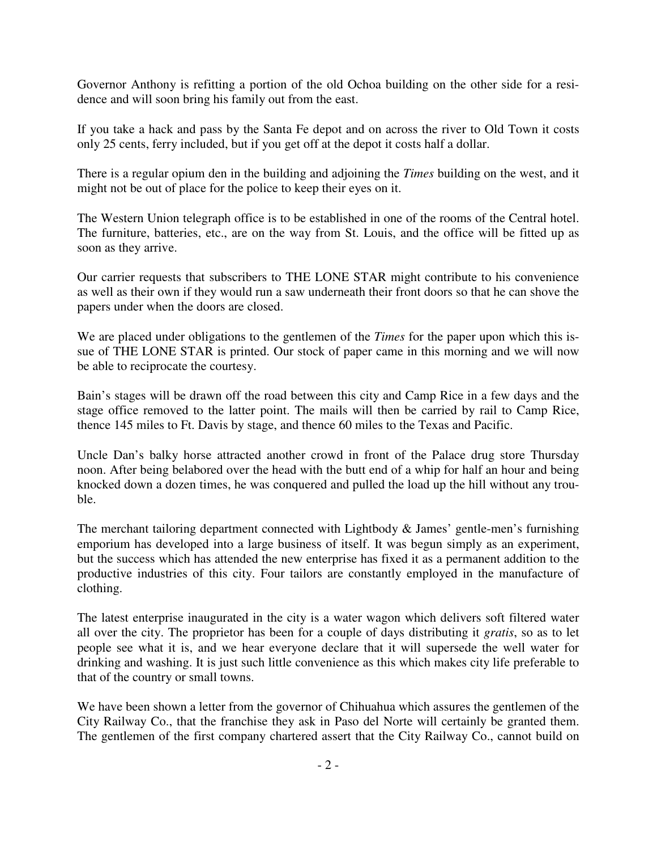Governor Anthony is refitting a portion of the old Ochoa building on the other side for a residence and will soon bring his family out from the east.

If you take a hack and pass by the Santa Fe depot and on across the river to Old Town it costs only 25 cents, ferry included, but if you get off at the depot it costs half a dollar.

There is a regular opium den in the building and adjoining the *Times* building on the west, and it might not be out of place for the police to keep their eyes on it.

The Western Union telegraph office is to be established in one of the rooms of the Central hotel. The furniture, batteries, etc., are on the way from St. Louis, and the office will be fitted up as soon as they arrive.

Our carrier requests that subscribers to THE LONE STAR might contribute to his convenience as well as their own if they would run a saw underneath their front doors so that he can shove the papers under when the doors are closed.

We are placed under obligations to the gentlemen of the *Times* for the paper upon which this issue of THE LONE STAR is printed. Our stock of paper came in this morning and we will now be able to reciprocate the courtesy.

Bain's stages will be drawn off the road between this city and Camp Rice in a few days and the stage office removed to the latter point. The mails will then be carried by rail to Camp Rice, thence 145 miles to Ft. Davis by stage, and thence 60 miles to the Texas and Pacific.

Uncle Dan's balky horse attracted another crowd in front of the Palace drug store Thursday noon. After being belabored over the head with the butt end of a whip for half an hour and being knocked down a dozen times, he was conquered and pulled the load up the hill without any trouble.

The merchant tailoring department connected with Lightbody & James' gentle-men's furnishing emporium has developed into a large business of itself. It was begun simply as an experiment, but the success which has attended the new enterprise has fixed it as a permanent addition to the productive industries of this city. Four tailors are constantly employed in the manufacture of clothing.

The latest enterprise inaugurated in the city is a water wagon which delivers soft filtered water all over the city. The proprietor has been for a couple of days distributing it *gratis*, so as to let people see what it is, and we hear everyone declare that it will supersede the well water for drinking and washing. It is just such little convenience as this which makes city life preferable to that of the country or small towns.

We have been shown a letter from the governor of Chihuahua which assures the gentlemen of the City Railway Co., that the franchise they ask in Paso del Norte will certainly be granted them. The gentlemen of the first company chartered assert that the City Railway Co., cannot build on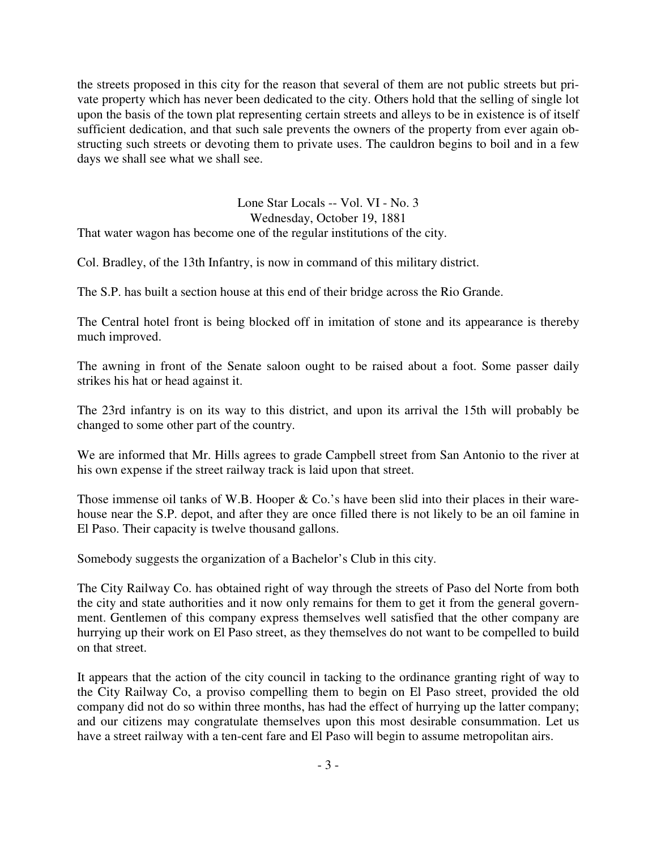the streets proposed in this city for the reason that several of them are not public streets but private property which has never been dedicated to the city. Others hold that the selling of single lot upon the basis of the town plat representing certain streets and alleys to be in existence is of itself sufficient dedication, and that such sale prevents the owners of the property from ever again obstructing such streets or devoting them to private uses. The cauldron begins to boil and in a few days we shall see what we shall see.

Lone Star Locals -- Vol. VI - No. 3 Wednesday, October 19, 1881 That water wagon has become one of the regular institutions of the city.

Col. Bradley, of the 13th Infantry, is now in command of this military district.

The S.P. has built a section house at this end of their bridge across the Rio Grande.

The Central hotel front is being blocked off in imitation of stone and its appearance is thereby much improved.

The awning in front of the Senate saloon ought to be raised about a foot. Some passer daily strikes his hat or head against it.

The 23rd infantry is on its way to this district, and upon its arrival the 15th will probably be changed to some other part of the country.

We are informed that Mr. Hills agrees to grade Campbell street from San Antonio to the river at his own expense if the street railway track is laid upon that street.

Those immense oil tanks of W.B. Hooper & Co.'s have been slid into their places in their warehouse near the S.P. depot, and after they are once filled there is not likely to be an oil famine in El Paso. Their capacity is twelve thousand gallons.

Somebody suggests the organization of a Bachelor's Club in this city.

The City Railway Co. has obtained right of way through the streets of Paso del Norte from both the city and state authorities and it now only remains for them to get it from the general government. Gentlemen of this company express themselves well satisfied that the other company are hurrying up their work on El Paso street, as they themselves do not want to be compelled to build on that street.

It appears that the action of the city council in tacking to the ordinance granting right of way to the City Railway Co, a proviso compelling them to begin on El Paso street, provided the old company did not do so within three months, has had the effect of hurrying up the latter company; and our citizens may congratulate themselves upon this most desirable consummation. Let us have a street railway with a ten-cent fare and El Paso will begin to assume metropolitan airs.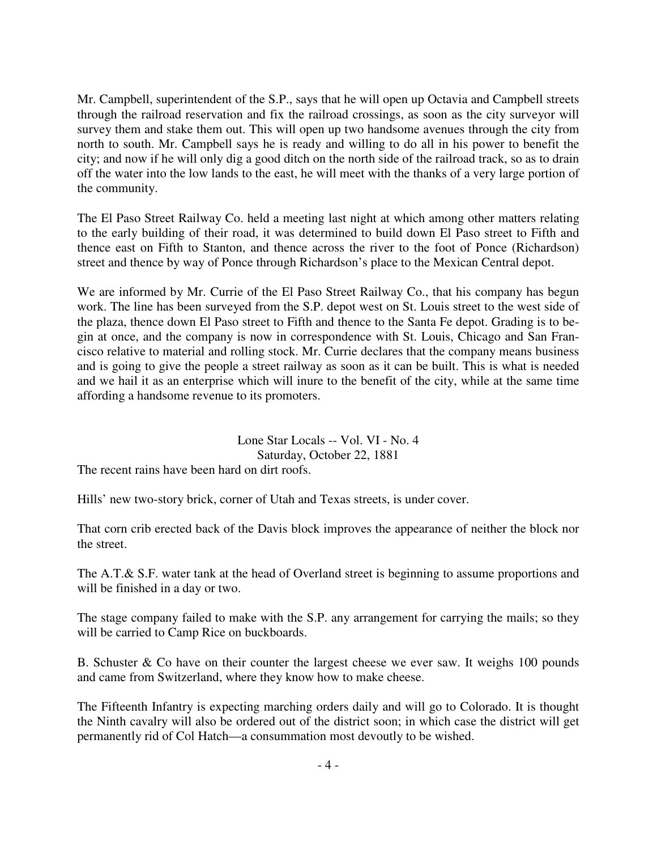Mr. Campbell, superintendent of the S.P., says that he will open up Octavia and Campbell streets through the railroad reservation and fix the railroad crossings, as soon as the city surveyor will survey them and stake them out. This will open up two handsome avenues through the city from north to south. Mr. Campbell says he is ready and willing to do all in his power to benefit the city; and now if he will only dig a good ditch on the north side of the railroad track, so as to drain off the water into the low lands to the east, he will meet with the thanks of a very large portion of the community.

The El Paso Street Railway Co. held a meeting last night at which among other matters relating to the early building of their road, it was determined to build down El Paso street to Fifth and thence east on Fifth to Stanton, and thence across the river to the foot of Ponce (Richardson) street and thence by way of Ponce through Richardson's place to the Mexican Central depot.

We are informed by Mr. Currie of the El Paso Street Railway Co., that his company has begun work. The line has been surveyed from the S.P. depot west on St. Louis street to the west side of the plaza, thence down El Paso street to Fifth and thence to the Santa Fe depot. Grading is to begin at once, and the company is now in correspondence with St. Louis, Chicago and San Francisco relative to material and rolling stock. Mr. Currie declares that the company means business and is going to give the people a street railway as soon as it can be built. This is what is needed and we hail it as an enterprise which will inure to the benefit of the city, while at the same time affording a handsome revenue to its promoters.

## Lone Star Locals -- Vol. VI - No. 4 Saturday, October 22, 1881

The recent rains have been hard on dirt roofs.

Hills' new two-story brick, corner of Utah and Texas streets, is under cover.

That corn crib erected back of the Davis block improves the appearance of neither the block nor the street.

The A.T.& S.F. water tank at the head of Overland street is beginning to assume proportions and will be finished in a day or two.

The stage company failed to make with the S.P. any arrangement for carrying the mails; so they will be carried to Camp Rice on buckboards.

B. Schuster & Co have on their counter the largest cheese we ever saw. It weighs 100 pounds and came from Switzerland, where they know how to make cheese.

The Fifteenth Infantry is expecting marching orders daily and will go to Colorado. It is thought the Ninth cavalry will also be ordered out of the district soon; in which case the district will get permanently rid of Col Hatch—a consummation most devoutly to be wished.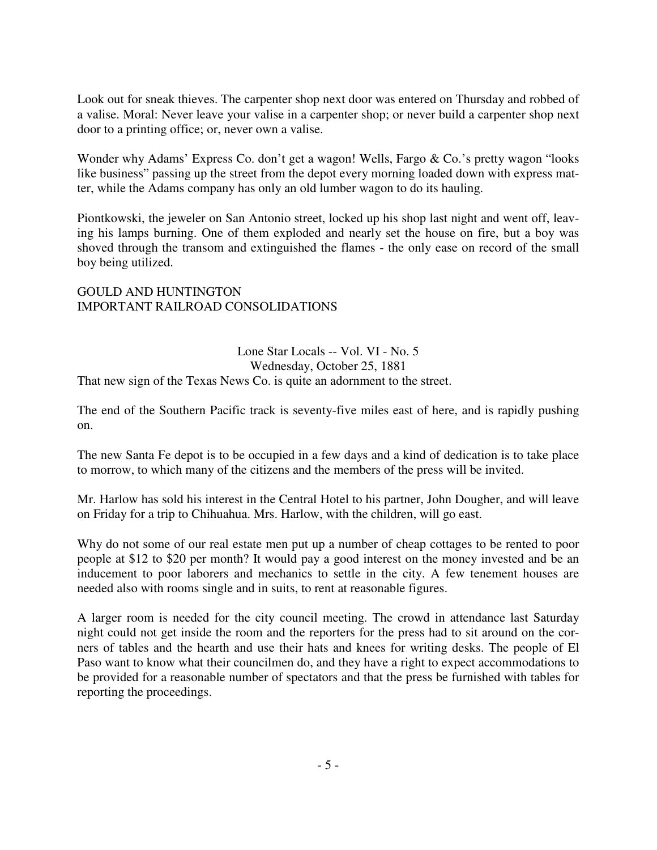Look out for sneak thieves. The carpenter shop next door was entered on Thursday and robbed of a valise. Moral: Never leave your valise in a carpenter shop; or never build a carpenter shop next door to a printing office; or, never own a valise.

Wonder why Adams' Express Co. don't get a wagon! Wells, Fargo & Co.'s pretty wagon "looks like business" passing up the street from the depot every morning loaded down with express matter, while the Adams company has only an old lumber wagon to do its hauling.

Piontkowski, the jeweler on San Antonio street, locked up his shop last night and went off, leaving his lamps burning. One of them exploded and nearly set the house on fire, but a boy was shoved through the transom and extinguished the flames - the only ease on record of the small boy being utilized.

## GOULD AND HUNTINGTON IMPORTANT RAILROAD CONSOLIDATIONS

Lone Star Locals -- Vol. VI - No. 5 Wednesday, October 25, 1881 That new sign of the Texas News Co. is quite an adornment to the street.

The end of the Southern Pacific track is seventy-five miles east of here, and is rapidly pushing on.

The new Santa Fe depot is to be occupied in a few days and a kind of dedication is to take place to morrow, to which many of the citizens and the members of the press will be invited.

Mr. Harlow has sold his interest in the Central Hotel to his partner, John Dougher, and will leave on Friday for a trip to Chihuahua. Mrs. Harlow, with the children, will go east.

Why do not some of our real estate men put up a number of cheap cottages to be rented to poor people at \$12 to \$20 per month? It would pay a good interest on the money invested and be an inducement to poor laborers and mechanics to settle in the city. A few tenement houses are needed also with rooms single and in suits, to rent at reasonable figures.

A larger room is needed for the city council meeting. The crowd in attendance last Saturday night could not get inside the room and the reporters for the press had to sit around on the corners of tables and the hearth and use their hats and knees for writing desks. The people of El Paso want to know what their councilmen do, and they have a right to expect accommodations to be provided for a reasonable number of spectators and that the press be furnished with tables for reporting the proceedings.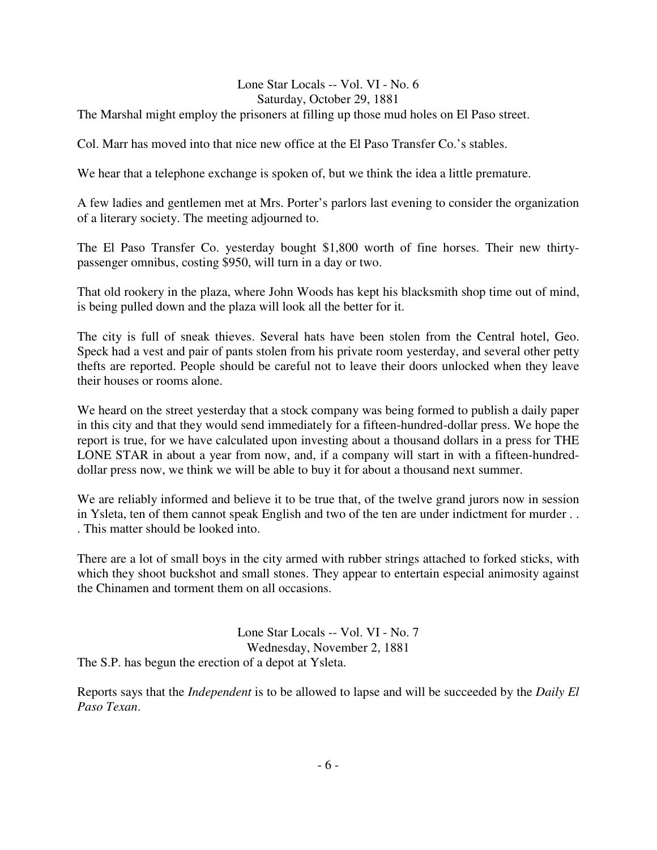#### Lone Star Locals -- Vol. VI - No. 6 Saturday, October 29, 1881

The Marshal might employ the prisoners at filling up those mud holes on El Paso street.

Col. Marr has moved into that nice new office at the El Paso Transfer Co.'s stables.

We hear that a telephone exchange is spoken of, but we think the idea a little premature.

A few ladies and gentlemen met at Mrs. Porter's parlors last evening to consider the organization of a literary society. The meeting adjourned to.

The El Paso Transfer Co. yesterday bought \$1,800 worth of fine horses. Their new thirtypassenger omnibus, costing \$950, will turn in a day or two.

That old rookery in the plaza, where John Woods has kept his blacksmith shop time out of mind, is being pulled down and the plaza will look all the better for it.

The city is full of sneak thieves. Several hats have been stolen from the Central hotel, Geo. Speck had a vest and pair of pants stolen from his private room yesterday, and several other petty thefts are reported. People should be careful not to leave their doors unlocked when they leave their houses or rooms alone.

We heard on the street yesterday that a stock company was being formed to publish a daily paper in this city and that they would send immediately for a fifteen-hundred-dollar press. We hope the report is true, for we have calculated upon investing about a thousand dollars in a press for THE LONE STAR in about a year from now, and, if a company will start in with a fifteen-hundreddollar press now, we think we will be able to buy it for about a thousand next summer.

We are reliably informed and believe it to be true that, of the twelve grand jurors now in session in Ysleta, ten of them cannot speak English and two of the ten are under indictment for murder . . . This matter should be looked into.

There are a lot of small boys in the city armed with rubber strings attached to forked sticks, with which they shoot buckshot and small stones. They appear to entertain especial animosity against the Chinamen and torment them on all occasions.

Lone Star Locals -- Vol. VI - No. 7 Wednesday, November 2, 1881 The S.P. has begun the erection of a depot at Ysleta.

Reports says that the *Independent* is to be allowed to lapse and will be succeeded by the *Daily El Paso Texan*.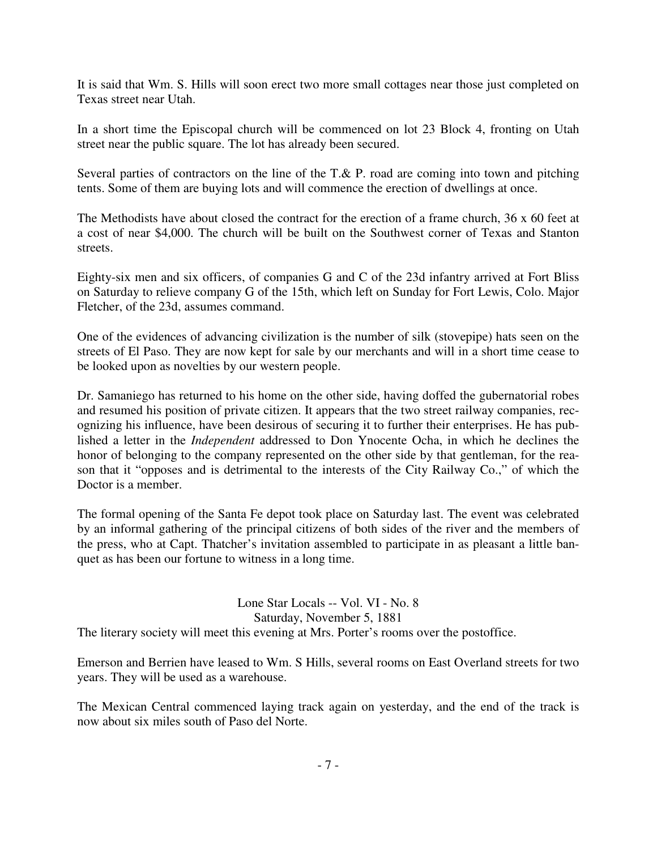It is said that Wm. S. Hills will soon erect two more small cottages near those just completed on Texas street near Utah.

In a short time the Episcopal church will be commenced on lot 23 Block 4, fronting on Utah street near the public square. The lot has already been secured.

Several parties of contractors on the line of the T.& P. road are coming into town and pitching tents. Some of them are buying lots and will commence the erection of dwellings at once.

The Methodists have about closed the contract for the erection of a frame church, 36 x 60 feet at a cost of near \$4,000. The church will be built on the Southwest corner of Texas and Stanton streets.

Eighty-six men and six officers, of companies G and C of the 23d infantry arrived at Fort Bliss on Saturday to relieve company G of the 15th, which left on Sunday for Fort Lewis, Colo. Major Fletcher, of the 23d, assumes command.

One of the evidences of advancing civilization is the number of silk (stovepipe) hats seen on the streets of El Paso. They are now kept for sale by our merchants and will in a short time cease to be looked upon as novelties by our western people.

Dr. Samaniego has returned to his home on the other side, having doffed the gubernatorial robes and resumed his position of private citizen. It appears that the two street railway companies, recognizing his influence, have been desirous of securing it to further their enterprises. He has published a letter in the *Independent* addressed to Don Ynocente Ocha, in which he declines the honor of belonging to the company represented on the other side by that gentleman, for the reason that it "opposes and is detrimental to the interests of the City Railway Co.," of which the Doctor is a member.

The formal opening of the Santa Fe depot took place on Saturday last. The event was celebrated by an informal gathering of the principal citizens of both sides of the river and the members of the press, who at Capt. Thatcher's invitation assembled to participate in as pleasant a little banquet as has been our fortune to witness in a long time.

Lone Star Locals -- Vol. VI - No. 8 Saturday, November 5, 1881 The literary society will meet this evening at Mrs. Porter's rooms over the postoffice.

Emerson and Berrien have leased to Wm. S Hills, several rooms on East Overland streets for two years. They will be used as a warehouse.

The Mexican Central commenced laying track again on yesterday, and the end of the track is now about six miles south of Paso del Norte.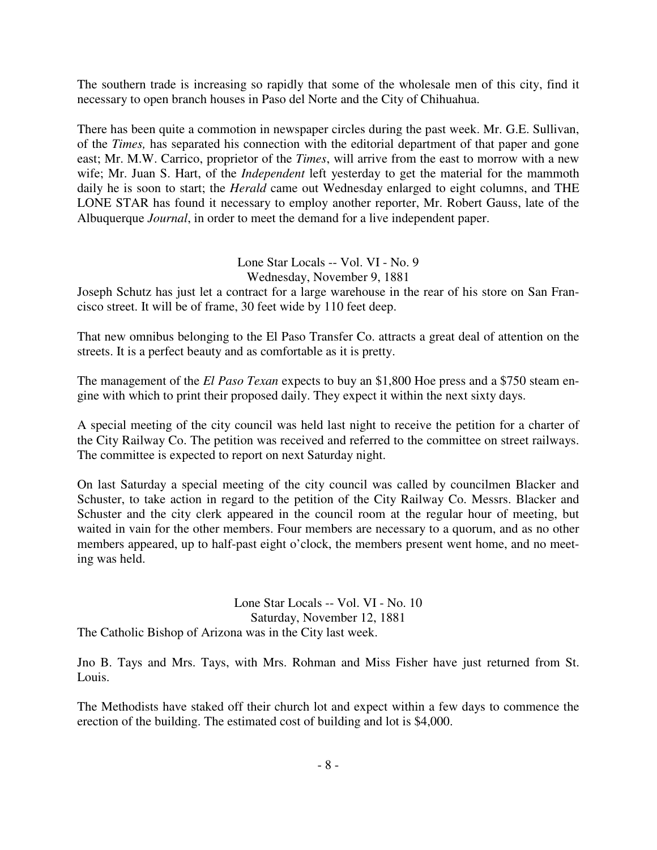The southern trade is increasing so rapidly that some of the wholesale men of this city, find it necessary to open branch houses in Paso del Norte and the City of Chihuahua.

There has been quite a commotion in newspaper circles during the past week. Mr. G.E. Sullivan, of the *Times,* has separated his connection with the editorial department of that paper and gone east; Mr. M.W. Carrico, proprietor of the *Times*, will arrive from the east to morrow with a new wife; Mr. Juan S. Hart, of the *Independent* left yesterday to get the material for the mammoth daily he is soon to start; the *Herald* came out Wednesday enlarged to eight columns, and THE LONE STAR has found it necessary to employ another reporter, Mr. Robert Gauss, late of the Albuquerque *Journal*, in order to meet the demand for a live independent paper.

## Lone Star Locals -- Vol. VI - No. 9

Wednesday, November 9, 1881

Joseph Schutz has just let a contract for a large warehouse in the rear of his store on San Francisco street. It will be of frame, 30 feet wide by 110 feet deep.

That new omnibus belonging to the El Paso Transfer Co. attracts a great deal of attention on the streets. It is a perfect beauty and as comfortable as it is pretty.

The management of the *El Paso Texan* expects to buy an \$1,800 Hoe press and a \$750 steam engine with which to print their proposed daily. They expect it within the next sixty days.

A special meeting of the city council was held last night to receive the petition for a charter of the City Railway Co. The petition was received and referred to the committee on street railways. The committee is expected to report on next Saturday night.

On last Saturday a special meeting of the city council was called by councilmen Blacker and Schuster, to take action in regard to the petition of the City Railway Co. Messrs. Blacker and Schuster and the city clerk appeared in the council room at the regular hour of meeting, but waited in vain for the other members. Four members are necessary to a quorum, and as no other members appeared, up to half-past eight o'clock, the members present went home, and no meeting was held.

Lone Star Locals -- Vol. VI - No. 10 Saturday, November 12, 1881 The Catholic Bishop of Arizona was in the City last week.

Jno B. Tays and Mrs. Tays, with Mrs. Rohman and Miss Fisher have just returned from St. Louis.

The Methodists have staked off their church lot and expect within a few days to commence the erection of the building. The estimated cost of building and lot is \$4,000.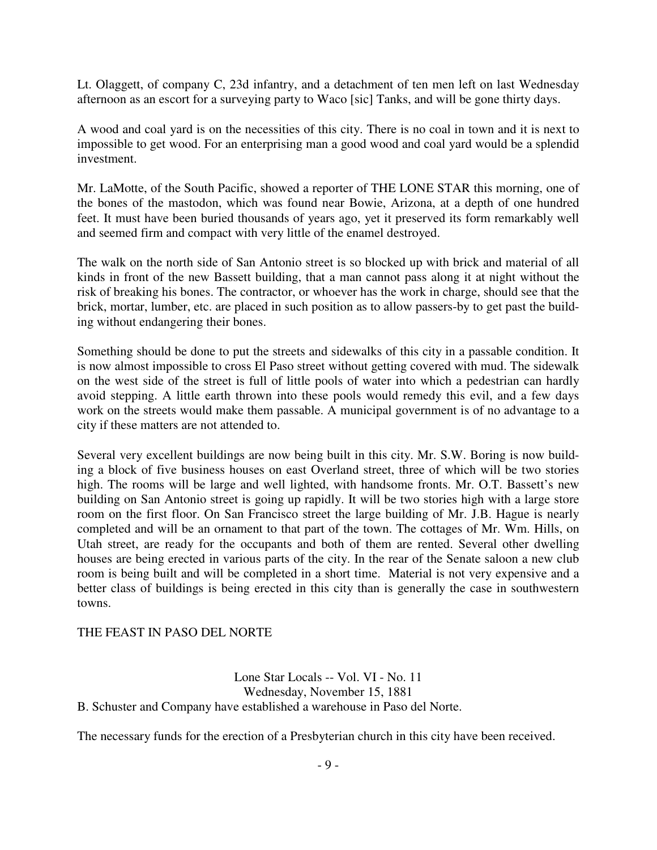Lt. Olaggett, of company C, 23d infantry, and a detachment of ten men left on last Wednesday afternoon as an escort for a surveying party to Waco [sic] Tanks, and will be gone thirty days.

A wood and coal yard is on the necessities of this city. There is no coal in town and it is next to impossible to get wood. For an enterprising man a good wood and coal yard would be a splendid investment.

Mr. LaMotte, of the South Pacific, showed a reporter of THE LONE STAR this morning, one of the bones of the mastodon, which was found near Bowie, Arizona, at a depth of one hundred feet. It must have been buried thousands of years ago, yet it preserved its form remarkably well and seemed firm and compact with very little of the enamel destroyed.

The walk on the north side of San Antonio street is so blocked up with brick and material of all kinds in front of the new Bassett building, that a man cannot pass along it at night without the risk of breaking his bones. The contractor, or whoever has the work in charge, should see that the brick, mortar, lumber, etc. are placed in such position as to allow passers-by to get past the building without endangering their bones.

Something should be done to put the streets and sidewalks of this city in a passable condition. It is now almost impossible to cross El Paso street without getting covered with mud. The sidewalk on the west side of the street is full of little pools of water into which a pedestrian can hardly avoid stepping. A little earth thrown into these pools would remedy this evil, and a few days work on the streets would make them passable. A municipal government is of no advantage to a city if these matters are not attended to.

Several very excellent buildings are now being built in this city. Mr. S.W. Boring is now building a block of five business houses on east Overland street, three of which will be two stories high. The rooms will be large and well lighted, with handsome fronts. Mr. O.T. Bassett's new building on San Antonio street is going up rapidly. It will be two stories high with a large store room on the first floor. On San Francisco street the large building of Mr. J.B. Hague is nearly completed and will be an ornament to that part of the town. The cottages of Mr. Wm. Hills, on Utah street, are ready for the occupants and both of them are rented. Several other dwelling houses are being erected in various parts of the city. In the rear of the Senate saloon a new club room is being built and will be completed in a short time. Material is not very expensive and a better class of buildings is being erected in this city than is generally the case in southwestern towns.

#### THE FEAST IN PASO DEL NORTE

Lone Star Locals -- Vol. VI - No. 11 Wednesday, November 15, 1881 B. Schuster and Company have established a warehouse in Paso del Norte.

The necessary funds for the erection of a Presbyterian church in this city have been received.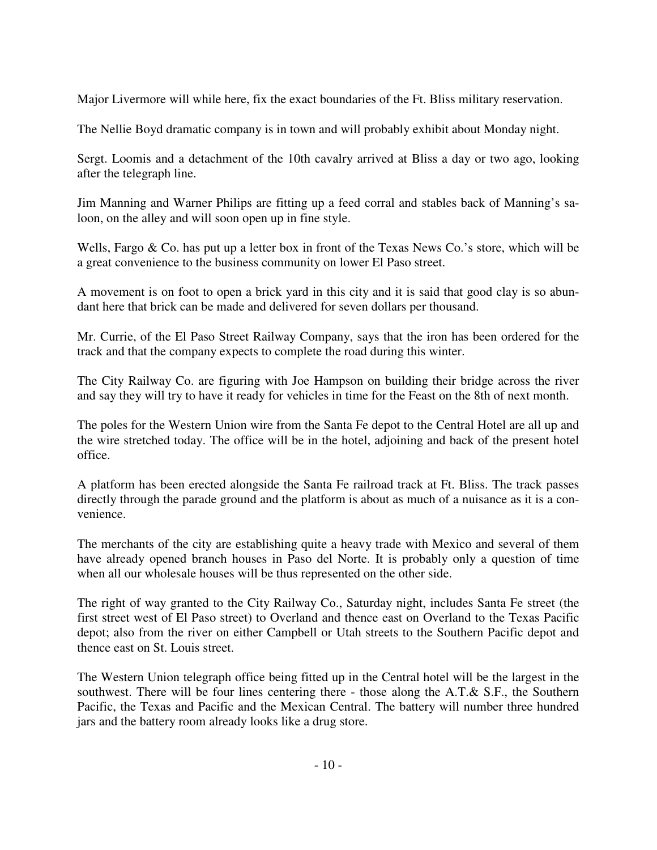Major Livermore will while here, fix the exact boundaries of the Ft. Bliss military reservation.

The Nellie Boyd dramatic company is in town and will probably exhibit about Monday night.

Sergt. Loomis and a detachment of the 10th cavalry arrived at Bliss a day or two ago, looking after the telegraph line.

Jim Manning and Warner Philips are fitting up a feed corral and stables back of Manning's saloon, on the alley and will soon open up in fine style.

Wells, Fargo & Co. has put up a letter box in front of the Texas News Co.'s store, which will be a great convenience to the business community on lower El Paso street.

A movement is on foot to open a brick yard in this city and it is said that good clay is so abundant here that brick can be made and delivered for seven dollars per thousand.

Mr. Currie, of the El Paso Street Railway Company, says that the iron has been ordered for the track and that the company expects to complete the road during this winter.

The City Railway Co. are figuring with Joe Hampson on building their bridge across the river and say they will try to have it ready for vehicles in time for the Feast on the 8th of next month.

The poles for the Western Union wire from the Santa Fe depot to the Central Hotel are all up and the wire stretched today. The office will be in the hotel, adjoining and back of the present hotel office.

A platform has been erected alongside the Santa Fe railroad track at Ft. Bliss. The track passes directly through the parade ground and the platform is about as much of a nuisance as it is a convenience.

The merchants of the city are establishing quite a heavy trade with Mexico and several of them have already opened branch houses in Paso del Norte. It is probably only a question of time when all our wholesale houses will be thus represented on the other side.

The right of way granted to the City Railway Co., Saturday night, includes Santa Fe street (the first street west of El Paso street) to Overland and thence east on Overland to the Texas Pacific depot; also from the river on either Campbell or Utah streets to the Southern Pacific depot and thence east on St. Louis street.

The Western Union telegraph office being fitted up in the Central hotel will be the largest in the southwest. There will be four lines centering there - those along the A.T. & S.F., the Southern Pacific, the Texas and Pacific and the Mexican Central. The battery will number three hundred jars and the battery room already looks like a drug store.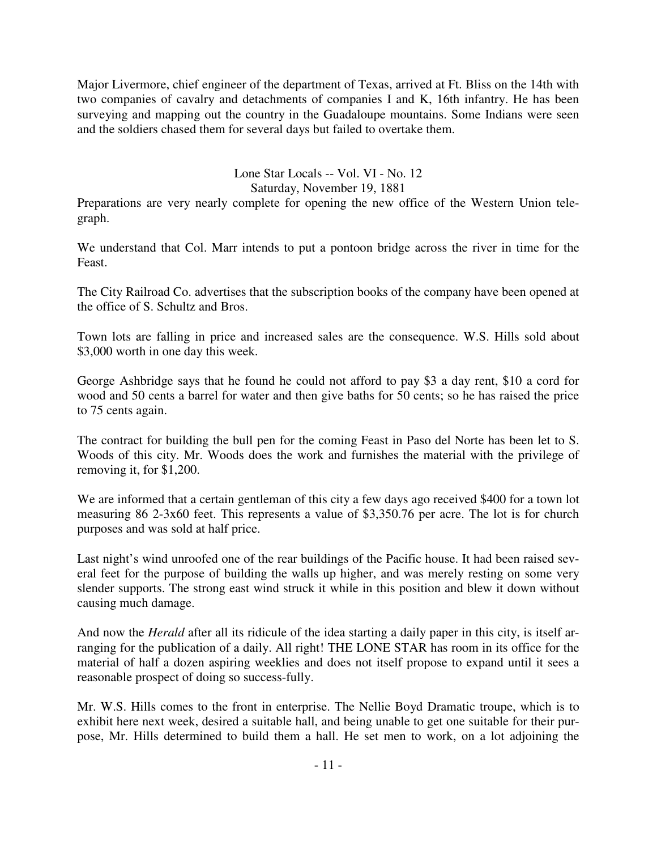Major Livermore, chief engineer of the department of Texas, arrived at Ft. Bliss on the 14th with two companies of cavalry and detachments of companies I and K, 16th infantry. He has been surveying and mapping out the country in the Guadaloupe mountains. Some Indians were seen and the soldiers chased them for several days but failed to overtake them.

## Lone Star Locals -- Vol. VI - No. 12

Saturday, November 19, 1881

Preparations are very nearly complete for opening the new office of the Western Union telegraph.

We understand that Col. Marr intends to put a pontoon bridge across the river in time for the Feast.

The City Railroad Co. advertises that the subscription books of the company have been opened at the office of S. Schultz and Bros.

Town lots are falling in price and increased sales are the consequence. W.S. Hills sold about \$3,000 worth in one day this week.

George Ashbridge says that he found he could not afford to pay \$3 a day rent, \$10 a cord for wood and 50 cents a barrel for water and then give baths for 50 cents; so he has raised the price to 75 cents again.

The contract for building the bull pen for the coming Feast in Paso del Norte has been let to S. Woods of this city. Mr. Woods does the work and furnishes the material with the privilege of removing it, for \$1,200.

We are informed that a certain gentleman of this city a few days ago received \$400 for a town lot measuring 86 2-3x60 feet. This represents a value of \$3,350.76 per acre. The lot is for church purposes and was sold at half price.

Last night's wind unroofed one of the rear buildings of the Pacific house. It had been raised several feet for the purpose of building the walls up higher, and was merely resting on some very slender supports. The strong east wind struck it while in this position and blew it down without causing much damage.

And now the *Herald* after all its ridicule of the idea starting a daily paper in this city, is itself arranging for the publication of a daily. All right! THE LONE STAR has room in its office for the material of half a dozen aspiring weeklies and does not itself propose to expand until it sees a reasonable prospect of doing so success-fully.

Mr. W.S. Hills comes to the front in enterprise. The Nellie Boyd Dramatic troupe, which is to exhibit here next week, desired a suitable hall, and being unable to get one suitable for their purpose, Mr. Hills determined to build them a hall. He set men to work, on a lot adjoining the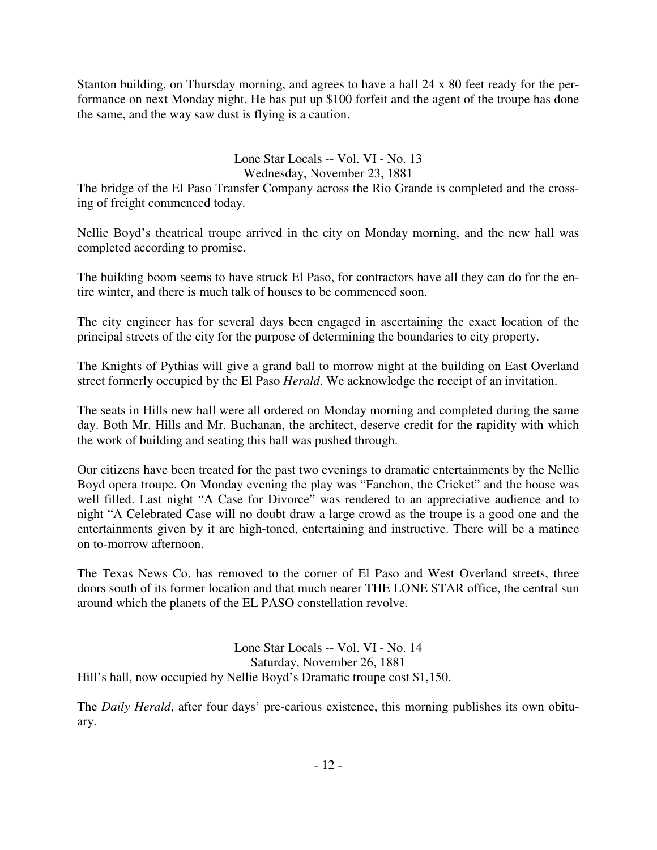Stanton building, on Thursday morning, and agrees to have a hall 24 x 80 feet ready for the performance on next Monday night. He has put up \$100 forfeit and the agent of the troupe has done the same, and the way saw dust is flying is a caution.

## Lone Star Locals -- Vol. VI - No. 13 Wednesday, November 23, 1881

The bridge of the El Paso Transfer Company across the Rio Grande is completed and the crossing of freight commenced today.

Nellie Boyd's theatrical troupe arrived in the city on Monday morning, and the new hall was completed according to promise.

The building boom seems to have struck El Paso, for contractors have all they can do for the entire winter, and there is much talk of houses to be commenced soon.

The city engineer has for several days been engaged in ascertaining the exact location of the principal streets of the city for the purpose of determining the boundaries to city property.

The Knights of Pythias will give a grand ball to morrow night at the building on East Overland street formerly occupied by the El Paso *Herald*. We acknowledge the receipt of an invitation.

The seats in Hills new hall were all ordered on Monday morning and completed during the same day. Both Mr. Hills and Mr. Buchanan, the architect, deserve credit for the rapidity with which the work of building and seating this hall was pushed through.

Our citizens have been treated for the past two evenings to dramatic entertainments by the Nellie Boyd opera troupe. On Monday evening the play was "Fanchon, the Cricket" and the house was well filled. Last night "A Case for Divorce" was rendered to an appreciative audience and to night "A Celebrated Case will no doubt draw a large crowd as the troupe is a good one and the entertainments given by it are high-toned, entertaining and instructive. There will be a matinee on to-morrow afternoon.

The Texas News Co. has removed to the corner of El Paso and West Overland streets, three doors south of its former location and that much nearer THE LONE STAR office, the central sun around which the planets of the EL PASO constellation revolve.

Lone Star Locals -- Vol. VI - No. 14 Saturday, November 26, 1881 Hill's hall, now occupied by Nellie Boyd's Dramatic troupe cost \$1,150.

The *Daily Herald*, after four days' pre-carious existence, this morning publishes its own obituary.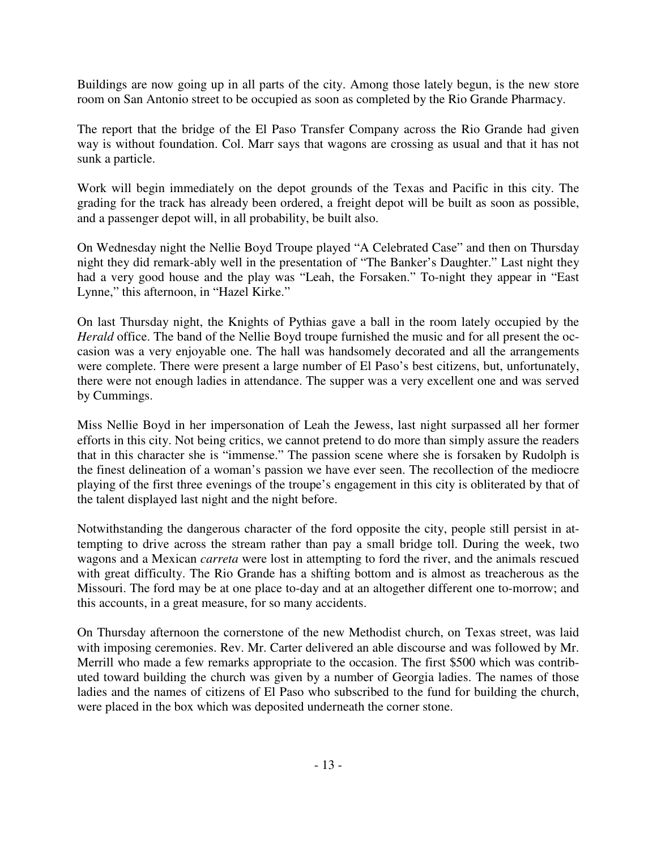Buildings are now going up in all parts of the city. Among those lately begun, is the new store room on San Antonio street to be occupied as soon as completed by the Rio Grande Pharmacy.

The report that the bridge of the El Paso Transfer Company across the Rio Grande had given way is without foundation. Col. Marr says that wagons are crossing as usual and that it has not sunk a particle.

Work will begin immediately on the depot grounds of the Texas and Pacific in this city. The grading for the track has already been ordered, a freight depot will be built as soon as possible, and a passenger depot will, in all probability, be built also.

On Wednesday night the Nellie Boyd Troupe played "A Celebrated Case" and then on Thursday night they did remark-ably well in the presentation of "The Banker's Daughter." Last night they had a very good house and the play was "Leah, the Forsaken." To-night they appear in "East Lynne," this afternoon, in "Hazel Kirke."

On last Thursday night, the Knights of Pythias gave a ball in the room lately occupied by the *Herald* office. The band of the Nellie Boyd troupe furnished the music and for all present the occasion was a very enjoyable one. The hall was handsomely decorated and all the arrangements were complete. There were present a large number of El Paso's best citizens, but, unfortunately, there were not enough ladies in attendance. The supper was a very excellent one and was served by Cummings.

Miss Nellie Boyd in her impersonation of Leah the Jewess, last night surpassed all her former efforts in this city. Not being critics, we cannot pretend to do more than simply assure the readers that in this character she is "immense." The passion scene where she is forsaken by Rudolph is the finest delineation of a woman's passion we have ever seen. The recollection of the mediocre playing of the first three evenings of the troupe's engagement in this city is obliterated by that of the talent displayed last night and the night before.

Notwithstanding the dangerous character of the ford opposite the city, people still persist in attempting to drive across the stream rather than pay a small bridge toll. During the week, two wagons and a Mexican *carreta* were lost in attempting to ford the river, and the animals rescued with great difficulty. The Rio Grande has a shifting bottom and is almost as treacherous as the Missouri. The ford may be at one place to-day and at an altogether different one to-morrow; and this accounts, in a great measure, for so many accidents.

On Thursday afternoon the cornerstone of the new Methodist church, on Texas street, was laid with imposing ceremonies. Rev. Mr. Carter delivered an able discourse and was followed by Mr. Merrill who made a few remarks appropriate to the occasion. The first \$500 which was contributed toward building the church was given by a number of Georgia ladies. The names of those ladies and the names of citizens of El Paso who subscribed to the fund for building the church, were placed in the box which was deposited underneath the corner stone.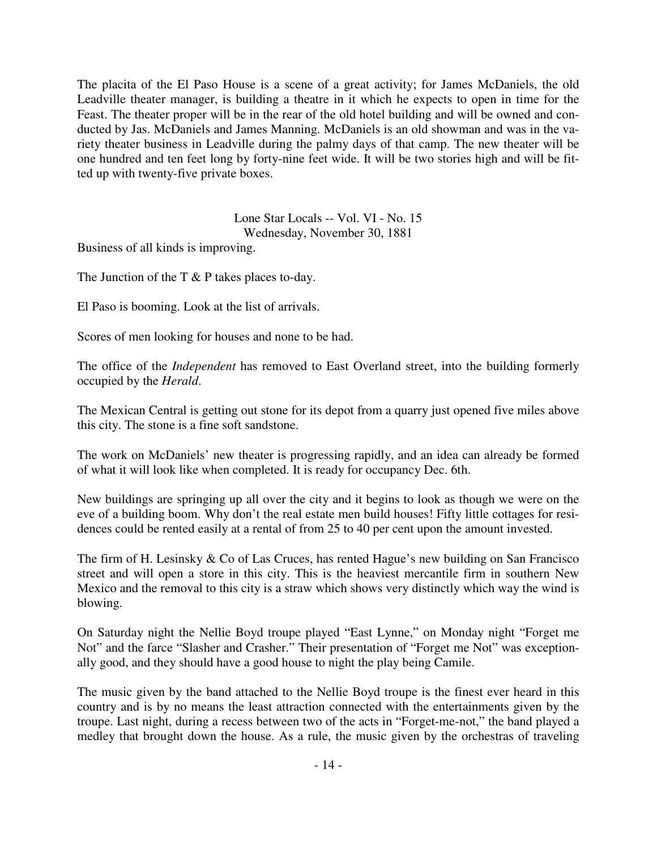The placita of the El Paso House is a scene of a great activity; for James McDaniels, the old Leadville theater manager, is building a theatre in it which he expects to open in time for the Feast. The theater proper will be in the rear of the old hotel building and will be owned and conducted by Jas. McDaniels and James Manning. McDaniels is an old showman and was in the variety theater business in Leadville during the palmy days of that camp. The new theater will be one hundred and ten feet long by forty-nine feet wide. It will be two stories high and will be fitted up with twenty-five private boxes.

> Lone Star Locals -- Vol. VI - No. 15 Wednesday, November 30, 1881

Business of all kinds is improving.

The Junction of the T & P takes places to-day.

El Paso is booming. Look at the list of arrivals.

Scores of men looking for houses and none to be had.

The office of the *Independent* has removed to East Overland street, into the building formerly occupied by the *Herald*.

The Mexican Central is getting out stone for its depot from a quarry just opened five miles above this city. The stone is a fine soft sandstone.

The work on McDaniels' new theater is progressing rapidly, and an idea can already be formed of what it will look like when completed. It is ready for occupancy Dec. 6th.

New buildings are springing up all over the city and it begins to look as though we were on the eve of a building boom. Why don't the real estate men build houses! Fifty little cottages for residences could be rented easily at a rental of from 25 to 40 per cent upon the amount invested.

The firm of H. Lesinsky & Co of Las Cruces, has rented Hague's new building on San Francisco street and will open a store in this city. This is the heaviest mercantile firm in southern New Mexico and the removal to this city is a straw which shows very distinctly which way the wind is blowing.

On Saturday night the Nellie Boyd troupe played "East Lynne," on Monday night "Forget me Not" and the farce "Slasher and Crasher." Their presentation of "Forget me Not" was exceptionally good, and they should have a good house to night the play being Camile.

The music given by the band attached to the Nellie Boyd troupe is the finest ever heard in this country and is by no means the least attraction connected with the entertainments given by the troupe. Last night, during a recess between two of the acts in "Forget-me-not," the band played a medley that brought down the house. As a rule, the music given by the orchestras of traveling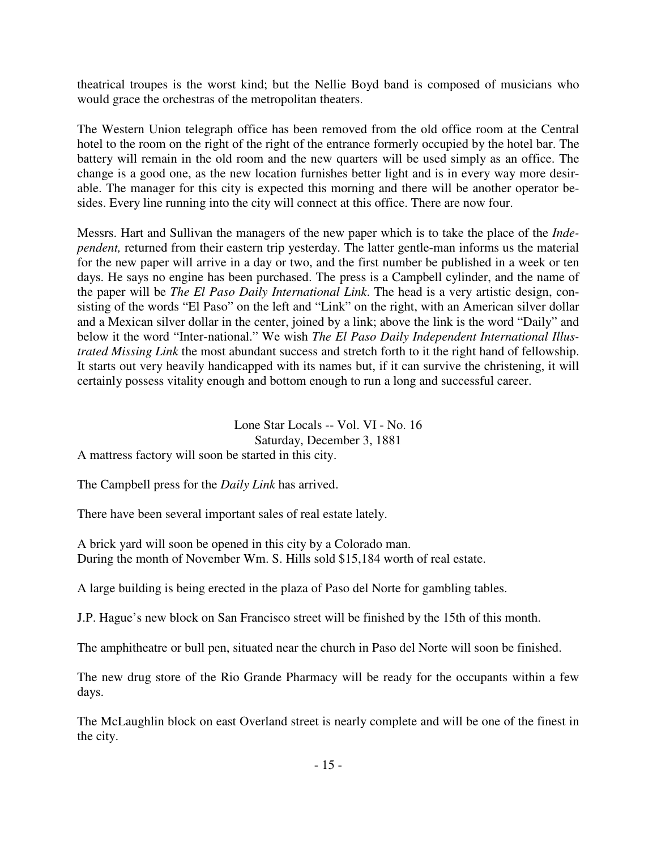theatrical troupes is the worst kind; but the Nellie Boyd band is composed of musicians who would grace the orchestras of the metropolitan theaters.

The Western Union telegraph office has been removed from the old office room at the Central hotel to the room on the right of the right of the entrance formerly occupied by the hotel bar. The battery will remain in the old room and the new quarters will be used simply as an office. The change is a good one, as the new location furnishes better light and is in every way more desirable. The manager for this city is expected this morning and there will be another operator besides. Every line running into the city will connect at this office. There are now four.

Messrs. Hart and Sullivan the managers of the new paper which is to take the place of the *Independent,* returned from their eastern trip yesterday. The latter gentle-man informs us the material for the new paper will arrive in a day or two, and the first number be published in a week or ten days. He says no engine has been purchased. The press is a Campbell cylinder, and the name of the paper will be *The El Paso Daily International Link*. The head is a very artistic design, consisting of the words "El Paso" on the left and "Link" on the right, with an American silver dollar and a Mexican silver dollar in the center, joined by a link; above the link is the word "Daily" and below it the word "Inter-national." We wish *The El Paso Daily Independent International Illustrated Missing Link* the most abundant success and stretch forth to it the right hand of fellowship. It starts out very heavily handicapped with its names but, if it can survive the christening, it will certainly possess vitality enough and bottom enough to run a long and successful career.

Lone Star Locals -- Vol. VI - No. 16

Saturday, December 3, 1881

A mattress factory will soon be started in this city.

The Campbell press for the *Daily Link* has arrived.

There have been several important sales of real estate lately.

A brick yard will soon be opened in this city by a Colorado man. During the month of November Wm. S. Hills sold \$15,184 worth of real estate.

A large building is being erected in the plaza of Paso del Norte for gambling tables.

J.P. Hague's new block on San Francisco street will be finished by the 15th of this month.

The amphitheatre or bull pen, situated near the church in Paso del Norte will soon be finished.

The new drug store of the Rio Grande Pharmacy will be ready for the occupants within a few days.

The McLaughlin block on east Overland street is nearly complete and will be one of the finest in the city.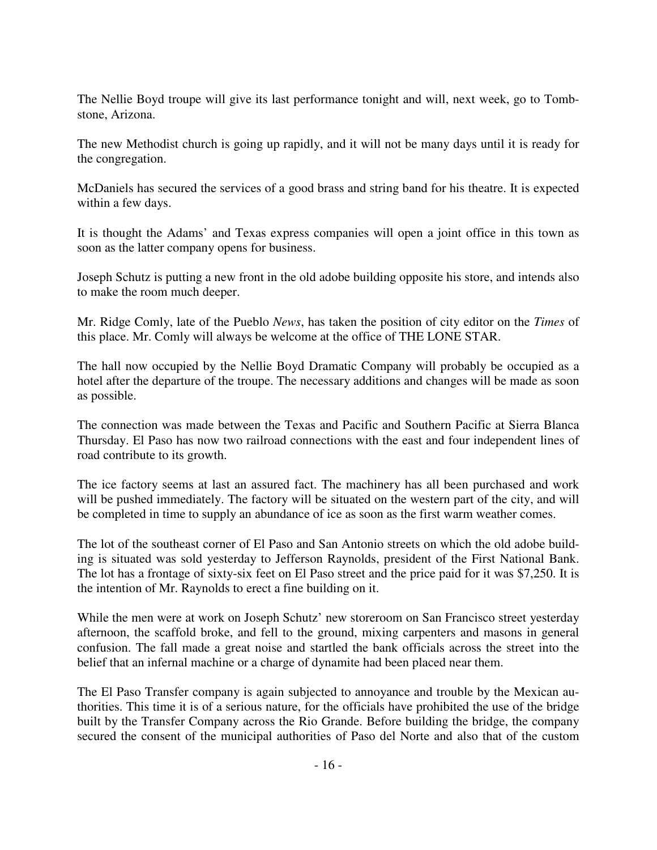The Nellie Boyd troupe will give its last performance tonight and will, next week, go to Tombstone, Arizona.

The new Methodist church is going up rapidly, and it will not be many days until it is ready for the congregation.

McDaniels has secured the services of a good brass and string band for his theatre. It is expected within a few days.

It is thought the Adams' and Texas express companies will open a joint office in this town as soon as the latter company opens for business.

Joseph Schutz is putting a new front in the old adobe building opposite his store, and intends also to make the room much deeper.

Mr. Ridge Comly, late of the Pueblo *News*, has taken the position of city editor on the *Times* of this place. Mr. Comly will always be welcome at the office of THE LONE STAR.

The hall now occupied by the Nellie Boyd Dramatic Company will probably be occupied as a hotel after the departure of the troupe. The necessary additions and changes will be made as soon as possible.

The connection was made between the Texas and Pacific and Southern Pacific at Sierra Blanca Thursday. El Paso has now two railroad connections with the east and four independent lines of road contribute to its growth.

The ice factory seems at last an assured fact. The machinery has all been purchased and work will be pushed immediately. The factory will be situated on the western part of the city, and will be completed in time to supply an abundance of ice as soon as the first warm weather comes.

The lot of the southeast corner of El Paso and San Antonio streets on which the old adobe building is situated was sold yesterday to Jefferson Raynolds, president of the First National Bank. The lot has a frontage of sixty-six feet on El Paso street and the price paid for it was \$7,250. It is the intention of Mr. Raynolds to erect a fine building on it.

While the men were at work on Joseph Schutz' new storeroom on San Francisco street yesterday afternoon, the scaffold broke, and fell to the ground, mixing carpenters and masons in general confusion. The fall made a great noise and startled the bank officials across the street into the belief that an infernal machine or a charge of dynamite had been placed near them.

The El Paso Transfer company is again subjected to annoyance and trouble by the Mexican authorities. This time it is of a serious nature, for the officials have prohibited the use of the bridge built by the Transfer Company across the Rio Grande. Before building the bridge, the company secured the consent of the municipal authorities of Paso del Norte and also that of the custom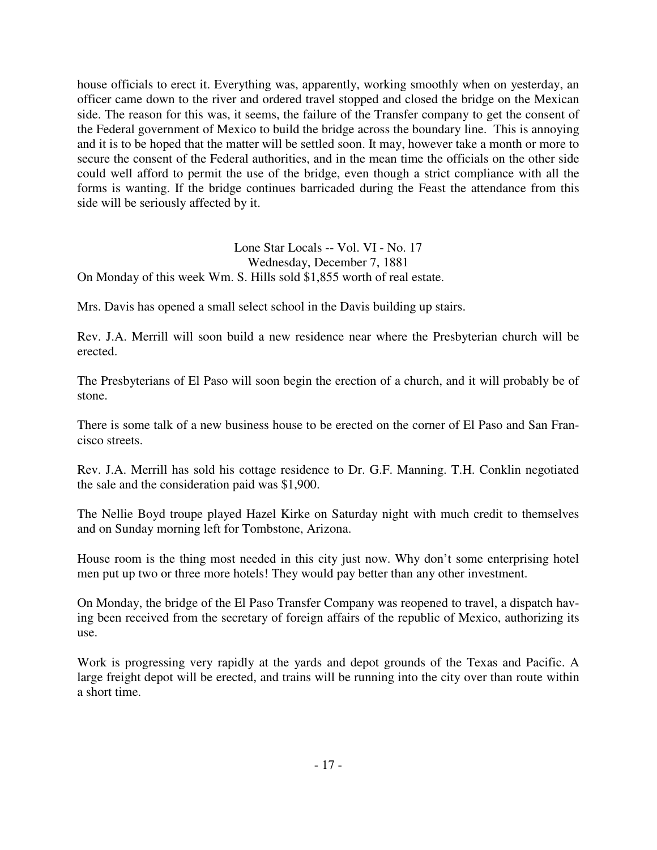house officials to erect it. Everything was, apparently, working smoothly when on yesterday, an officer came down to the river and ordered travel stopped and closed the bridge on the Mexican side. The reason for this was, it seems, the failure of the Transfer company to get the consent of the Federal government of Mexico to build the bridge across the boundary line. This is annoying and it is to be hoped that the matter will be settled soon. It may, however take a month or more to secure the consent of the Federal authorities, and in the mean time the officials on the other side could well afford to permit the use of the bridge, even though a strict compliance with all the forms is wanting. If the bridge continues barricaded during the Feast the attendance from this side will be seriously affected by it.

Lone Star Locals -- Vol. VI - No. 17 Wednesday, December 7, 1881 On Monday of this week Wm. S. Hills sold \$1,855 worth of real estate.

Mrs. Davis has opened a small select school in the Davis building up stairs.

Rev. J.A. Merrill will soon build a new residence near where the Presbyterian church will be erected.

The Presbyterians of El Paso will soon begin the erection of a church, and it will probably be of stone.

There is some talk of a new business house to be erected on the corner of El Paso and San Francisco streets.

Rev. J.A. Merrill has sold his cottage residence to Dr. G.F. Manning. T.H. Conklin negotiated the sale and the consideration paid was \$1,900.

The Nellie Boyd troupe played Hazel Kirke on Saturday night with much credit to themselves and on Sunday morning left for Tombstone, Arizona.

House room is the thing most needed in this city just now. Why don't some enterprising hotel men put up two or three more hotels! They would pay better than any other investment.

On Monday, the bridge of the El Paso Transfer Company was reopened to travel, a dispatch having been received from the secretary of foreign affairs of the republic of Mexico, authorizing its use.

Work is progressing very rapidly at the yards and depot grounds of the Texas and Pacific. A large freight depot will be erected, and trains will be running into the city over than route within a short time.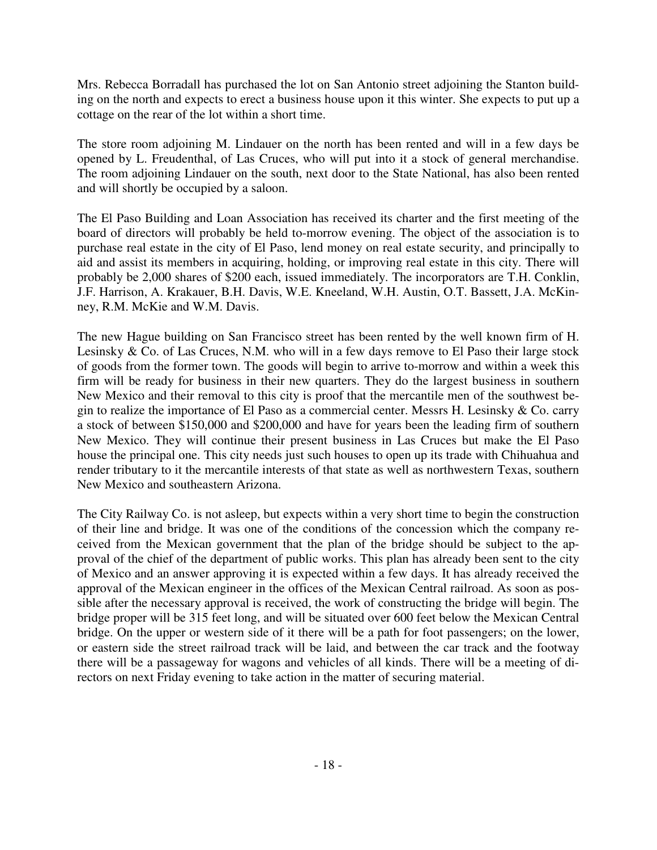Mrs. Rebecca Borradall has purchased the lot on San Antonio street adjoining the Stanton building on the north and expects to erect a business house upon it this winter. She expects to put up a cottage on the rear of the lot within a short time.

The store room adjoining M. Lindauer on the north has been rented and will in a few days be opened by L. Freudenthal, of Las Cruces, who will put into it a stock of general merchandise. The room adjoining Lindauer on the south, next door to the State National, has also been rented and will shortly be occupied by a saloon.

The El Paso Building and Loan Association has received its charter and the first meeting of the board of directors will probably be held to-morrow evening. The object of the association is to purchase real estate in the city of El Paso, lend money on real estate security, and principally to aid and assist its members in acquiring, holding, or improving real estate in this city. There will probably be 2,000 shares of \$200 each, issued immediately. The incorporators are T.H. Conklin, J.F. Harrison, A. Krakauer, B.H. Davis, W.E. Kneeland, W.H. Austin, O.T. Bassett, J.A. McKinney, R.M. McKie and W.M. Davis.

The new Hague building on San Francisco street has been rented by the well known firm of H. Lesinsky & Co. of Las Cruces, N.M. who will in a few days remove to El Paso their large stock of goods from the former town. The goods will begin to arrive to-morrow and within a week this firm will be ready for business in their new quarters. They do the largest business in southern New Mexico and their removal to this city is proof that the mercantile men of the southwest begin to realize the importance of El Paso as a commercial center. Messrs H. Lesinsky & Co. carry a stock of between \$150,000 and \$200,000 and have for years been the leading firm of southern New Mexico. They will continue their present business in Las Cruces but make the El Paso house the principal one. This city needs just such houses to open up its trade with Chihuahua and render tributary to it the mercantile interests of that state as well as northwestern Texas, southern New Mexico and southeastern Arizona.

The City Railway Co. is not asleep, but expects within a very short time to begin the construction of their line and bridge. It was one of the conditions of the concession which the company received from the Mexican government that the plan of the bridge should be subject to the approval of the chief of the department of public works. This plan has already been sent to the city of Mexico and an answer approving it is expected within a few days. It has already received the approval of the Mexican engineer in the offices of the Mexican Central railroad. As soon as possible after the necessary approval is received, the work of constructing the bridge will begin. The bridge proper will be 315 feet long, and will be situated over 600 feet below the Mexican Central bridge. On the upper or western side of it there will be a path for foot passengers; on the lower, or eastern side the street railroad track will be laid, and between the car track and the footway there will be a passageway for wagons and vehicles of all kinds. There will be a meeting of directors on next Friday evening to take action in the matter of securing material.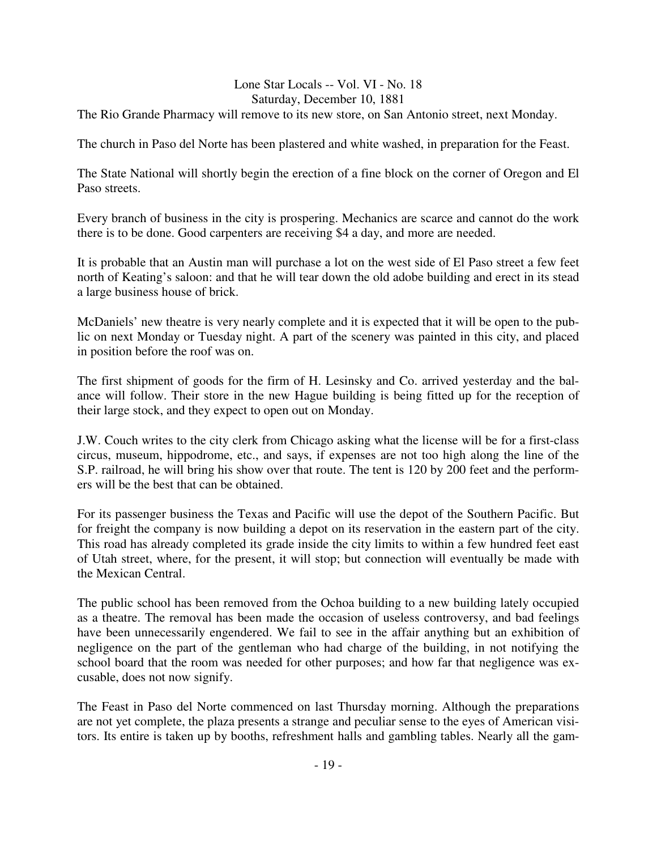## Lone Star Locals -- Vol. VI - No. 18 Saturday, December 10, 1881

The Rio Grande Pharmacy will remove to its new store, on San Antonio street, next Monday.

The church in Paso del Norte has been plastered and white washed, in preparation for the Feast.

The State National will shortly begin the erection of a fine block on the corner of Oregon and El Paso streets.

Every branch of business in the city is prospering. Mechanics are scarce and cannot do the work there is to be done. Good carpenters are receiving \$4 a day, and more are needed.

It is probable that an Austin man will purchase a lot on the west side of El Paso street a few feet north of Keating's saloon: and that he will tear down the old adobe building and erect in its stead a large business house of brick.

McDaniels' new theatre is very nearly complete and it is expected that it will be open to the public on next Monday or Tuesday night. A part of the scenery was painted in this city, and placed in position before the roof was on.

The first shipment of goods for the firm of H. Lesinsky and Co. arrived yesterday and the balance will follow. Their store in the new Hague building is being fitted up for the reception of their large stock, and they expect to open out on Monday.

J.W. Couch writes to the city clerk from Chicago asking what the license will be for a first-class circus, museum, hippodrome, etc., and says, if expenses are not too high along the line of the S.P. railroad, he will bring his show over that route. The tent is 120 by 200 feet and the performers will be the best that can be obtained.

For its passenger business the Texas and Pacific will use the depot of the Southern Pacific. But for freight the company is now building a depot on its reservation in the eastern part of the city. This road has already completed its grade inside the city limits to within a few hundred feet east of Utah street, where, for the present, it will stop; but connection will eventually be made with the Mexican Central.

The public school has been removed from the Ochoa building to a new building lately occupied as a theatre. The removal has been made the occasion of useless controversy, and bad feelings have been unnecessarily engendered. We fail to see in the affair anything but an exhibition of negligence on the part of the gentleman who had charge of the building, in not notifying the school board that the room was needed for other purposes; and how far that negligence was excusable, does not now signify.

The Feast in Paso del Norte commenced on last Thursday morning. Although the preparations are not yet complete, the plaza presents a strange and peculiar sense to the eyes of American visitors. Its entire is taken up by booths, refreshment halls and gambling tables. Nearly all the gam-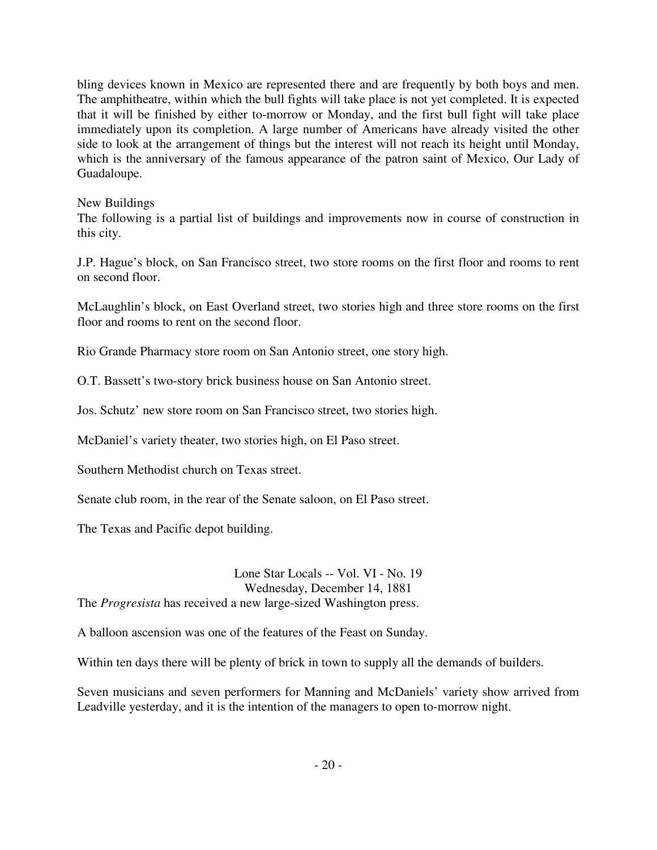bling devices known in Mexico are represented there and are frequently by both boys and men. The amphitheatre, within which the bull fights will take place is not yet completed. It is expected that it will be finished by either to-morrow or Monday, and the first bull fight will take place immediately upon its completion. A large number of Americans have already visited the other side to look at the arrangement of things but the interest will not reach its height until Monday, which is the anniversary of the famous appearance of the patron saint of Mexico, Our Lady of Guadaloupe.

#### New Buildings

The following is a partial list of buildings and improvements now in course of construction in this city.

J.P. Hague's block, on San Francisco street, two store rooms on the first floor and rooms to rent on second floor.

McLaughlin's block, on East Overland street, two stories high and three store rooms on the first floor and rooms to rent on the second floor.

Rio Grande Pharmacy store room on San Antonio street, one story high.

O.T. Bassett's two-story brick business house on San Antonio street.

Jos. Schutz' new store room on San Francisco street, two stories high.

McDaniel's variety theater, two stories high, on El Paso street.

Southern Methodist church on Texas street.

Senate club room, in the rear of the Senate saloon, on El Paso street.

The Texas and Pacific depot building.

Lone Star Locals -- Vol. VI - No. 19 Wednesday, December 14, 1881 The *Progresista* has received a new large-sized Washington press.

A balloon ascension was one of the features of the Feast on Sunday.

Within ten days there will be plenty of brick in town to supply all the demands of builders.

Seven musicians and seven performers for Manning and McDaniels' variety show arrived from Leadville yesterday, and it is the intention of the managers to open to-morrow night.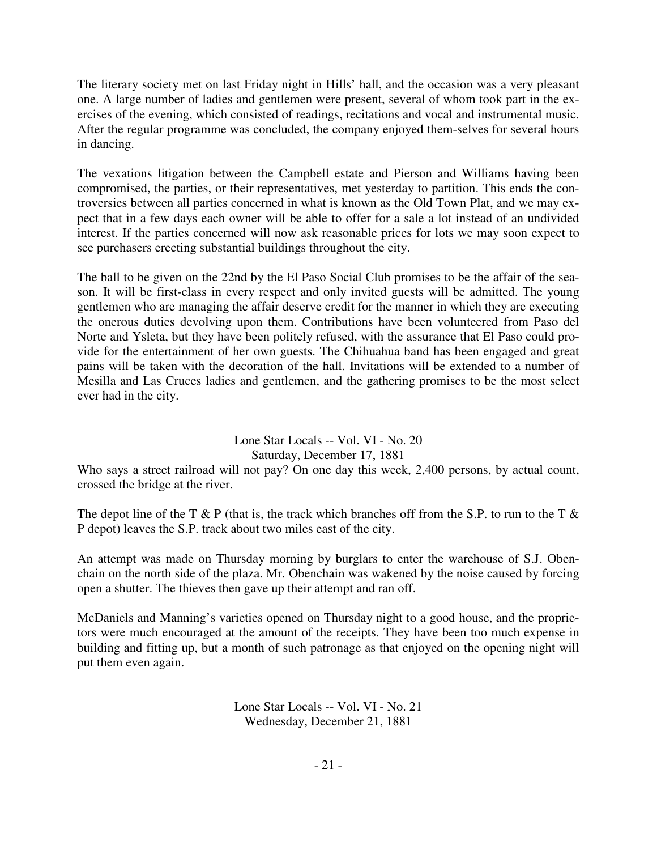The literary society met on last Friday night in Hills' hall, and the occasion was a very pleasant one. A large number of ladies and gentlemen were present, several of whom took part in the exercises of the evening, which consisted of readings, recitations and vocal and instrumental music. After the regular programme was concluded, the company enjoyed them-selves for several hours in dancing.

The vexations litigation between the Campbell estate and Pierson and Williams having been compromised, the parties, or their representatives, met yesterday to partition. This ends the controversies between all parties concerned in what is known as the Old Town Plat, and we may expect that in a few days each owner will be able to offer for a sale a lot instead of an undivided interest. If the parties concerned will now ask reasonable prices for lots we may soon expect to see purchasers erecting substantial buildings throughout the city.

The ball to be given on the 22nd by the El Paso Social Club promises to be the affair of the season. It will be first-class in every respect and only invited guests will be admitted. The young gentlemen who are managing the affair deserve credit for the manner in which they are executing the onerous duties devolving upon them. Contributions have been volunteered from Paso del Norte and Ysleta, but they have been politely refused, with the assurance that El Paso could provide for the entertainment of her own guests. The Chihuahua band has been engaged and great pains will be taken with the decoration of the hall. Invitations will be extended to a number of Mesilla and Las Cruces ladies and gentlemen, and the gathering promises to be the most select ever had in the city.

## Lone Star Locals -- Vol. VI - No. 20 Saturday, December 17, 1881

Who says a street railroad will not pay? On one day this week, 2,400 persons, by actual count, crossed the bridge at the river.

The depot line of the T & P (that is, the track which branches off from the S.P. to run to the T  $\&$ P depot) leaves the S.P. track about two miles east of the city.

An attempt was made on Thursday morning by burglars to enter the warehouse of S.J. Obenchain on the north side of the plaza. Mr. Obenchain was wakened by the noise caused by forcing open a shutter. The thieves then gave up their attempt and ran off.

McDaniels and Manning's varieties opened on Thursday night to a good house, and the proprietors were much encouraged at the amount of the receipts. They have been too much expense in building and fitting up, but a month of such patronage as that enjoyed on the opening night will put them even again.

> Lone Star Locals -- Vol. VI - No. 21 Wednesday, December 21, 1881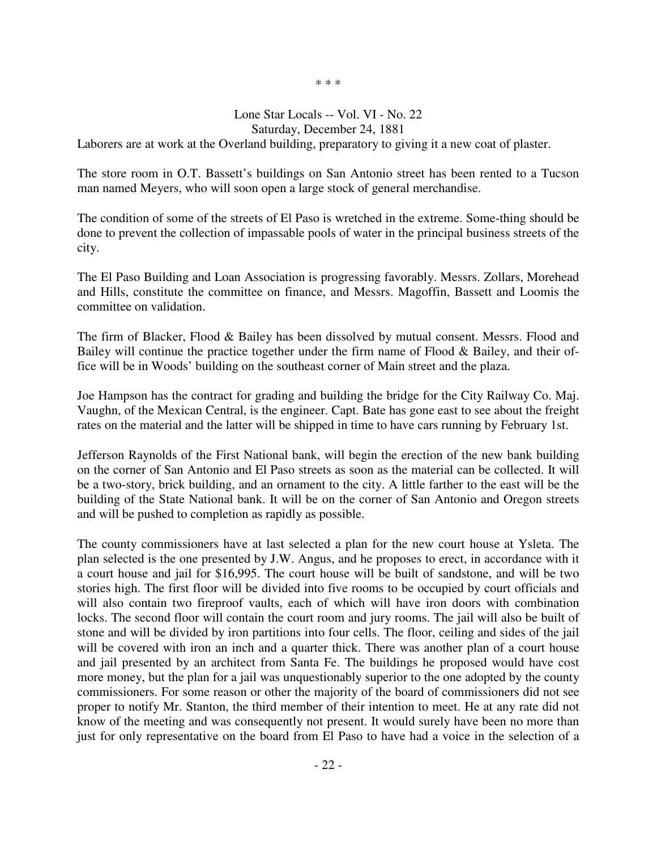\* \* \*

#### Lone Star Locals -- Vol. VI - No. 22 Saturday, December 24, 1881

Laborers are at work at the Overland building, preparatory to giving it a new coat of plaster.

The store room in O.T. Bassett's buildings on San Antonio street has been rented to a Tucson man named Meyers, who will soon open a large stock of general merchandise.

The condition of some of the streets of El Paso is wretched in the extreme. Some-thing should be done to prevent the collection of impassable pools of water in the principal business streets of the city.

The El Paso Building and Loan Association is progressing favorably. Messrs. Zollars, Morehead and Hills, constitute the committee on finance, and Messrs. Magoffin, Bassett and Loomis the committee on validation.

The firm of Blacker, Flood & Bailey has been dissolved by mutual consent. Messrs. Flood and Bailey will continue the practice together under the firm name of Flood & Bailey, and their office will be in Woods' building on the southeast corner of Main street and the plaza.

Joe Hampson has the contract for grading and building the bridge for the City Railway Co. Maj. Vaughn, of the Mexican Central, is the engineer. Capt. Bate has gone east to see about the freight rates on the material and the latter will be shipped in time to have cars running by February 1st.

Jefferson Raynolds of the First National bank, will begin the erection of the new bank building on the corner of San Antonio and El Paso streets as soon as the material can be collected. It will be a two-story, brick building, and an ornament to the city. A little farther to the east will be the building of the State National bank. It will be on the corner of San Antonio and Oregon streets and will be pushed to completion as rapidly as possible.

The county commissioners have at last selected a plan for the new court house at Ysleta. The plan selected is the one presented by J.W. Angus, and he proposes to erect, in accordance with it a court house and jail for \$16,995. The court house will be built of sandstone, and will be two stories high. The first floor will be divided into five rooms to be occupied by court officials and will also contain two fireproof vaults, each of which will have iron doors with combination locks. The second floor will contain the court room and jury rooms. The jail will also be built of stone and will be divided by iron partitions into four cells. The floor, ceiling and sides of the jail will be covered with iron an inch and a quarter thick. There was another plan of a court house and jail presented by an architect from Santa Fe. The buildings he proposed would have cost more money, but the plan for a jail was unquestionably superior to the one adopted by the county commissioners. For some reason or other the majority of the board of commissioners did not see proper to notify Mr. Stanton, the third member of their intention to meet. He at any rate did not know of the meeting and was consequently not present. It would surely have been no more than just for only representative on the board from El Paso to have had a voice in the selection of a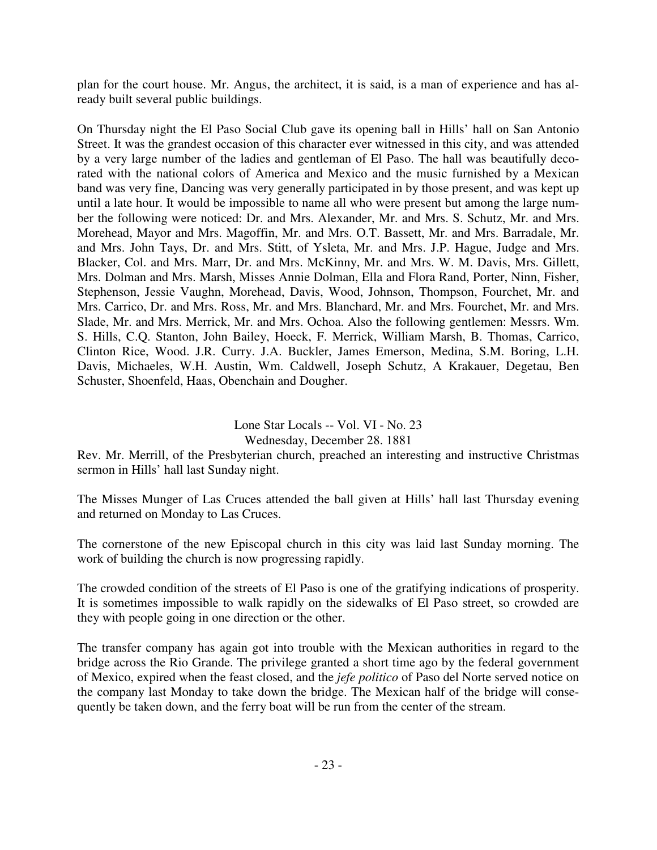plan for the court house. Mr. Angus, the architect, it is said, is a man of experience and has already built several public buildings.

On Thursday night the El Paso Social Club gave its opening ball in Hills' hall on San Antonio Street. It was the grandest occasion of this character ever witnessed in this city, and was attended by a very large number of the ladies and gentleman of El Paso. The hall was beautifully decorated with the national colors of America and Mexico and the music furnished by a Mexican band was very fine, Dancing was very generally participated in by those present, and was kept up until a late hour. It would be impossible to name all who were present but among the large number the following were noticed: Dr. and Mrs. Alexander, Mr. and Mrs. S. Schutz, Mr. and Mrs. Morehead, Mayor and Mrs. Magoffin, Mr. and Mrs. O.T. Bassett, Mr. and Mrs. Barradale, Mr. and Mrs. John Tays, Dr. and Mrs. Stitt, of Ysleta, Mr. and Mrs. J.P. Hague, Judge and Mrs. Blacker, Col. and Mrs. Marr, Dr. and Mrs. McKinny, Mr. and Mrs. W. M. Davis, Mrs. Gillett, Mrs. Dolman and Mrs. Marsh, Misses Annie Dolman, Ella and Flora Rand, Porter, Ninn, Fisher, Stephenson, Jessie Vaughn, Morehead, Davis, Wood, Johnson, Thompson, Fourchet, Mr. and Mrs. Carrico, Dr. and Mrs. Ross, Mr. and Mrs. Blanchard, Mr. and Mrs. Fourchet, Mr. and Mrs. Slade, Mr. and Mrs. Merrick, Mr. and Mrs. Ochoa. Also the following gentlemen: Messrs. Wm. S. Hills, C.Q. Stanton, John Bailey, Hoeck, F. Merrick, William Marsh, B. Thomas, Carrico, Clinton Rice, Wood. J.R. Curry. J.A. Buckler, James Emerson, Medina, S.M. Boring, L.H. Davis, Michaeles, W.H. Austin, Wm. Caldwell, Joseph Schutz, A Krakauer, Degetau, Ben Schuster, Shoenfeld, Haas, Obenchain and Dougher.

## Lone Star Locals -- Vol. VI - No. 23

## Wednesday, December 28. 1881

Rev. Mr. Merrill, of the Presbyterian church, preached an interesting and instructive Christmas sermon in Hills' hall last Sunday night.

The Misses Munger of Las Cruces attended the ball given at Hills' hall last Thursday evening and returned on Monday to Las Cruces.

The cornerstone of the new Episcopal church in this city was laid last Sunday morning. The work of building the church is now progressing rapidly.

The crowded condition of the streets of El Paso is one of the gratifying indications of prosperity. It is sometimes impossible to walk rapidly on the sidewalks of El Paso street, so crowded are they with people going in one direction or the other.

The transfer company has again got into trouble with the Mexican authorities in regard to the bridge across the Rio Grande. The privilege granted a short time ago by the federal government of Mexico, expired when the feast closed, and the *jefe politico* of Paso del Norte served notice on the company last Monday to take down the bridge. The Mexican half of the bridge will consequently be taken down, and the ferry boat will be run from the center of the stream.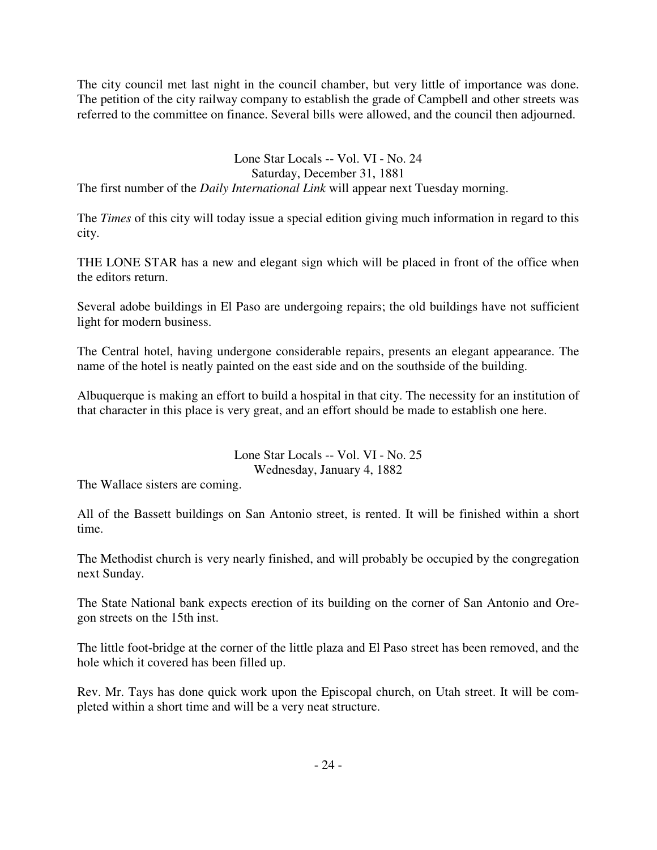The city council met last night in the council chamber, but very little of importance was done. The petition of the city railway company to establish the grade of Campbell and other streets was referred to the committee on finance. Several bills were allowed, and the council then adjourned.

## Lone Star Locals -- Vol. VI - No. 24

## Saturday, December 31, 1881

The first number of the *Daily International Link* will appear next Tuesday morning.

The *Times* of this city will today issue a special edition giving much information in regard to this city.

THE LONE STAR has a new and elegant sign which will be placed in front of the office when the editors return.

Several adobe buildings in El Paso are undergoing repairs; the old buildings have not sufficient light for modern business.

The Central hotel, having undergone considerable repairs, presents an elegant appearance. The name of the hotel is neatly painted on the east side and on the southside of the building.

Albuquerque is making an effort to build a hospital in that city. The necessity for an institution of that character in this place is very great, and an effort should be made to establish one here.

## Lone Star Locals -- Vol. VI - No. 25 Wednesday, January 4, 1882

The Wallace sisters are coming.

All of the Bassett buildings on San Antonio street, is rented. It will be finished within a short time.

The Methodist church is very nearly finished, and will probably be occupied by the congregation next Sunday.

The State National bank expects erection of its building on the corner of San Antonio and Oregon streets on the 15th inst.

The little foot-bridge at the corner of the little plaza and El Paso street has been removed, and the hole which it covered has been filled up.

Rev. Mr. Tays has done quick work upon the Episcopal church, on Utah street. It will be completed within a short time and will be a very neat structure.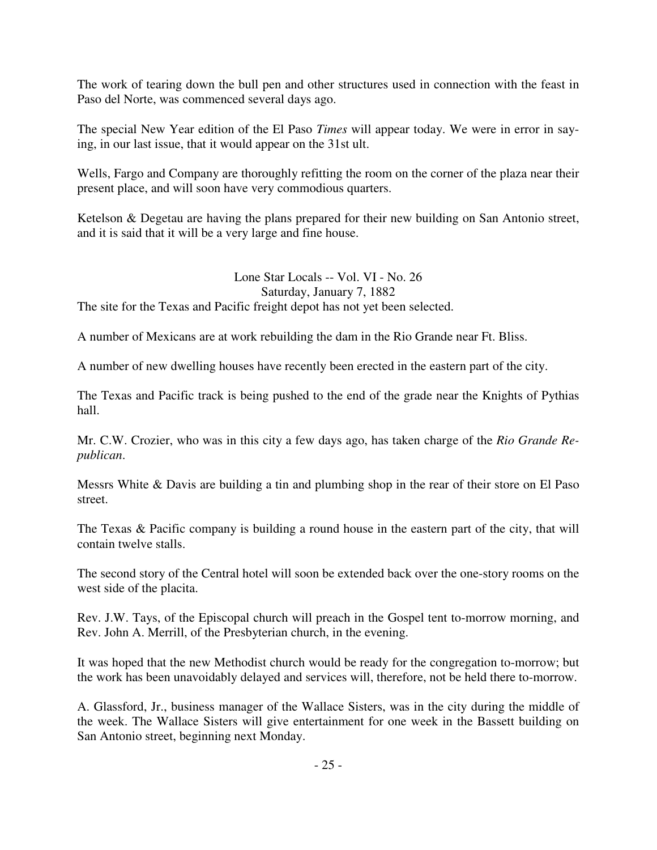The work of tearing down the bull pen and other structures used in connection with the feast in Paso del Norte, was commenced several days ago.

The special New Year edition of the El Paso *Times* will appear today. We were in error in saying, in our last issue, that it would appear on the 31st ult.

Wells, Fargo and Company are thoroughly refitting the room on the corner of the plaza near their present place, and will soon have very commodious quarters.

Ketelson & Degetau are having the plans prepared for their new building on San Antonio street, and it is said that it will be a very large and fine house.

Lone Star Locals -- Vol. VI - No. 26 Saturday, January 7, 1882 The site for the Texas and Pacific freight depot has not yet been selected.

A number of Mexicans are at work rebuilding the dam in the Rio Grande near Ft. Bliss.

A number of new dwelling houses have recently been erected in the eastern part of the city.

The Texas and Pacific track is being pushed to the end of the grade near the Knights of Pythias hall.

Mr. C.W. Crozier, who was in this city a few days ago, has taken charge of the *Rio Grande Republican*.

Messrs White & Davis are building a tin and plumbing shop in the rear of their store on El Paso street.

The Texas & Pacific company is building a round house in the eastern part of the city, that will contain twelve stalls.

The second story of the Central hotel will soon be extended back over the one-story rooms on the west side of the placita.

Rev. J.W. Tays, of the Episcopal church will preach in the Gospel tent to-morrow morning, and Rev. John A. Merrill, of the Presbyterian church, in the evening.

It was hoped that the new Methodist church would be ready for the congregation to-morrow; but the work has been unavoidably delayed and services will, therefore, not be held there to-morrow.

A. Glassford, Jr., business manager of the Wallace Sisters, was in the city during the middle of the week. The Wallace Sisters will give entertainment for one week in the Bassett building on San Antonio street, beginning next Monday.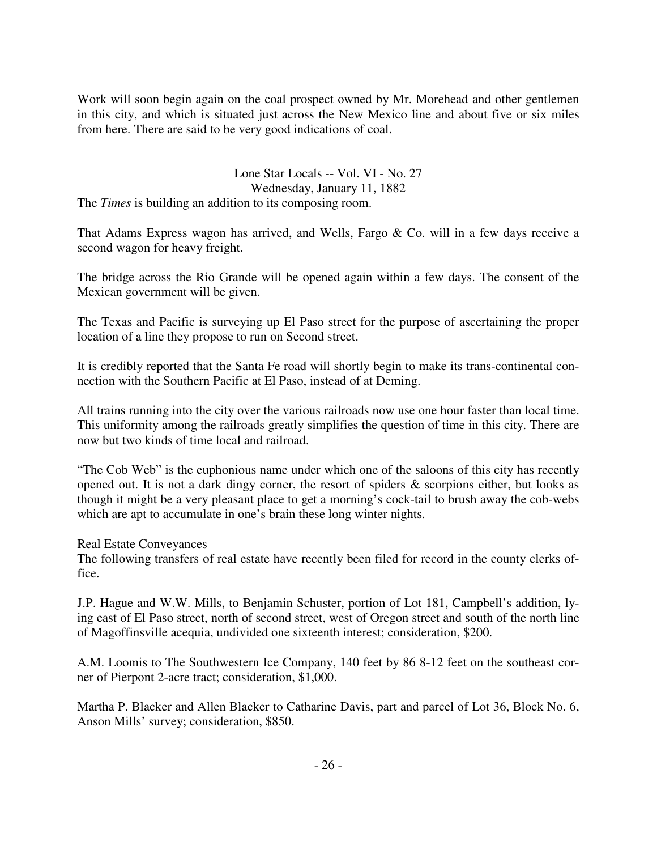Work will soon begin again on the coal prospect owned by Mr. Morehead and other gentlemen in this city, and which is situated just across the New Mexico line and about five or six miles from here. There are said to be very good indications of coal.

## Lone Star Locals -- Vol. VI - No. 27 Wednesday, January 11, 1882

The *Times* is building an addition to its composing room.

That Adams Express wagon has arrived, and Wells, Fargo & Co. will in a few days receive a second wagon for heavy freight.

The bridge across the Rio Grande will be opened again within a few days. The consent of the Mexican government will be given.

The Texas and Pacific is surveying up El Paso street for the purpose of ascertaining the proper location of a line they propose to run on Second street.

It is credibly reported that the Santa Fe road will shortly begin to make its trans-continental connection with the Southern Pacific at El Paso, instead of at Deming.

All trains running into the city over the various railroads now use one hour faster than local time. This uniformity among the railroads greatly simplifies the question of time in this city. There are now but two kinds of time local and railroad.

"The Cob Web" is the euphonious name under which one of the saloons of this city has recently opened out. It is not a dark dingy corner, the resort of spiders & scorpions either, but looks as though it might be a very pleasant place to get a morning's cock-tail to brush away the cob-webs which are apt to accumulate in one's brain these long winter nights.

Real Estate Conveyances

The following transfers of real estate have recently been filed for record in the county clerks office.

J.P. Hague and W.W. Mills, to Benjamin Schuster, portion of Lot 181, Campbell's addition, lying east of El Paso street, north of second street, west of Oregon street and south of the north line of Magoffinsville acequia, undivided one sixteenth interest; consideration, \$200.

A.M. Loomis to The Southwestern Ice Company, 140 feet by 86 8-12 feet on the southeast corner of Pierpont 2-acre tract; consideration, \$1,000.

Martha P. Blacker and Allen Blacker to Catharine Davis, part and parcel of Lot 36, Block No. 6, Anson Mills' survey; consideration, \$850.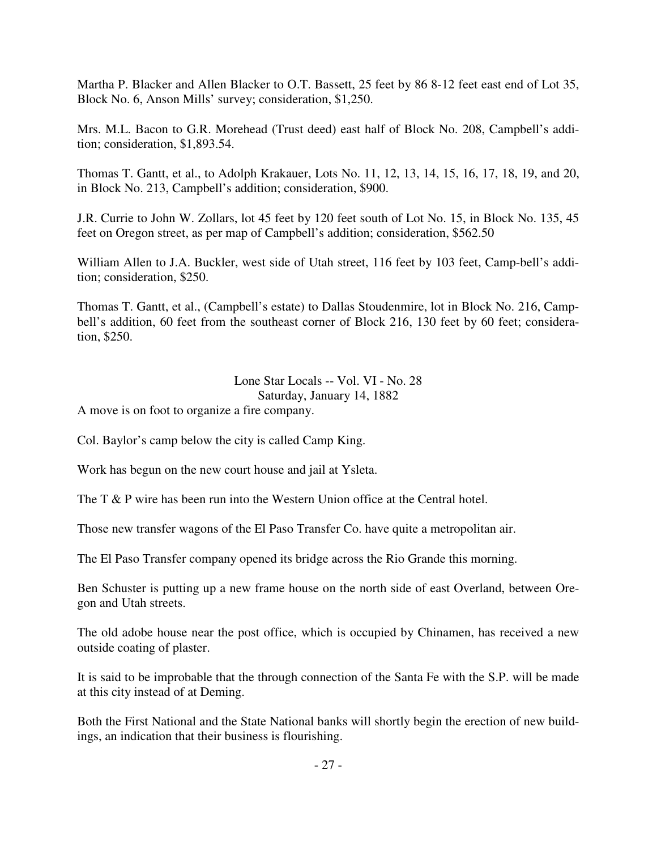Martha P. Blacker and Allen Blacker to O.T. Bassett, 25 feet by 86 8-12 feet east end of Lot 35, Block No. 6, Anson Mills' survey; consideration, \$1,250.

Mrs. M.L. Bacon to G.R. Morehead (Trust deed) east half of Block No. 208, Campbell's addition; consideration, \$1,893.54.

Thomas T. Gantt, et al., to Adolph Krakauer, Lots No. 11, 12, 13, 14, 15, 16, 17, 18, 19, and 20, in Block No. 213, Campbell's addition; consideration, \$900.

J.R. Currie to John W. Zollars, lot 45 feet by 120 feet south of Lot No. 15, in Block No. 135, 45 feet on Oregon street, as per map of Campbell's addition; consideration, \$562.50

William Allen to J.A. Buckler, west side of Utah street, 116 feet by 103 feet, Camp-bell's addition; consideration, \$250.

Thomas T. Gantt, et al., (Campbell's estate) to Dallas Stoudenmire, lot in Block No. 216, Campbell's addition, 60 feet from the southeast corner of Block 216, 130 feet by 60 feet; consideration, \$250.

Lone Star Locals -- Vol. VI - No. 28

Saturday, January 14, 1882

A move is on foot to organize a fire company.

Col. Baylor's camp below the city is called Camp King.

Work has begun on the new court house and jail at Ysleta.

The T & P wire has been run into the Western Union office at the Central hotel.

Those new transfer wagons of the El Paso Transfer Co. have quite a metropolitan air.

The El Paso Transfer company opened its bridge across the Rio Grande this morning.

Ben Schuster is putting up a new frame house on the north side of east Overland, between Oregon and Utah streets.

The old adobe house near the post office, which is occupied by Chinamen, has received a new outside coating of plaster.

It is said to be improbable that the through connection of the Santa Fe with the S.P. will be made at this city instead of at Deming.

Both the First National and the State National banks will shortly begin the erection of new buildings, an indication that their business is flourishing.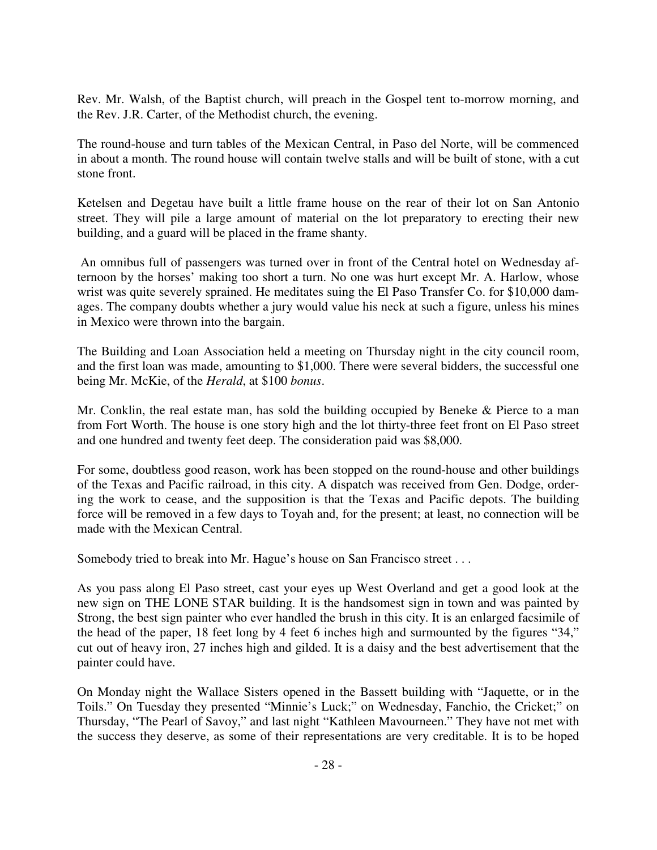Rev. Mr. Walsh, of the Baptist church, will preach in the Gospel tent to-morrow morning, and the Rev. J.R. Carter, of the Methodist church, the evening.

The round-house and turn tables of the Mexican Central, in Paso del Norte, will be commenced in about a month. The round house will contain twelve stalls and will be built of stone, with a cut stone front.

Ketelsen and Degetau have built a little frame house on the rear of their lot on San Antonio street. They will pile a large amount of material on the lot preparatory to erecting their new building, and a guard will be placed in the frame shanty.

 An omnibus full of passengers was turned over in front of the Central hotel on Wednesday afternoon by the horses' making too short a turn. No one was hurt except Mr. A. Harlow, whose wrist was quite severely sprained. He meditates suing the El Paso Transfer Co. for \$10,000 damages. The company doubts whether a jury would value his neck at such a figure, unless his mines in Mexico were thrown into the bargain.

The Building and Loan Association held a meeting on Thursday night in the city council room, and the first loan was made, amounting to \$1,000. There were several bidders, the successful one being Mr. McKie, of the *Herald*, at \$100 *bonus*.

Mr. Conklin, the real estate man, has sold the building occupied by Beneke & Pierce to a man from Fort Worth. The house is one story high and the lot thirty-three feet front on El Paso street and one hundred and twenty feet deep. The consideration paid was \$8,000.

For some, doubtless good reason, work has been stopped on the round-house and other buildings of the Texas and Pacific railroad, in this city. A dispatch was received from Gen. Dodge, ordering the work to cease, and the supposition is that the Texas and Pacific depots. The building force will be removed in a few days to Toyah and, for the present; at least, no connection will be made with the Mexican Central.

Somebody tried to break into Mr. Hague's house on San Francisco street . . .

As you pass along El Paso street, cast your eyes up West Overland and get a good look at the new sign on THE LONE STAR building. It is the handsomest sign in town and was painted by Strong, the best sign painter who ever handled the brush in this city. It is an enlarged facsimile of the head of the paper, 18 feet long by 4 feet 6 inches high and surmounted by the figures "34," cut out of heavy iron, 27 inches high and gilded. It is a daisy and the best advertisement that the painter could have.

On Monday night the Wallace Sisters opened in the Bassett building with "Jaquette, or in the Toils." On Tuesday they presented "Minnie's Luck;" on Wednesday, Fanchio, the Cricket;" on Thursday, "The Pearl of Savoy," and last night "Kathleen Mavourneen." They have not met with the success they deserve, as some of their representations are very creditable. It is to be hoped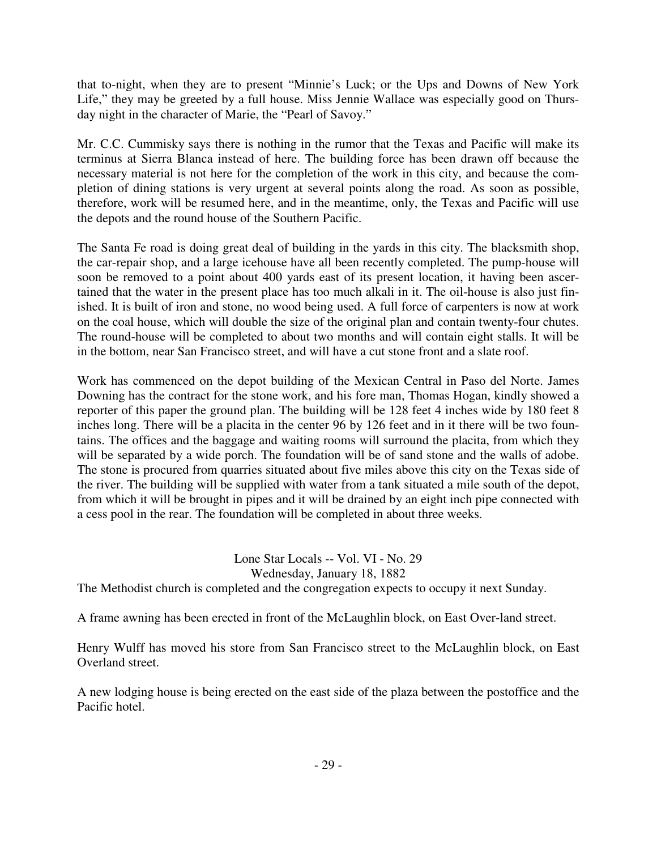that to-night, when they are to present "Minnie's Luck; or the Ups and Downs of New York Life," they may be greeted by a full house. Miss Jennie Wallace was especially good on Thursday night in the character of Marie, the "Pearl of Savoy."

Mr. C.C. Cummisky says there is nothing in the rumor that the Texas and Pacific will make its terminus at Sierra Blanca instead of here. The building force has been drawn off because the necessary material is not here for the completion of the work in this city, and because the completion of dining stations is very urgent at several points along the road. As soon as possible, therefore, work will be resumed here, and in the meantime, only, the Texas and Pacific will use the depots and the round house of the Southern Pacific.

The Santa Fe road is doing great deal of building in the yards in this city. The blacksmith shop, the car-repair shop, and a large icehouse have all been recently completed. The pump-house will soon be removed to a point about 400 yards east of its present location, it having been ascertained that the water in the present place has too much alkali in it. The oil-house is also just finished. It is built of iron and stone, no wood being used. A full force of carpenters is now at work on the coal house, which will double the size of the original plan and contain twenty-four chutes. The round-house will be completed to about two months and will contain eight stalls. It will be in the bottom, near San Francisco street, and will have a cut stone front and a slate roof.

Work has commenced on the depot building of the Mexican Central in Paso del Norte. James Downing has the contract for the stone work, and his fore man, Thomas Hogan, kindly showed a reporter of this paper the ground plan. The building will be 128 feet 4 inches wide by 180 feet 8 inches long. There will be a placita in the center 96 by 126 feet and in it there will be two fountains. The offices and the baggage and waiting rooms will surround the placita, from which they will be separated by a wide porch. The foundation will be of sand stone and the walls of adobe. The stone is procured from quarries situated about five miles above this city on the Texas side of the river. The building will be supplied with water from a tank situated a mile south of the depot, from which it will be brought in pipes and it will be drained by an eight inch pipe connected with a cess pool in the rear. The foundation will be completed in about three weeks.

> Lone Star Locals -- Vol. VI - No. 29 Wednesday, January 18, 1882

The Methodist church is completed and the congregation expects to occupy it next Sunday.

A frame awning has been erected in front of the McLaughlin block, on East Over-land street.

Henry Wulff has moved his store from San Francisco street to the McLaughlin block, on East Overland street.

A new lodging house is being erected on the east side of the plaza between the postoffice and the Pacific hotel.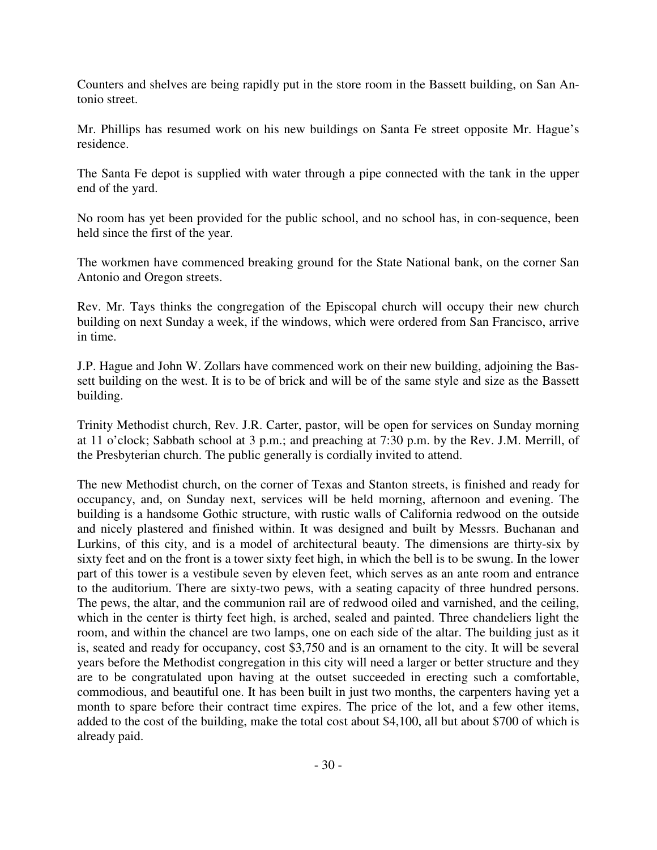Counters and shelves are being rapidly put in the store room in the Bassett building, on San Antonio street.

Mr. Phillips has resumed work on his new buildings on Santa Fe street opposite Mr. Hague's residence.

The Santa Fe depot is supplied with water through a pipe connected with the tank in the upper end of the yard.

No room has yet been provided for the public school, and no school has, in con-sequence, been held since the first of the year.

The workmen have commenced breaking ground for the State National bank, on the corner San Antonio and Oregon streets.

Rev. Mr. Tays thinks the congregation of the Episcopal church will occupy their new church building on next Sunday a week, if the windows, which were ordered from San Francisco, arrive in time.

J.P. Hague and John W. Zollars have commenced work on their new building, adjoining the Bassett building on the west. It is to be of brick and will be of the same style and size as the Bassett building.

Trinity Methodist church, Rev. J.R. Carter, pastor, will be open for services on Sunday morning at 11 o'clock; Sabbath school at 3 p.m.; and preaching at 7:30 p.m. by the Rev. J.M. Merrill, of the Presbyterian church. The public generally is cordially invited to attend.

The new Methodist church, on the corner of Texas and Stanton streets, is finished and ready for occupancy, and, on Sunday next, services will be held morning, afternoon and evening. The building is a handsome Gothic structure, with rustic walls of California redwood on the outside and nicely plastered and finished within. It was designed and built by Messrs. Buchanan and Lurkins, of this city, and is a model of architectural beauty. The dimensions are thirty-six by sixty feet and on the front is a tower sixty feet high, in which the bell is to be swung. In the lower part of this tower is a vestibule seven by eleven feet, which serves as an ante room and entrance to the auditorium. There are sixty-two pews, with a seating capacity of three hundred persons. The pews, the altar, and the communion rail are of redwood oiled and varnished, and the ceiling, which in the center is thirty feet high, is arched, sealed and painted. Three chandeliers light the room, and within the chancel are two lamps, one on each side of the altar. The building just as it is, seated and ready for occupancy, cost \$3,750 and is an ornament to the city. It will be several years before the Methodist congregation in this city will need a larger or better structure and they are to be congratulated upon having at the outset succeeded in erecting such a comfortable, commodious, and beautiful one. It has been built in just two months, the carpenters having yet a month to spare before their contract time expires. The price of the lot, and a few other items, added to the cost of the building, make the total cost about \$4,100, all but about \$700 of which is already paid.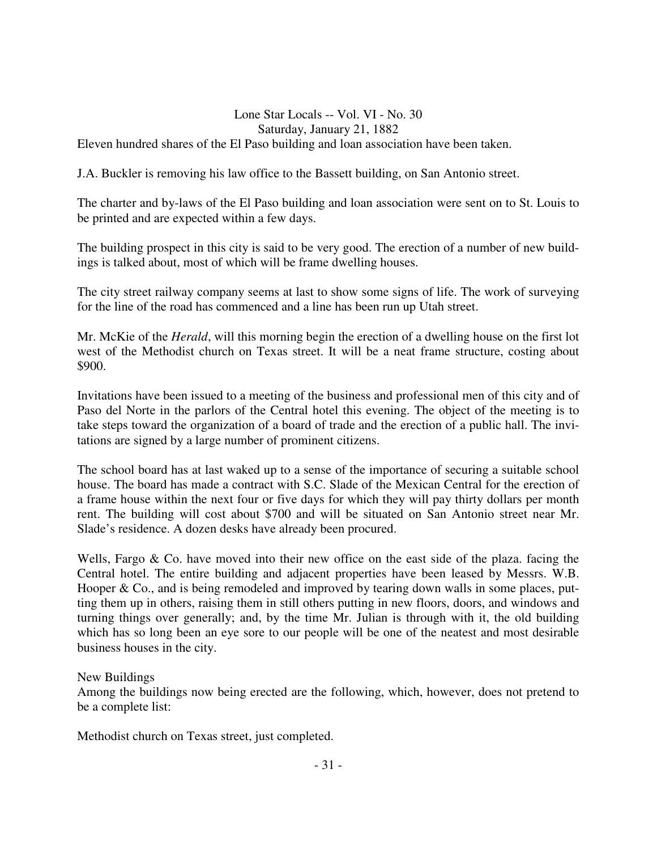#### Lone Star Locals -- Vol. VI - No. 30 Saturday, January 21, 1882 Eleven hundred shares of the El Paso building and loan association have been taken.

J.A. Buckler is removing his law office to the Bassett building, on San Antonio street.

The charter and by-laws of the El Paso building and loan association were sent on to St. Louis to be printed and are expected within a few days.

The building prospect in this city is said to be very good. The erection of a number of new buildings is talked about, most of which will be frame dwelling houses.

The city street railway company seems at last to show some signs of life. The work of surveying for the line of the road has commenced and a line has been run up Utah street.

Mr. McKie of the *Herald*, will this morning begin the erection of a dwelling house on the first lot west of the Methodist church on Texas street. It will be a neat frame structure, costing about \$900.

Invitations have been issued to a meeting of the business and professional men of this city and of Paso del Norte in the parlors of the Central hotel this evening. The object of the meeting is to take steps toward the organization of a board of trade and the erection of a public hall. The invitations are signed by a large number of prominent citizens.

The school board has at last waked up to a sense of the importance of securing a suitable school house. The board has made a contract with S.C. Slade of the Mexican Central for the erection of a frame house within the next four or five days for which they will pay thirty dollars per month rent. The building will cost about \$700 and will be situated on San Antonio street near Mr. Slade's residence. A dozen desks have already been procured.

Wells, Fargo  $\&$  Co. have moved into their new office on the east side of the plaza. facing the Central hotel. The entire building and adjacent properties have been leased by Messrs. W.B. Hooper & Co., and is being remodeled and improved by tearing down walls in some places, putting them up in others, raising them in still others putting in new floors, doors, and windows and turning things over generally; and, by the time Mr. Julian is through with it, the old building which has so long been an eye sore to our people will be one of the neatest and most desirable business houses in the city.

New Buildings

Among the buildings now being erected are the following, which, however, does not pretend to be a complete list:

Methodist church on Texas street, just completed.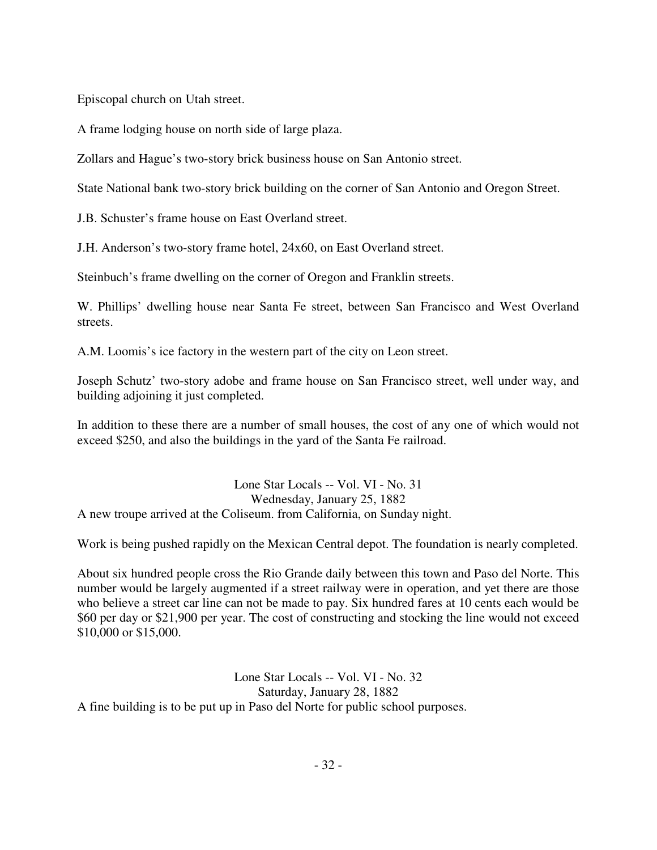Episcopal church on Utah street.

A frame lodging house on north side of large plaza.

Zollars and Hague's two-story brick business house on San Antonio street.

State National bank two-story brick building on the corner of San Antonio and Oregon Street.

J.B. Schuster's frame house on East Overland street.

J.H. Anderson's two-story frame hotel, 24x60, on East Overland street.

Steinbuch's frame dwelling on the corner of Oregon and Franklin streets.

W. Phillips' dwelling house near Santa Fe street, between San Francisco and West Overland streets.

A.M. Loomis's ice factory in the western part of the city on Leon street.

Joseph Schutz' two-story adobe and frame house on San Francisco street, well under way, and building adjoining it just completed.

In addition to these there are a number of small houses, the cost of any one of which would not exceed \$250, and also the buildings in the yard of the Santa Fe railroad.

Lone Star Locals -- Vol. VI - No. 31 Wednesday, January 25, 1882 A new troupe arrived at the Coliseum. from California, on Sunday night.

Work is being pushed rapidly on the Mexican Central depot. The foundation is nearly completed.

About six hundred people cross the Rio Grande daily between this town and Paso del Norte. This number would be largely augmented if a street railway were in operation, and yet there are those who believe a street car line can not be made to pay. Six hundred fares at 10 cents each would be \$60 per day or \$21,900 per year. The cost of constructing and stocking the line would not exceed \$10,000 or \$15,000.

Lone Star Locals -- Vol. VI - No. 32 Saturday, January 28, 1882 A fine building is to be put up in Paso del Norte for public school purposes.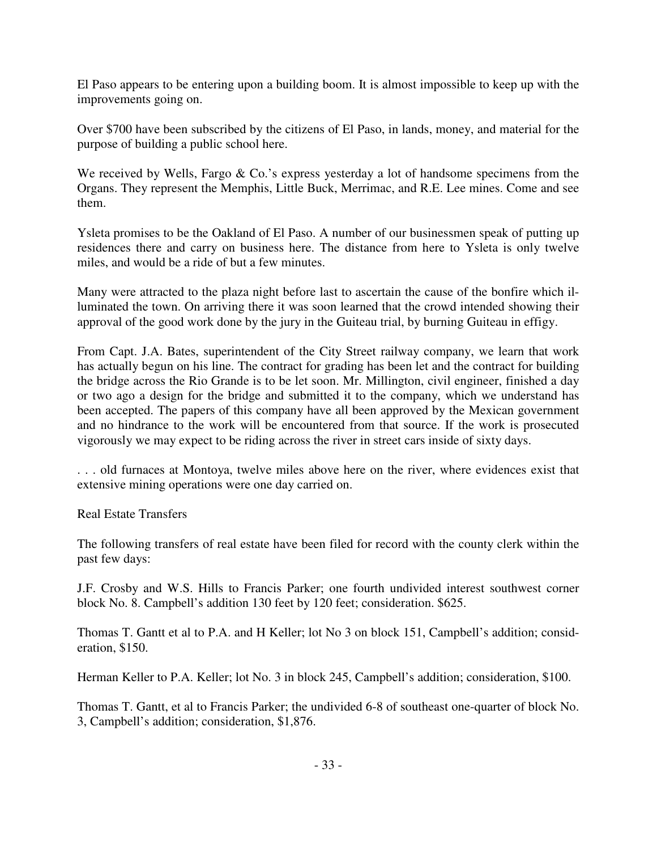El Paso appears to be entering upon a building boom. It is almost impossible to keep up with the improvements going on.

Over \$700 have been subscribed by the citizens of El Paso, in lands, money, and material for the purpose of building a public school here.

We received by Wells, Fargo & Co.'s express yesterday a lot of handsome specimens from the Organs. They represent the Memphis, Little Buck, Merrimac, and R.E. Lee mines. Come and see them.

Ysleta promises to be the Oakland of El Paso. A number of our businessmen speak of putting up residences there and carry on business here. The distance from here to Ysleta is only twelve miles, and would be a ride of but a few minutes.

Many were attracted to the plaza night before last to ascertain the cause of the bonfire which illuminated the town. On arriving there it was soon learned that the crowd intended showing their approval of the good work done by the jury in the Guiteau trial, by burning Guiteau in effigy.

From Capt. J.A. Bates, superintendent of the City Street railway company, we learn that work has actually begun on his line. The contract for grading has been let and the contract for building the bridge across the Rio Grande is to be let soon. Mr. Millington, civil engineer, finished a day or two ago a design for the bridge and submitted it to the company, which we understand has been accepted. The papers of this company have all been approved by the Mexican government and no hindrance to the work will be encountered from that source. If the work is prosecuted vigorously we may expect to be riding across the river in street cars inside of sixty days.

. . . old furnaces at Montoya, twelve miles above here on the river, where evidences exist that extensive mining operations were one day carried on.

Real Estate Transfers

The following transfers of real estate have been filed for record with the county clerk within the past few days:

J.F. Crosby and W.S. Hills to Francis Parker; one fourth undivided interest southwest corner block No. 8. Campbell's addition 130 feet by 120 feet; consideration. \$625.

Thomas T. Gantt et al to P.A. and H Keller; lot No 3 on block 151, Campbell's addition; consideration, \$150.

Herman Keller to P.A. Keller; lot No. 3 in block 245, Campbell's addition; consideration, \$100.

Thomas T. Gantt, et al to Francis Parker; the undivided 6-8 of southeast one-quarter of block No. 3, Campbell's addition; consideration, \$1,876.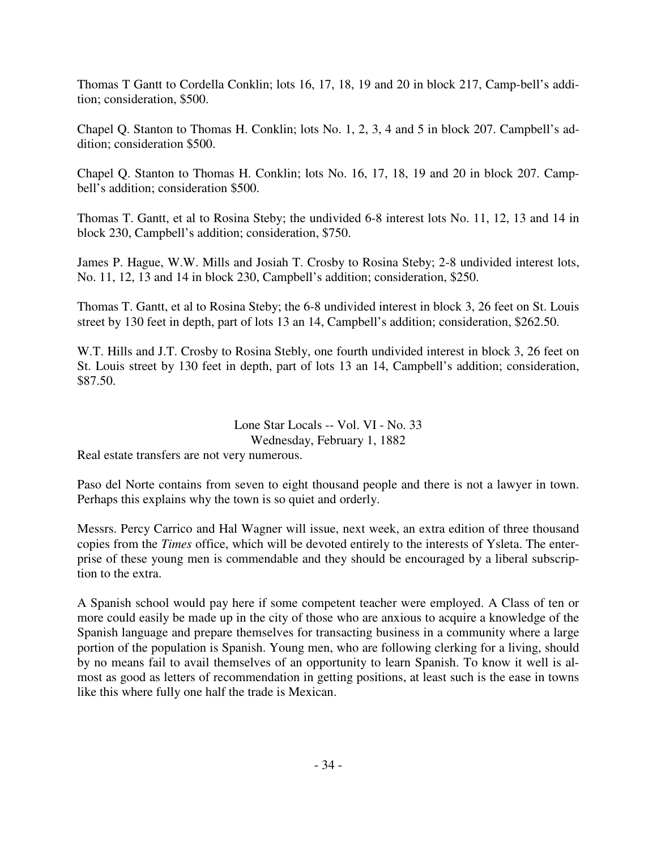Thomas T Gantt to Cordella Conklin; lots 16, 17, 18, 19 and 20 in block 217, Camp-bell's addition; consideration, \$500.

Chapel Q. Stanton to Thomas H. Conklin; lots No. 1, 2, 3, 4 and 5 in block 207. Campbell's addition; consideration \$500.

Chapel Q. Stanton to Thomas H. Conklin; lots No. 16, 17, 18, 19 and 20 in block 207. Campbell's addition; consideration \$500.

Thomas T. Gantt, et al to Rosina Steby; the undivided 6-8 interest lots No. 11, 12, 13 and 14 in block 230, Campbell's addition; consideration, \$750.

James P. Hague, W.W. Mills and Josiah T. Crosby to Rosina Steby; 2-8 undivided interest lots, No. 11, 12, 13 and 14 in block 230, Campbell's addition; consideration, \$250.

Thomas T. Gantt, et al to Rosina Steby; the 6-8 undivided interest in block 3, 26 feet on St. Louis street by 130 feet in depth, part of lots 13 an 14, Campbell's addition; consideration, \$262.50.

W.T. Hills and J.T. Crosby to Rosina Stebly, one fourth undivided interest in block 3, 26 feet on St. Louis street by 130 feet in depth, part of lots 13 an 14, Campbell's addition; consideration, \$87.50.

#### Lone Star Locals -- Vol. VI - No. 33 Wednesday, February 1, 1882

Real estate transfers are not very numerous.

Paso del Norte contains from seven to eight thousand people and there is not a lawyer in town. Perhaps this explains why the town is so quiet and orderly.

Messrs. Percy Carrico and Hal Wagner will issue, next week, an extra edition of three thousand copies from the *Times* office, which will be devoted entirely to the interests of Ysleta. The enterprise of these young men is commendable and they should be encouraged by a liberal subscription to the extra.

A Spanish school would pay here if some competent teacher were employed. A Class of ten or more could easily be made up in the city of those who are anxious to acquire a knowledge of the Spanish language and prepare themselves for transacting business in a community where a large portion of the population is Spanish. Young men, who are following clerking for a living, should by no means fail to avail themselves of an opportunity to learn Spanish. To know it well is almost as good as letters of recommendation in getting positions, at least such is the ease in towns like this where fully one half the trade is Mexican.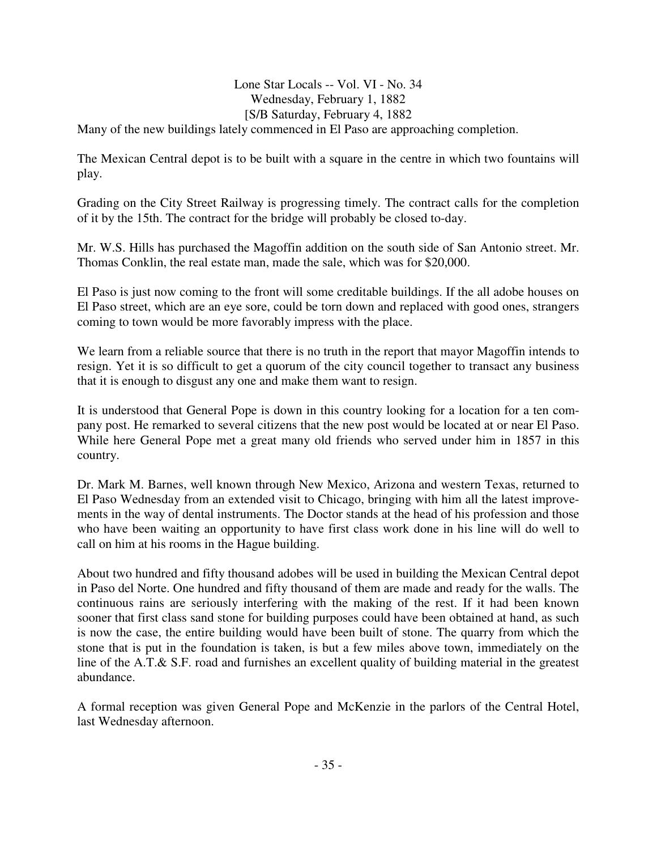## Lone Star Locals -- Vol. VI - No. 34 Wednesday, February 1, 1882 [S/B Saturday, February 4, 1882

Many of the new buildings lately commenced in El Paso are approaching completion.

The Mexican Central depot is to be built with a square in the centre in which two fountains will play.

Grading on the City Street Railway is progressing timely. The contract calls for the completion of it by the 15th. The contract for the bridge will probably be closed to-day.

Mr. W.S. Hills has purchased the Magoffin addition on the south side of San Antonio street. Mr. Thomas Conklin, the real estate man, made the sale, which was for \$20,000.

El Paso is just now coming to the front will some creditable buildings. If the all adobe houses on El Paso street, which are an eye sore, could be torn down and replaced with good ones, strangers coming to town would be more favorably impress with the place.

We learn from a reliable source that there is no truth in the report that mayor Magoffin intends to resign. Yet it is so difficult to get a quorum of the city council together to transact any business that it is enough to disgust any one and make them want to resign.

It is understood that General Pope is down in this country looking for a location for a ten company post. He remarked to several citizens that the new post would be located at or near El Paso. While here General Pope met a great many old friends who served under him in 1857 in this country.

Dr. Mark M. Barnes, well known through New Mexico, Arizona and western Texas, returned to El Paso Wednesday from an extended visit to Chicago, bringing with him all the latest improvements in the way of dental instruments. The Doctor stands at the head of his profession and those who have been waiting an opportunity to have first class work done in his line will do well to call on him at his rooms in the Hague building.

About two hundred and fifty thousand adobes will be used in building the Mexican Central depot in Paso del Norte. One hundred and fifty thousand of them are made and ready for the walls. The continuous rains are seriously interfering with the making of the rest. If it had been known sooner that first class sand stone for building purposes could have been obtained at hand, as such is now the case, the entire building would have been built of stone. The quarry from which the stone that is put in the foundation is taken, is but a few miles above town, immediately on the line of the A.T.& S.F. road and furnishes an excellent quality of building material in the greatest abundance.

A formal reception was given General Pope and McKenzie in the parlors of the Central Hotel, last Wednesday afternoon.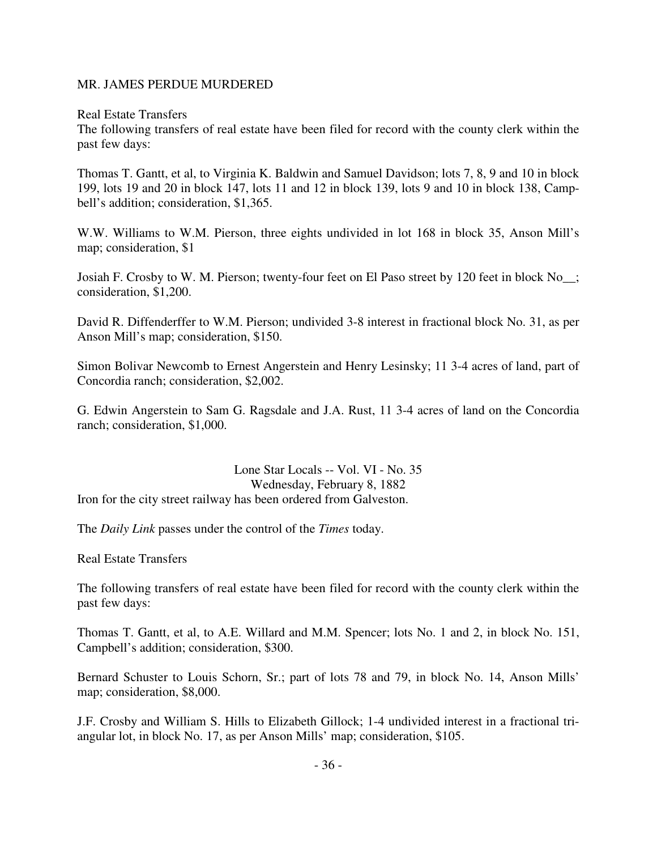#### MR. JAMES PERDUE MURDERED

Real Estate Transfers

The following transfers of real estate have been filed for record with the county clerk within the past few days:

Thomas T. Gantt, et al, to Virginia K. Baldwin and Samuel Davidson; lots 7, 8, 9 and 10 in block 199, lots 19 and 20 in block 147, lots 11 and 12 in block 139, lots 9 and 10 in block 138, Campbell's addition; consideration, \$1,365.

W.W. Williams to W.M. Pierson, three eights undivided in lot 168 in block 35, Anson Mill's map; consideration, \$1

Josiah F. Crosby to W. M. Pierson; twenty-four feet on El Paso street by 120 feet in block No\_\_; consideration, \$1,200.

David R. Diffenderffer to W.M. Pierson; undivided 3-8 interest in fractional block No. 31, as per Anson Mill's map; consideration, \$150.

Simon Bolivar Newcomb to Ernest Angerstein and Henry Lesinsky; 11 3-4 acres of land, part of Concordia ranch; consideration, \$2,002.

G. Edwin Angerstein to Sam G. Ragsdale and J.A. Rust, 11 3-4 acres of land on the Concordia ranch; consideration, \$1,000.

Lone Star Locals -- Vol. VI - No. 35 Wednesday, February 8, 1882 Iron for the city street railway has been ordered from Galveston.

The *Daily Link* passes under the control of the *Times* today.

Real Estate Transfers

The following transfers of real estate have been filed for record with the county clerk within the past few days:

Thomas T. Gantt, et al, to A.E. Willard and M.M. Spencer; lots No. 1 and 2, in block No. 151, Campbell's addition; consideration, \$300.

Bernard Schuster to Louis Schorn, Sr.; part of lots 78 and 79, in block No. 14, Anson Mills' map; consideration, \$8,000.

J.F. Crosby and William S. Hills to Elizabeth Gillock; 1-4 undivided interest in a fractional triangular lot, in block No. 17, as per Anson Mills' map; consideration, \$105.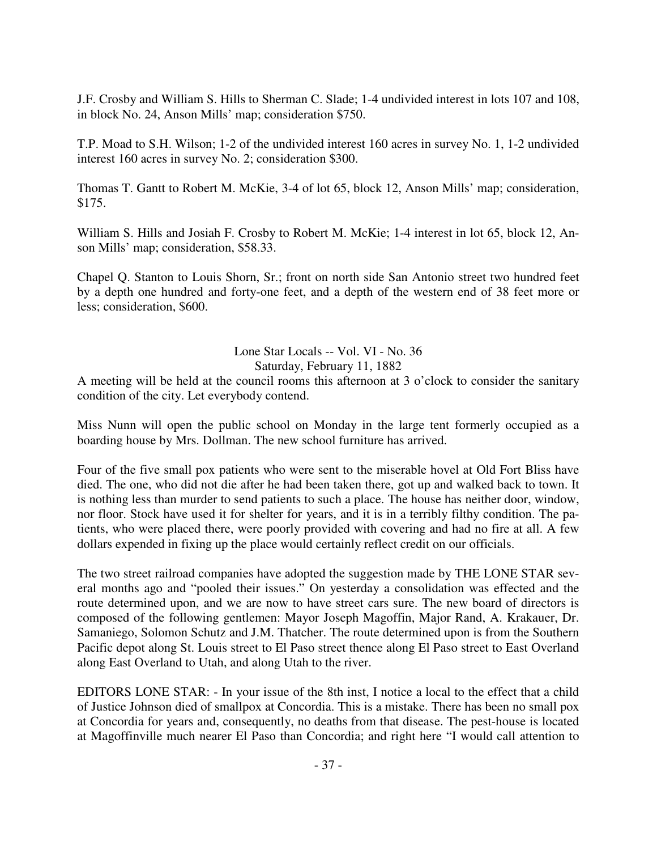J.F. Crosby and William S. Hills to Sherman C. Slade; 1-4 undivided interest in lots 107 and 108, in block No. 24, Anson Mills' map; consideration \$750.

T.P. Moad to S.H. Wilson; 1-2 of the undivided interest 160 acres in survey No. 1, 1-2 undivided interest 160 acres in survey No. 2; consideration \$300.

Thomas T. Gantt to Robert M. McKie, 3-4 of lot 65, block 12, Anson Mills' map; consideration, \$175.

William S. Hills and Josiah F. Crosby to Robert M. McKie; 1-4 interest in lot 65, block 12, Anson Mills' map; consideration, \$58.33.

Chapel Q. Stanton to Louis Shorn, Sr.; front on north side San Antonio street two hundred feet by a depth one hundred and forty-one feet, and a depth of the western end of 38 feet more or less; consideration, \$600.

Lone Star Locals -- Vol. VI - No. 36

Saturday, February 11, 1882

A meeting will be held at the council rooms this afternoon at 3 o'clock to consider the sanitary condition of the city. Let everybody contend.

Miss Nunn will open the public school on Monday in the large tent formerly occupied as a boarding house by Mrs. Dollman. The new school furniture has arrived.

Four of the five small pox patients who were sent to the miserable hovel at Old Fort Bliss have died. The one, who did not die after he had been taken there, got up and walked back to town. It is nothing less than murder to send patients to such a place. The house has neither door, window, nor floor. Stock have used it for shelter for years, and it is in a terribly filthy condition. The patients, who were placed there, were poorly provided with covering and had no fire at all. A few dollars expended in fixing up the place would certainly reflect credit on our officials.

The two street railroad companies have adopted the suggestion made by THE LONE STAR several months ago and "pooled their issues." On yesterday a consolidation was effected and the route determined upon, and we are now to have street cars sure. The new board of directors is composed of the following gentlemen: Mayor Joseph Magoffin, Major Rand, A. Krakauer, Dr. Samaniego, Solomon Schutz and J.M. Thatcher. The route determined upon is from the Southern Pacific depot along St. Louis street to El Paso street thence along El Paso street to East Overland along East Overland to Utah, and along Utah to the river.

EDITORS LONE STAR: - In your issue of the 8th inst, I notice a local to the effect that a child of Justice Johnson died of smallpox at Concordia. This is a mistake. There has been no small pox at Concordia for years and, consequently, no deaths from that disease. The pest-house is located at Magoffinville much nearer El Paso than Concordia; and right here "I would call attention to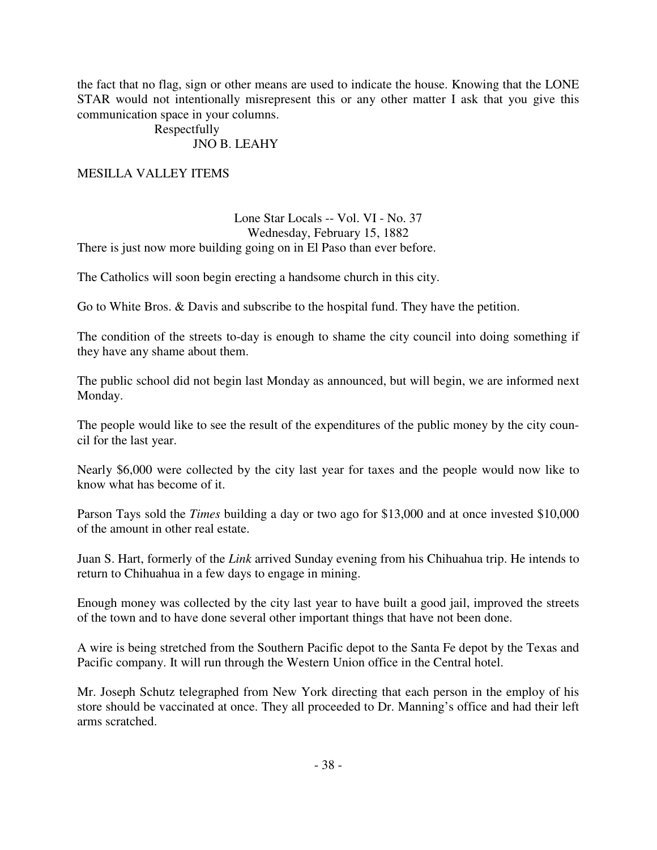the fact that no flag, sign or other means are used to indicate the house. Knowing that the LONE STAR would not intentionally misrepresent this or any other matter I ask that you give this communication space in your columns.

#### Respectfully JNO B. LEAHY

## MESILLA VALLEY ITEMS

### Lone Star Locals -- Vol. VI - No. 37 Wednesday, February 15, 1882 There is just now more building going on in El Paso than ever before.

The Catholics will soon begin erecting a handsome church in this city.

Go to White Bros. & Davis and subscribe to the hospital fund. They have the petition.

The condition of the streets to-day is enough to shame the city council into doing something if they have any shame about them.

The public school did not begin last Monday as announced, but will begin, we are informed next Monday.

The people would like to see the result of the expenditures of the public money by the city council for the last year.

Nearly \$6,000 were collected by the city last year for taxes and the people would now like to know what has become of it.

Parson Tays sold the *Times* building a day or two ago for \$13,000 and at once invested \$10,000 of the amount in other real estate.

Juan S. Hart, formerly of the *Link* arrived Sunday evening from his Chihuahua trip. He intends to return to Chihuahua in a few days to engage in mining.

Enough money was collected by the city last year to have built a good jail, improved the streets of the town and to have done several other important things that have not been done.

A wire is being stretched from the Southern Pacific depot to the Santa Fe depot by the Texas and Pacific company. It will run through the Western Union office in the Central hotel.

Mr. Joseph Schutz telegraphed from New York directing that each person in the employ of his store should be vaccinated at once. They all proceeded to Dr. Manning's office and had their left arms scratched.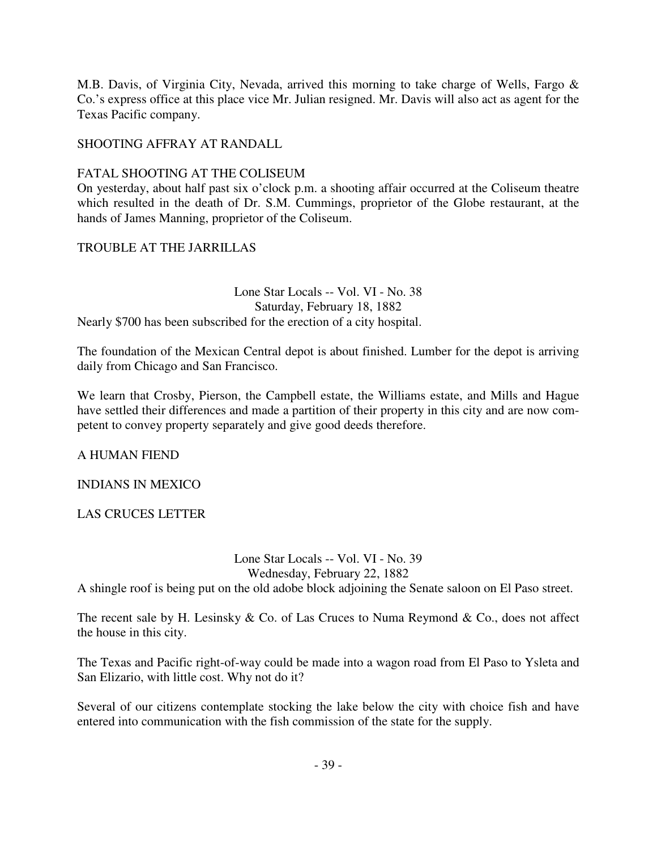M.B. Davis, of Virginia City, Nevada, arrived this morning to take charge of Wells, Fargo & Co.'s express office at this place vice Mr. Julian resigned. Mr. Davis will also act as agent for the Texas Pacific company.

# SHOOTING AFFRAY AT RANDALL

# FATAL SHOOTING AT THE COLISEUM

On yesterday, about half past six o'clock p.m. a shooting affair occurred at the Coliseum theatre which resulted in the death of Dr. S.M. Cummings, proprietor of the Globe restaurant, at the hands of James Manning, proprietor of the Coliseum.

# TROUBLE AT THE JARRILLAS

Lone Star Locals -- Vol. VI - No. 38 Saturday, February 18, 1882 Nearly \$700 has been subscribed for the erection of a city hospital.

The foundation of the Mexican Central depot is about finished. Lumber for the depot is arriving daily from Chicago and San Francisco.

We learn that Crosby, Pierson, the Campbell estate, the Williams estate, and Mills and Hague have settled their differences and made a partition of their property in this city and are now competent to convey property separately and give good deeds therefore.

A HUMAN FIEND

INDIANS IN MEXICO

LAS CRUCES LETTER

Lone Star Locals -- Vol. VI - No. 39 Wednesday, February 22, 1882

A shingle roof is being put on the old adobe block adjoining the Senate saloon on El Paso street.

The recent sale by H. Lesinsky & Co. of Las Cruces to Numa Reymond & Co., does not affect the house in this city.

The Texas and Pacific right-of-way could be made into a wagon road from El Paso to Ysleta and San Elizario, with little cost. Why not do it?

Several of our citizens contemplate stocking the lake below the city with choice fish and have entered into communication with the fish commission of the state for the supply.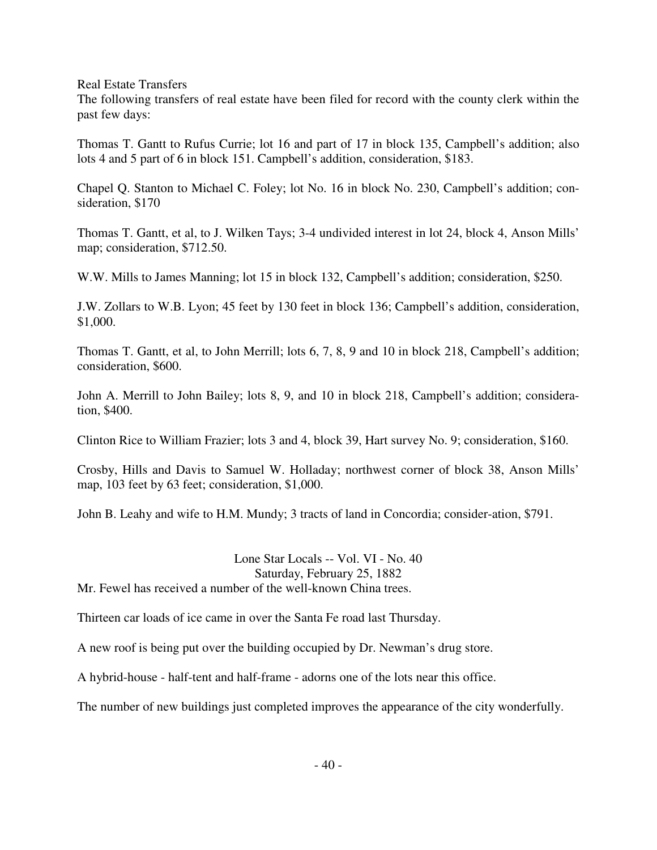Real Estate Transfers

The following transfers of real estate have been filed for record with the county clerk within the past few days:

Thomas T. Gantt to Rufus Currie; lot 16 and part of 17 in block 135, Campbell's addition; also lots 4 and 5 part of 6 in block 151. Campbell's addition, consideration, \$183.

Chapel Q. Stanton to Michael C. Foley; lot No. 16 in block No. 230, Campbell's addition; consideration, \$170

Thomas T. Gantt, et al, to J. Wilken Tays; 3-4 undivided interest in lot 24, block 4, Anson Mills' map; consideration, \$712.50.

W.W. Mills to James Manning; lot 15 in block 132, Campbell's addition; consideration, \$250.

J.W. Zollars to W.B. Lyon; 45 feet by 130 feet in block 136; Campbell's addition, consideration, \$1,000.

Thomas T. Gantt, et al, to John Merrill; lots 6, 7, 8, 9 and 10 in block 218, Campbell's addition; consideration, \$600.

John A. Merrill to John Bailey; lots 8, 9, and 10 in block 218, Campbell's addition; consideration, \$400.

Clinton Rice to William Frazier; lots 3 and 4, block 39, Hart survey No. 9; consideration, \$160.

Crosby, Hills and Davis to Samuel W. Holladay; northwest corner of block 38, Anson Mills' map, 103 feet by 63 feet; consideration, \$1,000.

John B. Leahy and wife to H.M. Mundy; 3 tracts of land in Concordia; consider-ation, \$791.

Lone Star Locals -- Vol. VI - No. 40 Saturday, February 25, 1882 Mr. Fewel has received a number of the well-known China trees.

Thirteen car loads of ice came in over the Santa Fe road last Thursday.

A new roof is being put over the building occupied by Dr. Newman's drug store.

A hybrid-house - half-tent and half-frame - adorns one of the lots near this office.

The number of new buildings just completed improves the appearance of the city wonderfully.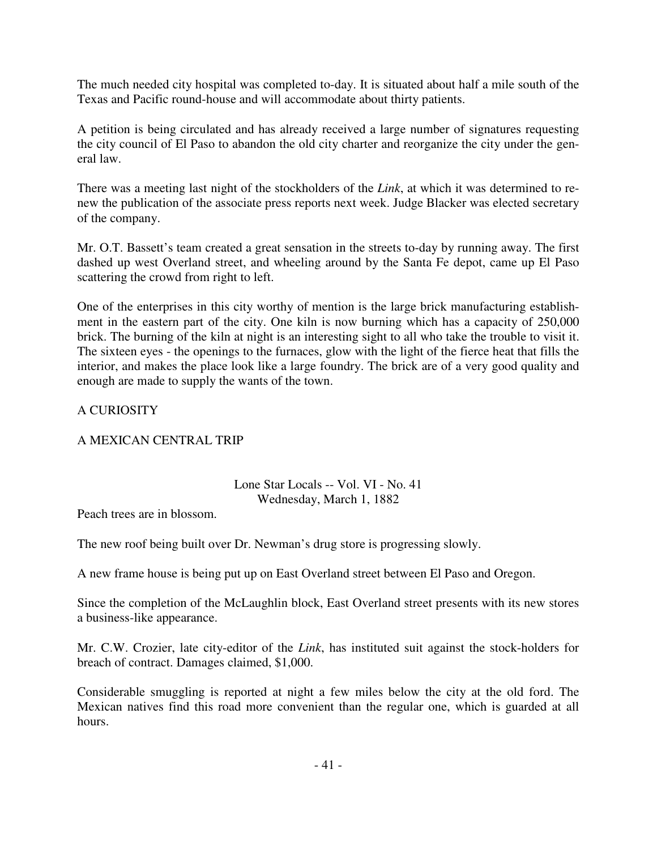The much needed city hospital was completed to-day. It is situated about half a mile south of the Texas and Pacific round-house and will accommodate about thirty patients.

A petition is being circulated and has already received a large number of signatures requesting the city council of El Paso to abandon the old city charter and reorganize the city under the general law.

There was a meeting last night of the stockholders of the *Link*, at which it was determined to renew the publication of the associate press reports next week. Judge Blacker was elected secretary of the company.

Mr. O.T. Bassett's team created a great sensation in the streets to-day by running away. The first dashed up west Overland street, and wheeling around by the Santa Fe depot, came up El Paso scattering the crowd from right to left.

One of the enterprises in this city worthy of mention is the large brick manufacturing establishment in the eastern part of the city. One kiln is now burning which has a capacity of 250,000 brick. The burning of the kiln at night is an interesting sight to all who take the trouble to visit it. The sixteen eyes - the openings to the furnaces, glow with the light of the fierce heat that fills the interior, and makes the place look like a large foundry. The brick are of a very good quality and enough are made to supply the wants of the town.

# A CURIOSITY

## A MEXICAN CENTRAL TRIP

# Lone Star Locals -- Vol. VI - No. 41 Wednesday, March 1, 1882

Peach trees are in blossom.

The new roof being built over Dr. Newman's drug store is progressing slowly.

A new frame house is being put up on East Overland street between El Paso and Oregon.

Since the completion of the McLaughlin block, East Overland street presents with its new stores a business-like appearance.

Mr. C.W. Crozier, late city-editor of the *Link*, has instituted suit against the stock-holders for breach of contract. Damages claimed, \$1,000.

Considerable smuggling is reported at night a few miles below the city at the old ford. The Mexican natives find this road more convenient than the regular one, which is guarded at all hours.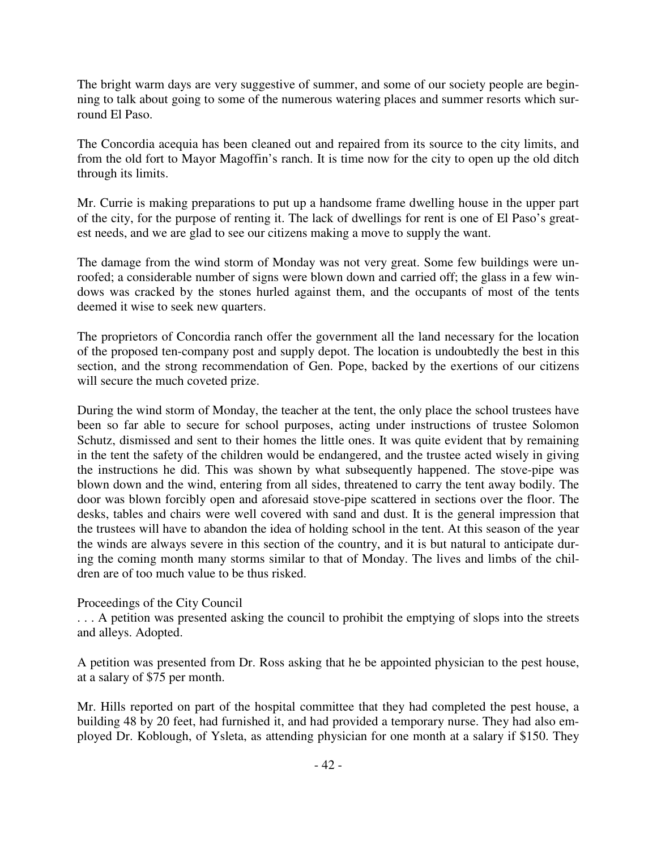The bright warm days are very suggestive of summer, and some of our society people are beginning to talk about going to some of the numerous watering places and summer resorts which surround El Paso.

The Concordia acequia has been cleaned out and repaired from its source to the city limits, and from the old fort to Mayor Magoffin's ranch. It is time now for the city to open up the old ditch through its limits.

Mr. Currie is making preparations to put up a handsome frame dwelling house in the upper part of the city, for the purpose of renting it. The lack of dwellings for rent is one of El Paso's greatest needs, and we are glad to see our citizens making a move to supply the want.

The damage from the wind storm of Monday was not very great. Some few buildings were unroofed; a considerable number of signs were blown down and carried off; the glass in a few windows was cracked by the stones hurled against them, and the occupants of most of the tents deemed it wise to seek new quarters.

The proprietors of Concordia ranch offer the government all the land necessary for the location of the proposed ten-company post and supply depot. The location is undoubtedly the best in this section, and the strong recommendation of Gen. Pope, backed by the exertions of our citizens will secure the much coveted prize.

During the wind storm of Monday, the teacher at the tent, the only place the school trustees have been so far able to secure for school purposes, acting under instructions of trustee Solomon Schutz, dismissed and sent to their homes the little ones. It was quite evident that by remaining in the tent the safety of the children would be endangered, and the trustee acted wisely in giving the instructions he did. This was shown by what subsequently happened. The stove-pipe was blown down and the wind, entering from all sides, threatened to carry the tent away bodily. The door was blown forcibly open and aforesaid stove-pipe scattered in sections over the floor. The desks, tables and chairs were well covered with sand and dust. It is the general impression that the trustees will have to abandon the idea of holding school in the tent. At this season of the year the winds are always severe in this section of the country, and it is but natural to anticipate during the coming month many storms similar to that of Monday. The lives and limbs of the children are of too much value to be thus risked.

## Proceedings of the City Council

. . . A petition was presented asking the council to prohibit the emptying of slops into the streets and alleys. Adopted.

A petition was presented from Dr. Ross asking that he be appointed physician to the pest house, at a salary of \$75 per month.

Mr. Hills reported on part of the hospital committee that they had completed the pest house, a building 48 by 20 feet, had furnished it, and had provided a temporary nurse. They had also employed Dr. Koblough, of Ysleta, as attending physician for one month at a salary if \$150. They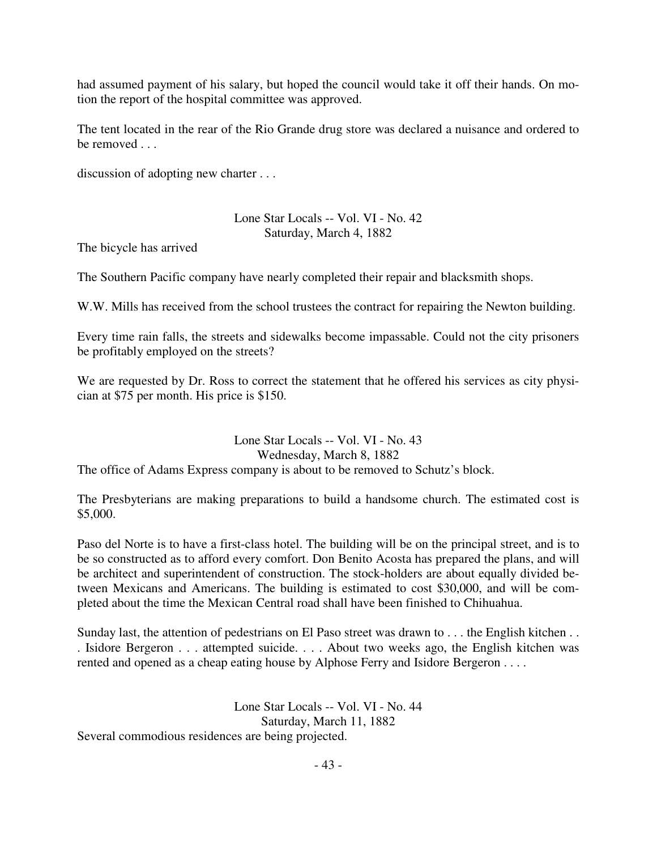had assumed payment of his salary, but hoped the council would take it off their hands. On motion the report of the hospital committee was approved.

The tent located in the rear of the Rio Grande drug store was declared a nuisance and ordered to be removed . . .

discussion of adopting new charter . . .

### Lone Star Locals -- Vol. VI - No. 42 Saturday, March 4, 1882

The bicycle has arrived

The Southern Pacific company have nearly completed their repair and blacksmith shops.

W.W. Mills has received from the school trustees the contract for repairing the Newton building.

Every time rain falls, the streets and sidewalks become impassable. Could not the city prisoners be profitably employed on the streets?

We are requested by Dr. Ross to correct the statement that he offered his services as city physician at \$75 per month. His price is \$150.

#### Lone Star Locals -- Vol. VI - No. 43 Wednesday, March 8, 1882

The office of Adams Express company is about to be removed to Schutz's block.

The Presbyterians are making preparations to build a handsome church. The estimated cost is \$5,000.

Paso del Norte is to have a first-class hotel. The building will be on the principal street, and is to be so constructed as to afford every comfort. Don Benito Acosta has prepared the plans, and will be architect and superintendent of construction. The stock-holders are about equally divided between Mexicans and Americans. The building is estimated to cost \$30,000, and will be completed about the time the Mexican Central road shall have been finished to Chihuahua.

Sunday last, the attention of pedestrians on El Paso street was drawn to . . . the English kitchen . . . Isidore Bergeron . . . attempted suicide. . . . About two weeks ago, the English kitchen was rented and opened as a cheap eating house by Alphose Ferry and Isidore Bergeron . . . .

> Lone Star Locals -- Vol. VI - No. 44 Saturday, March 11, 1882

Several commodious residences are being projected.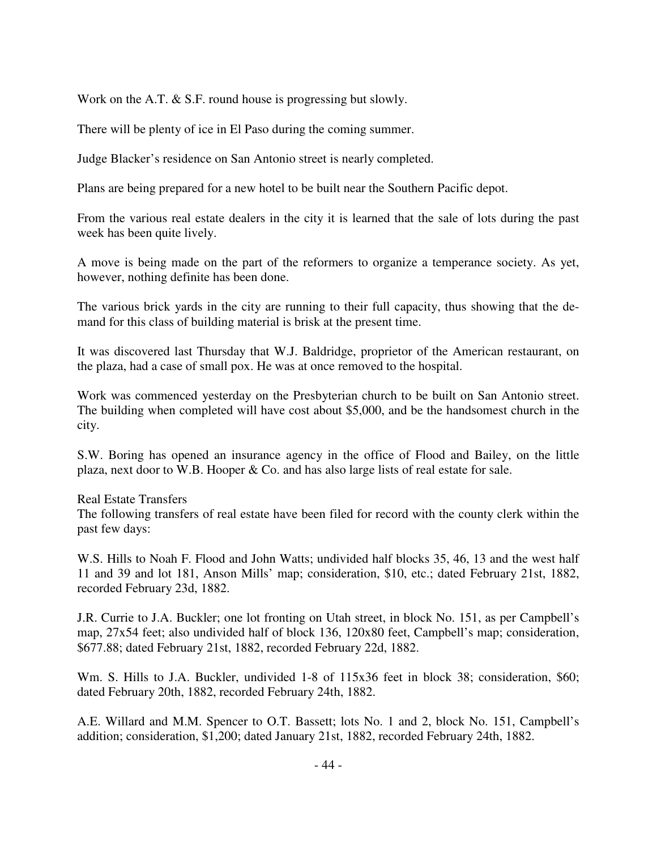Work on the A.T. & S.F. round house is progressing but slowly.

There will be plenty of ice in El Paso during the coming summer.

Judge Blacker's residence on San Antonio street is nearly completed.

Plans are being prepared for a new hotel to be built near the Southern Pacific depot.

From the various real estate dealers in the city it is learned that the sale of lots during the past week has been quite lively.

A move is being made on the part of the reformers to organize a temperance society. As yet, however, nothing definite has been done.

The various brick yards in the city are running to their full capacity, thus showing that the demand for this class of building material is brisk at the present time.

It was discovered last Thursday that W.J. Baldridge, proprietor of the American restaurant, on the plaza, had a case of small pox. He was at once removed to the hospital.

Work was commenced yesterday on the Presbyterian church to be built on San Antonio street. The building when completed will have cost about \$5,000, and be the handsomest church in the city.

S.W. Boring has opened an insurance agency in the office of Flood and Bailey, on the little plaza, next door to W.B. Hooper & Co. and has also large lists of real estate for sale.

Real Estate Transfers

The following transfers of real estate have been filed for record with the county clerk within the past few days:

W.S. Hills to Noah F. Flood and John Watts; undivided half blocks 35, 46, 13 and the west half 11 and 39 and lot 181, Anson Mills' map; consideration, \$10, etc.; dated February 21st, 1882, recorded February 23d, 1882.

J.R. Currie to J.A. Buckler; one lot fronting on Utah street, in block No. 151, as per Campbell's map, 27x54 feet; also undivided half of block 136, 120x80 feet, Campbell's map; consideration, \$677.88; dated February 21st, 1882, recorded February 22d, 1882.

Wm. S. Hills to J.A. Buckler, undivided 1-8 of 115x36 feet in block 38; consideration, \$60; dated February 20th, 1882, recorded February 24th, 1882.

A.E. Willard and M.M. Spencer to O.T. Bassett; lots No. 1 and 2, block No. 151, Campbell's addition; consideration, \$1,200; dated January 21st, 1882, recorded February 24th, 1882.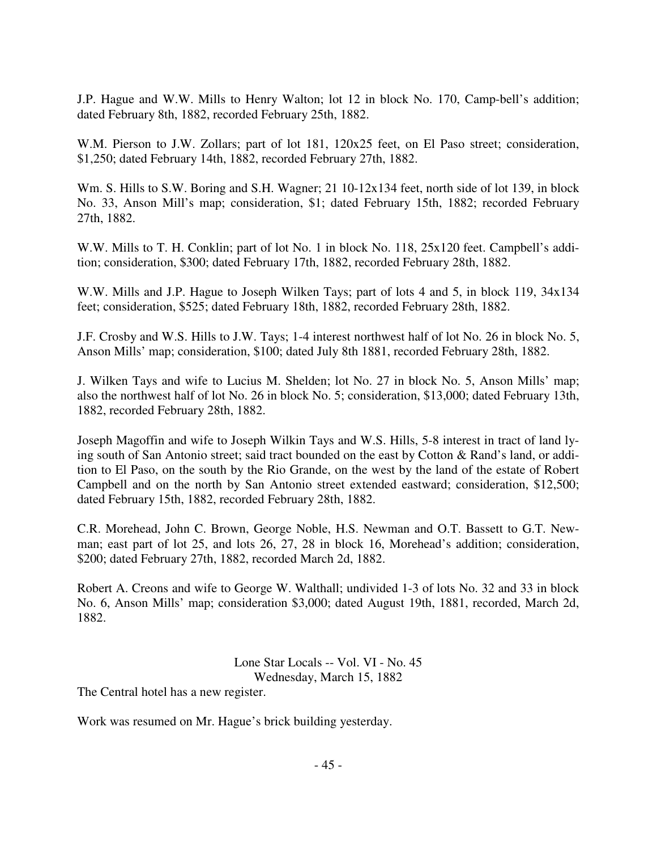J.P. Hague and W.W. Mills to Henry Walton; lot 12 in block No. 170, Camp-bell's addition; dated February 8th, 1882, recorded February 25th, 1882.

W.M. Pierson to J.W. Zollars; part of lot 181, 120x25 feet, on El Paso street; consideration, \$1,250; dated February 14th, 1882, recorded February 27th, 1882.

Wm. S. Hills to S.W. Boring and S.H. Wagner; 21 10-12x134 feet, north side of lot 139, in block No. 33, Anson Mill's map; consideration, \$1; dated February 15th, 1882; recorded February 27th, 1882.

W.W. Mills to T. H. Conklin; part of lot No. 1 in block No. 118, 25x120 feet. Campbell's addition; consideration, \$300; dated February 17th, 1882, recorded February 28th, 1882.

W.W. Mills and J.P. Hague to Joseph Wilken Tays; part of lots 4 and 5, in block 119, 34x134 feet; consideration, \$525; dated February 18th, 1882, recorded February 28th, 1882.

J.F. Crosby and W.S. Hills to J.W. Tays; 1-4 interest northwest half of lot No. 26 in block No. 5, Anson Mills' map; consideration, \$100; dated July 8th 1881, recorded February 28th, 1882.

J. Wilken Tays and wife to Lucius M. Shelden; lot No. 27 in block No. 5, Anson Mills' map; also the northwest half of lot No. 26 in block No. 5; consideration, \$13,000; dated February 13th, 1882, recorded February 28th, 1882.

Joseph Magoffin and wife to Joseph Wilkin Tays and W.S. Hills, 5-8 interest in tract of land lying south of San Antonio street; said tract bounded on the east by Cotton & Rand's land, or addition to El Paso, on the south by the Rio Grande, on the west by the land of the estate of Robert Campbell and on the north by San Antonio street extended eastward; consideration, \$12,500; dated February 15th, 1882, recorded February 28th, 1882.

C.R. Morehead, John C. Brown, George Noble, H.S. Newman and O.T. Bassett to G.T. Newman; east part of lot 25, and lots 26, 27, 28 in block 16, Morehead's addition; consideration, \$200; dated February 27th, 1882, recorded March 2d, 1882.

Robert A. Creons and wife to George W. Walthall; undivided 1-3 of lots No. 32 and 33 in block No. 6, Anson Mills' map; consideration \$3,000; dated August 19th, 1881, recorded, March 2d, 1882.

> Lone Star Locals -- Vol. VI - No. 45 Wednesday, March 15, 1882

The Central hotel has a new register.

Work was resumed on Mr. Hague's brick building yesterday.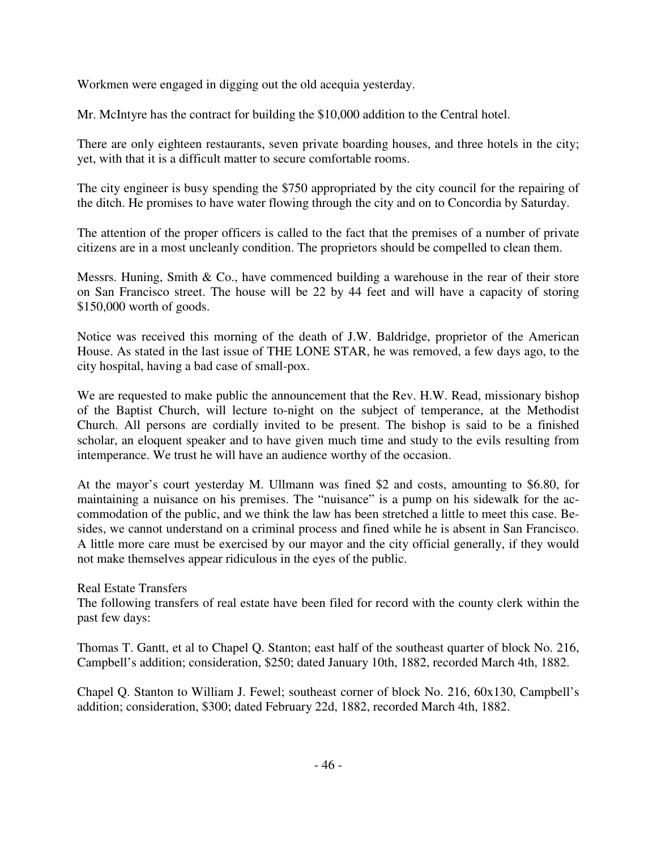Workmen were engaged in digging out the old acequia yesterday.

Mr. McIntyre has the contract for building the \$10,000 addition to the Central hotel.

There are only eighteen restaurants, seven private boarding houses, and three hotels in the city; yet, with that it is a difficult matter to secure comfortable rooms.

The city engineer is busy spending the \$750 appropriated by the city council for the repairing of the ditch. He promises to have water flowing through the city and on to Concordia by Saturday.

The attention of the proper officers is called to the fact that the premises of a number of private citizens are in a most uncleanly condition. The proprietors should be compelled to clean them.

Messrs. Huning, Smith & Co., have commenced building a warehouse in the rear of their store on San Francisco street. The house will be 22 by 44 feet and will have a capacity of storing \$150,000 worth of goods.

Notice was received this morning of the death of J.W. Baldridge, proprietor of the American House. As stated in the last issue of THE LONE STAR, he was removed, a few days ago, to the city hospital, having a bad case of small-pox.

We are requested to make public the announcement that the Rev. H.W. Read, missionary bishop of the Baptist Church, will lecture to-night on the subject of temperance, at the Methodist Church. All persons are cordially invited to be present. The bishop is said to be a finished scholar, an eloquent speaker and to have given much time and study to the evils resulting from intemperance. We trust he will have an audience worthy of the occasion.

At the mayor's court yesterday M. Ullmann was fined \$2 and costs, amounting to \$6.80, for maintaining a nuisance on his premises. The "nuisance" is a pump on his sidewalk for the accommodation of the public, and we think the law has been stretched a little to meet this case. Besides, we cannot understand on a criminal process and fined while he is absent in San Francisco. A little more care must be exercised by our mayor and the city official generally, if they would not make themselves appear ridiculous in the eyes of the public.

Real Estate Transfers

The following transfers of real estate have been filed for record with the county clerk within the past few days:

Thomas T. Gantt, et al to Chapel Q. Stanton; east half of the southeast quarter of block No. 216, Campbell's addition; consideration, \$250; dated January 10th, 1882, recorded March 4th, 1882.

Chapel Q. Stanton to William J. Fewel; southeast corner of block No. 216, 60x130, Campbell's addition; consideration, \$300; dated February 22d, 1882, recorded March 4th, 1882.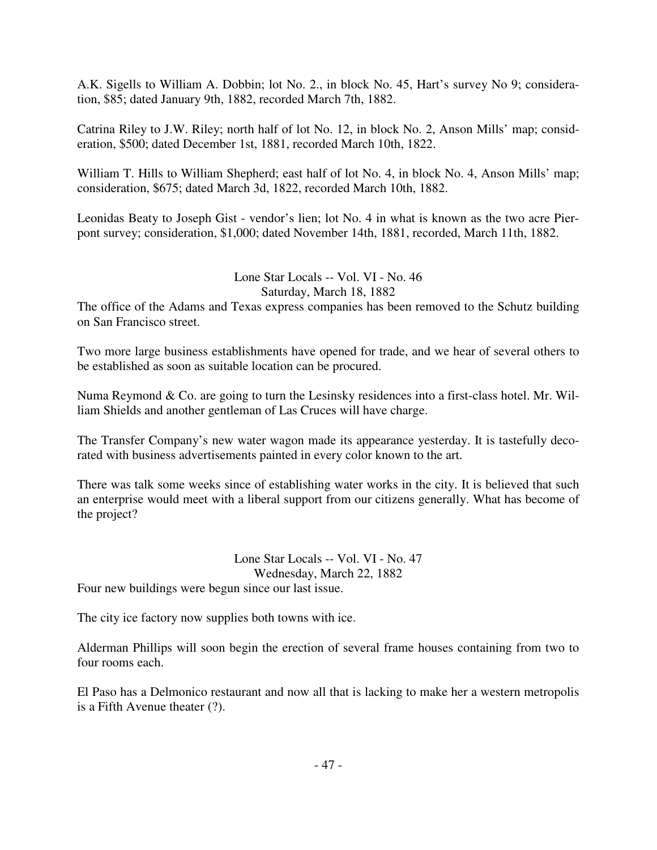A.K. Sigells to William A. Dobbin; lot No. 2., in block No. 45, Hart's survey No 9; consideration, \$85; dated January 9th, 1882, recorded March 7th, 1882.

Catrina Riley to J.W. Riley; north half of lot No. 12, in block No. 2, Anson Mills' map; consideration, \$500; dated December 1st, 1881, recorded March 10th, 1822.

William T. Hills to William Shepherd; east half of lot No. 4, in block No. 4, Anson Mills' map; consideration, \$675; dated March 3d, 1822, recorded March 10th, 1882.

Leonidas Beaty to Joseph Gist - vendor's lien; lot No. 4 in what is known as the two acre Pierpont survey; consideration, \$1,000; dated November 14th, 1881, recorded, March 11th, 1882.

> Lone Star Locals -- Vol. VI - No. 46 Saturday, March 18, 1882

The office of the Adams and Texas express companies has been removed to the Schutz building on San Francisco street.

Two more large business establishments have opened for trade, and we hear of several others to be established as soon as suitable location can be procured.

Numa Reymond & Co. are going to turn the Lesinsky residences into a first-class hotel. Mr. William Shields and another gentleman of Las Cruces will have charge.

The Transfer Company's new water wagon made its appearance yesterday. It is tastefully decorated with business advertisements painted in every color known to the art.

There was talk some weeks since of establishing water works in the city. It is believed that such an enterprise would meet with a liberal support from our citizens generally. What has become of the project?

> Lone Star Locals -- Vol. VI - No. 47 Wednesday, March 22, 1882

Four new buildings were begun since our last issue.

The city ice factory now supplies both towns with ice.

Alderman Phillips will soon begin the erection of several frame houses containing from two to four rooms each.

El Paso has a Delmonico restaurant and now all that is lacking to make her a western metropolis is a Fifth Avenue theater (?).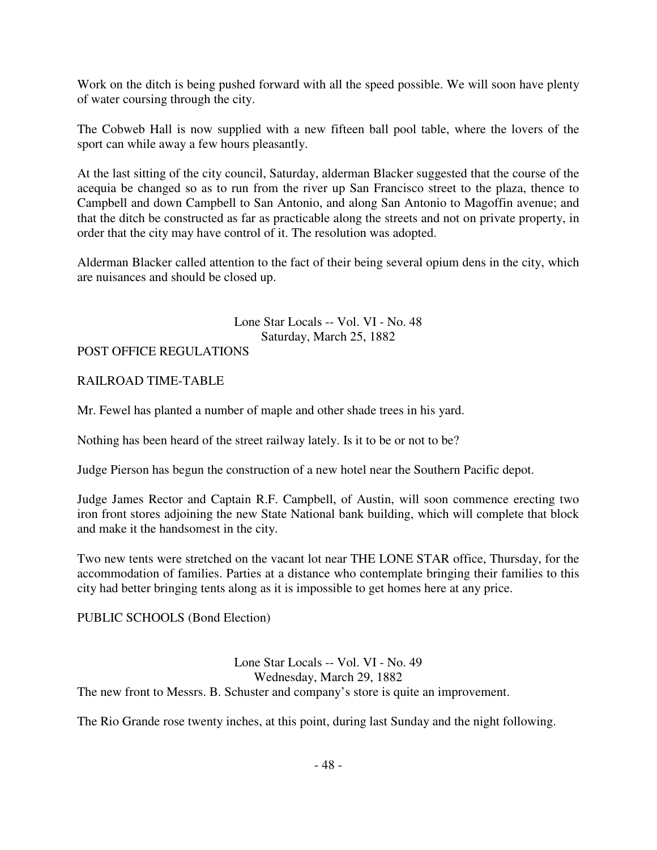Work on the ditch is being pushed forward with all the speed possible. We will soon have plenty of water coursing through the city.

The Cobweb Hall is now supplied with a new fifteen ball pool table, where the lovers of the sport can while away a few hours pleasantly.

At the last sitting of the city council, Saturday, alderman Blacker suggested that the course of the acequia be changed so as to run from the river up San Francisco street to the plaza, thence to Campbell and down Campbell to San Antonio, and along San Antonio to Magoffin avenue; and that the ditch be constructed as far as practicable along the streets and not on private property, in order that the city may have control of it. The resolution was adopted.

Alderman Blacker called attention to the fact of their being several opium dens in the city, which are nuisances and should be closed up.

> Lone Star Locals -- Vol. VI - No. 48 Saturday, March 25, 1882

# POST OFFICE REGULATIONS

# RAILROAD TIME-TABLE

Mr. Fewel has planted a number of maple and other shade trees in his yard.

Nothing has been heard of the street railway lately. Is it to be or not to be?

Judge Pierson has begun the construction of a new hotel near the Southern Pacific depot.

Judge James Rector and Captain R.F. Campbell, of Austin, will soon commence erecting two iron front stores adjoining the new State National bank building, which will complete that block and make it the handsomest in the city.

Two new tents were stretched on the vacant lot near THE LONE STAR office, Thursday, for the accommodation of families. Parties at a distance who contemplate bringing their families to this city had better bringing tents along as it is impossible to get homes here at any price.

# PUBLIC SCHOOLS (Bond Election)

Lone Star Locals -- Vol. VI - No. 49 Wednesday, March 29, 1882 The new front to Messrs. B. Schuster and company's store is quite an improvement.

The Rio Grande rose twenty inches, at this point, during last Sunday and the night following.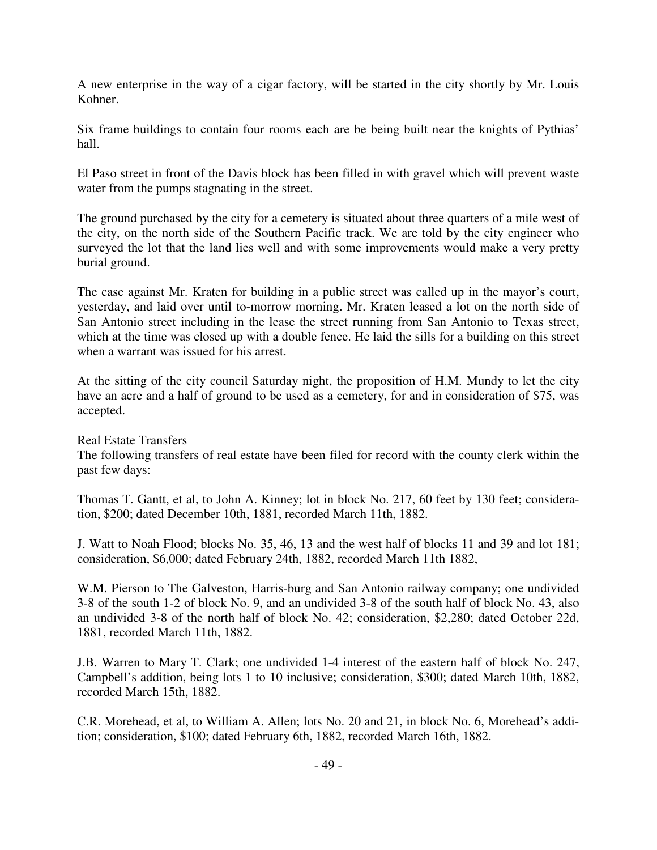A new enterprise in the way of a cigar factory, will be started in the city shortly by Mr. Louis Kohner.

Six frame buildings to contain four rooms each are be being built near the knights of Pythias' hall.

El Paso street in front of the Davis block has been filled in with gravel which will prevent waste water from the pumps stagnating in the street.

The ground purchased by the city for a cemetery is situated about three quarters of a mile west of the city, on the north side of the Southern Pacific track. We are told by the city engineer who surveyed the lot that the land lies well and with some improvements would make a very pretty burial ground.

The case against Mr. Kraten for building in a public street was called up in the mayor's court, yesterday, and laid over until to-morrow morning. Mr. Kraten leased a lot on the north side of San Antonio street including in the lease the street running from San Antonio to Texas street, which at the time was closed up with a double fence. He laid the sills for a building on this street when a warrant was issued for his arrest.

At the sitting of the city council Saturday night, the proposition of H.M. Mundy to let the city have an acre and a half of ground to be used as a cemetery, for and in consideration of \$75, was accepted.

Real Estate Transfers

The following transfers of real estate have been filed for record with the county clerk within the past few days:

Thomas T. Gantt, et al, to John A. Kinney; lot in block No. 217, 60 feet by 130 feet; consideration, \$200; dated December 10th, 1881, recorded March 11th, 1882.

J. Watt to Noah Flood; blocks No. 35, 46, 13 and the west half of blocks 11 and 39 and lot 181; consideration, \$6,000; dated February 24th, 1882, recorded March 11th 1882,

W.M. Pierson to The Galveston, Harris-burg and San Antonio railway company; one undivided 3-8 of the south 1-2 of block No. 9, and an undivided 3-8 of the south half of block No. 43, also an undivided 3-8 of the north half of block No. 42; consideration, \$2,280; dated October 22d, 1881, recorded March 11th, 1882.

J.B. Warren to Mary T. Clark; one undivided 1-4 interest of the eastern half of block No. 247, Campbell's addition, being lots 1 to 10 inclusive; consideration, \$300; dated March 10th, 1882, recorded March 15th, 1882.

C.R. Morehead, et al, to William A. Allen; lots No. 20 and 21, in block No. 6, Morehead's addition; consideration, \$100; dated February 6th, 1882, recorded March 16th, 1882.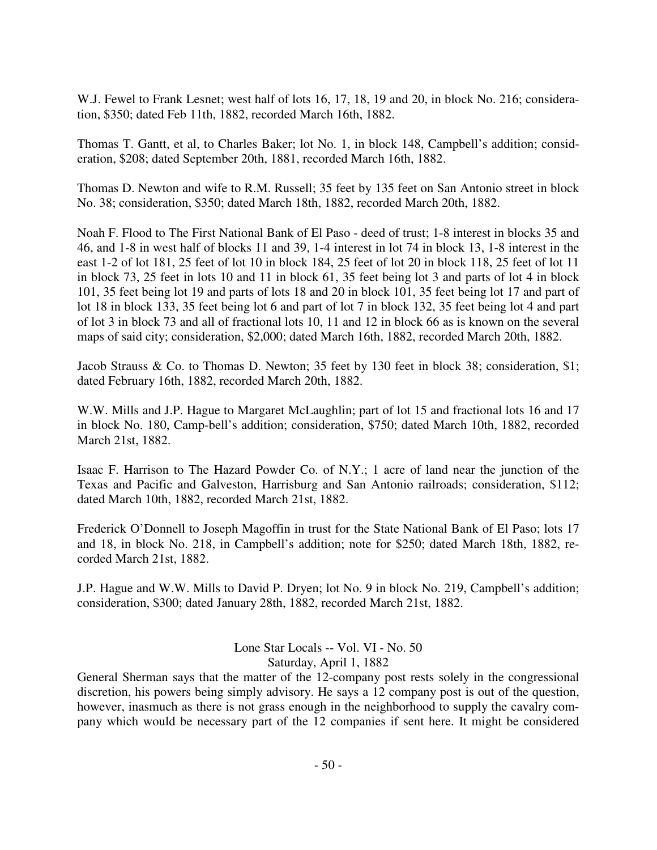W.J. Fewel to Frank Lesnet; west half of lots 16, 17, 18, 19 and 20, in block No. 216; consideration, \$350; dated Feb 11th, 1882, recorded March 16th, 1882.

Thomas T. Gantt, et al, to Charles Baker; lot No. 1, in block 148, Campbell's addition; consideration, \$208; dated September 20th, 1881, recorded March 16th, 1882.

Thomas D. Newton and wife to R.M. Russell; 35 feet by 135 feet on San Antonio street in block No. 38; consideration, \$350; dated March 18th, 1882, recorded March 20th, 1882.

Noah F. Flood to The First National Bank of El Paso - deed of trust; 1-8 interest in blocks 35 and 46, and 1-8 in west half of blocks 11 and 39, 1-4 interest in lot 74 in block 13, 1-8 interest in the east 1-2 of lot 181, 25 feet of lot 10 in block 184, 25 feet of lot 20 in block 118, 25 feet of lot 11 in block 73, 25 feet in lots 10 and 11 in block 61, 35 feet being lot 3 and parts of lot 4 in block 101, 35 feet being lot 19 and parts of lots 18 and 20 in block 101, 35 feet being lot 17 and part of lot 18 in block 133, 35 feet being lot 6 and part of lot 7 in block 132, 35 feet being lot 4 and part of lot 3 in block 73 and all of fractional lots 10, 11 and 12 in block 66 as is known on the several maps of said city; consideration, \$2,000; dated March 16th, 1882, recorded March 20th, 1882.

Jacob Strauss & Co. to Thomas D. Newton; 35 feet by 130 feet in block 38; consideration, \$1; dated February 16th, 1882, recorded March 20th, 1882.

W.W. Mills and J.P. Hague to Margaret McLaughlin; part of lot 15 and fractional lots 16 and 17 in block No. 180, Camp-bell's addition; consideration, \$750; dated March 10th, 1882, recorded March 21st, 1882.

Isaac F. Harrison to The Hazard Powder Co. of N.Y.; 1 acre of land near the junction of the Texas and Pacific and Galveston, Harrisburg and San Antonio railroads; consideration, \$112; dated March 10th, 1882, recorded March 21st, 1882.

Frederick O'Donnell to Joseph Magoffin in trust for the State National Bank of El Paso; lots 17 and 18, in block No. 218, in Campbell's addition; note for \$250; dated March 18th, 1882, recorded March 21st, 1882.

J.P. Hague and W.W. Mills to David P. Dryen; lot No. 9 in block No. 219, Campbell's addition; consideration, \$300; dated January 28th, 1882, recorded March 21st, 1882.

> Lone Star Locals -- Vol. VI - No. 50 Saturday, April 1, 1882

General Sherman says that the matter of the 12-company post rests solely in the congressional discretion, his powers being simply advisory. He says a 12 company post is out of the question, however, inasmuch as there is not grass enough in the neighborhood to supply the cavalry company which would be necessary part of the 12 companies if sent here. It might be considered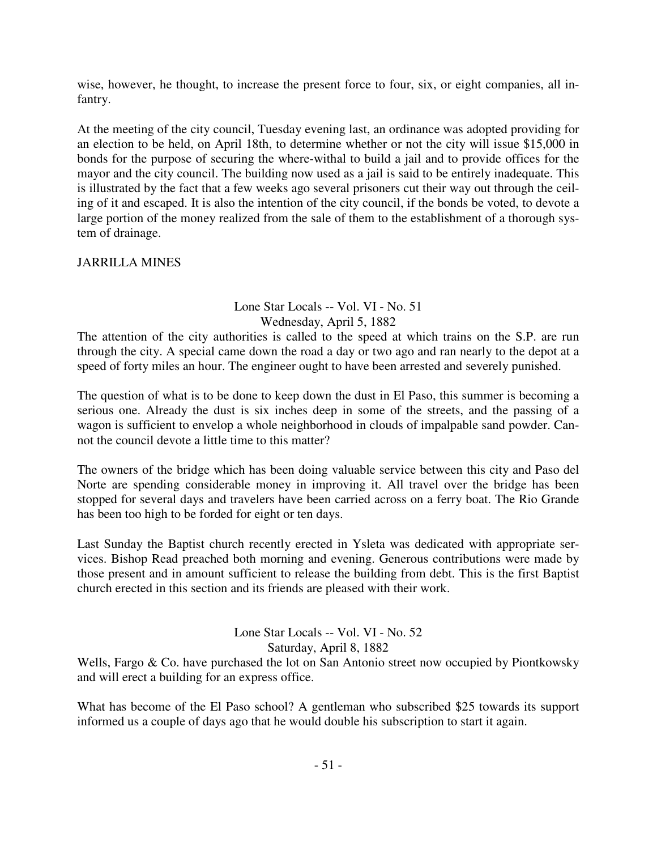wise, however, he thought, to increase the present force to four, six, or eight companies, all infantry.

At the meeting of the city council, Tuesday evening last, an ordinance was adopted providing for an election to be held, on April 18th, to determine whether or not the city will issue \$15,000 in bonds for the purpose of securing the where-withal to build a jail and to provide offices for the mayor and the city council. The building now used as a jail is said to be entirely inadequate. This is illustrated by the fact that a few weeks ago several prisoners cut their way out through the ceiling of it and escaped. It is also the intention of the city council, if the bonds be voted, to devote a large portion of the money realized from the sale of them to the establishment of a thorough system of drainage.

JARRILLA MINES

# Lone Star Locals -- Vol. VI - No. 51 Wednesday, April 5, 1882

The attention of the city authorities is called to the speed at which trains on the S.P. are run through the city. A special came down the road a day or two ago and ran nearly to the depot at a speed of forty miles an hour. The engineer ought to have been arrested and severely punished.

The question of what is to be done to keep down the dust in El Paso, this summer is becoming a serious one. Already the dust is six inches deep in some of the streets, and the passing of a wagon is sufficient to envelop a whole neighborhood in clouds of impalpable sand powder. Cannot the council devote a little time to this matter?

The owners of the bridge which has been doing valuable service between this city and Paso del Norte are spending considerable money in improving it. All travel over the bridge has been stopped for several days and travelers have been carried across on a ferry boat. The Rio Grande has been too high to be forded for eight or ten days.

Last Sunday the Baptist church recently erected in Ysleta was dedicated with appropriate services. Bishop Read preached both morning and evening. Generous contributions were made by those present and in amount sufficient to release the building from debt. This is the first Baptist church erected in this section and its friends are pleased with their work.

#### Lone Star Locals -- Vol. VI - No. 52 Saturday, April 8, 1882

Wells, Fargo & Co. have purchased the lot on San Antonio street now occupied by Piontkowsky and will erect a building for an express office.

What has become of the El Paso school? A gentleman who subscribed \$25 towards its support informed us a couple of days ago that he would double his subscription to start it again.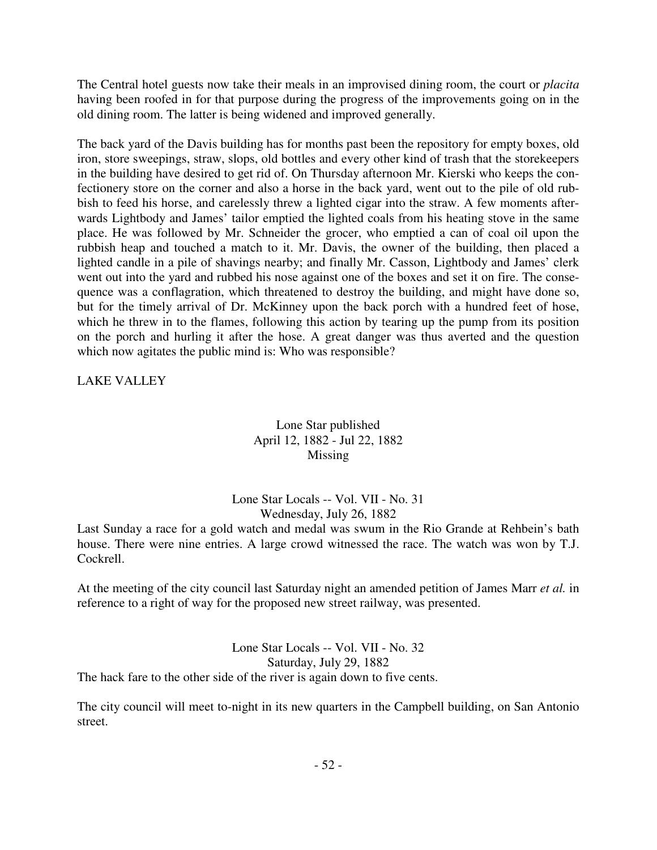The Central hotel guests now take their meals in an improvised dining room, the court or *placita* having been roofed in for that purpose during the progress of the improvements going on in the old dining room. The latter is being widened and improved generally.

The back yard of the Davis building has for months past been the repository for empty boxes, old iron, store sweepings, straw, slops, old bottles and every other kind of trash that the storekeepers in the building have desired to get rid of. On Thursday afternoon Mr. Kierski who keeps the confectionery store on the corner and also a horse in the back yard, went out to the pile of old rubbish to feed his horse, and carelessly threw a lighted cigar into the straw. A few moments afterwards Lightbody and James' tailor emptied the lighted coals from his heating stove in the same place. He was followed by Mr. Schneider the grocer, who emptied a can of coal oil upon the rubbish heap and touched a match to it. Mr. Davis, the owner of the building, then placed a lighted candle in a pile of shavings nearby; and finally Mr. Casson, Lightbody and James' clerk went out into the yard and rubbed his nose against one of the boxes and set it on fire. The consequence was a conflagration, which threatened to destroy the building, and might have done so, but for the timely arrival of Dr. McKinney upon the back porch with a hundred feet of hose, which he threw in to the flames, following this action by tearing up the pump from its position on the porch and hurling it after the hose. A great danger was thus averted and the question which now agitates the public mind is: Who was responsible?

LAKE VALLEY

# Lone Star published April 12, 1882 - Jul 22, 1882 Missing

# Lone Star Locals -- Vol. VII - No. 31 Wednesday, July 26, 1882

Last Sunday a race for a gold watch and medal was swum in the Rio Grande at Rehbein's bath house. There were nine entries. A large crowd witnessed the race. The watch was won by T.J. Cockrell.

At the meeting of the city council last Saturday night an amended petition of James Marr *et al.* in reference to a right of way for the proposed new street railway, was presented.

Lone Star Locals -- Vol. VII - No. 32 Saturday, July 29, 1882 The hack fare to the other side of the river is again down to five cents.

The city council will meet to-night in its new quarters in the Campbell building, on San Antonio street.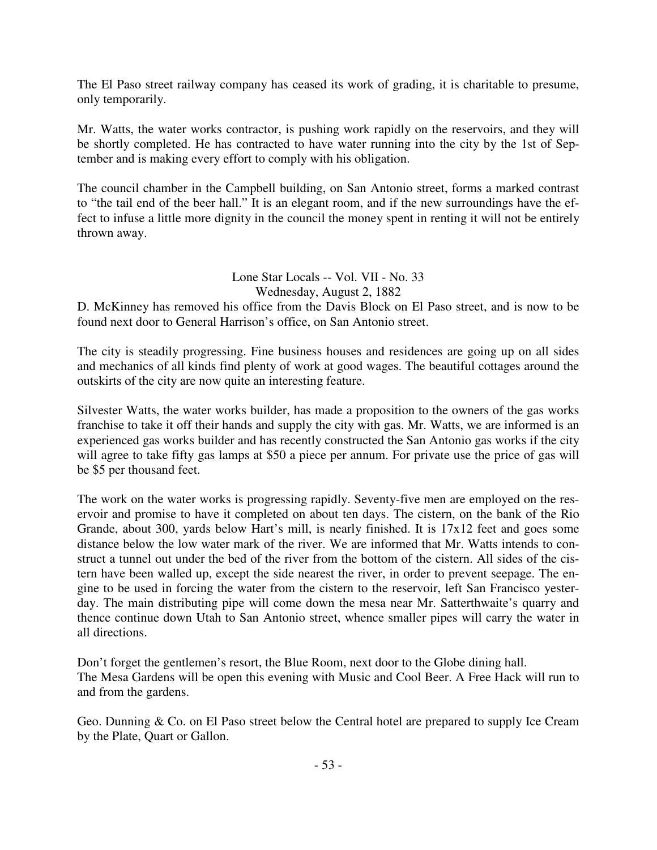The El Paso street railway company has ceased its work of grading, it is charitable to presume, only temporarily.

Mr. Watts, the water works contractor, is pushing work rapidly on the reservoirs, and they will be shortly completed. He has contracted to have water running into the city by the 1st of September and is making every effort to comply with his obligation.

The council chamber in the Campbell building, on San Antonio street, forms a marked contrast to "the tail end of the beer hall." It is an elegant room, and if the new surroundings have the effect to infuse a little more dignity in the council the money spent in renting it will not be entirely thrown away.

> Lone Star Locals -- Vol. VII - No. 33 Wednesday, August 2, 1882

D. McKinney has removed his office from the Davis Block on El Paso street, and is now to be found next door to General Harrison's office, on San Antonio street.

The city is steadily progressing. Fine business houses and residences are going up on all sides and mechanics of all kinds find plenty of work at good wages. The beautiful cottages around the outskirts of the city are now quite an interesting feature.

Silvester Watts, the water works builder, has made a proposition to the owners of the gas works franchise to take it off their hands and supply the city with gas. Mr. Watts, we are informed is an experienced gas works builder and has recently constructed the San Antonio gas works if the city will agree to take fifty gas lamps at \$50 a piece per annum. For private use the price of gas will be \$5 per thousand feet.

The work on the water works is progressing rapidly. Seventy-five men are employed on the reservoir and promise to have it completed on about ten days. The cistern, on the bank of the Rio Grande, about 300, yards below Hart's mill, is nearly finished. It is 17x12 feet and goes some distance below the low water mark of the river. We are informed that Mr. Watts intends to construct a tunnel out under the bed of the river from the bottom of the cistern. All sides of the cistern have been walled up, except the side nearest the river, in order to prevent seepage. The engine to be used in forcing the water from the cistern to the reservoir, left San Francisco yesterday. The main distributing pipe will come down the mesa near Mr. Satterthwaite's quarry and thence continue down Utah to San Antonio street, whence smaller pipes will carry the water in all directions.

Don't forget the gentlemen's resort, the Blue Room, next door to the Globe dining hall. The Mesa Gardens will be open this evening with Music and Cool Beer. A Free Hack will run to and from the gardens.

Geo. Dunning & Co. on El Paso street below the Central hotel are prepared to supply Ice Cream by the Plate, Quart or Gallon.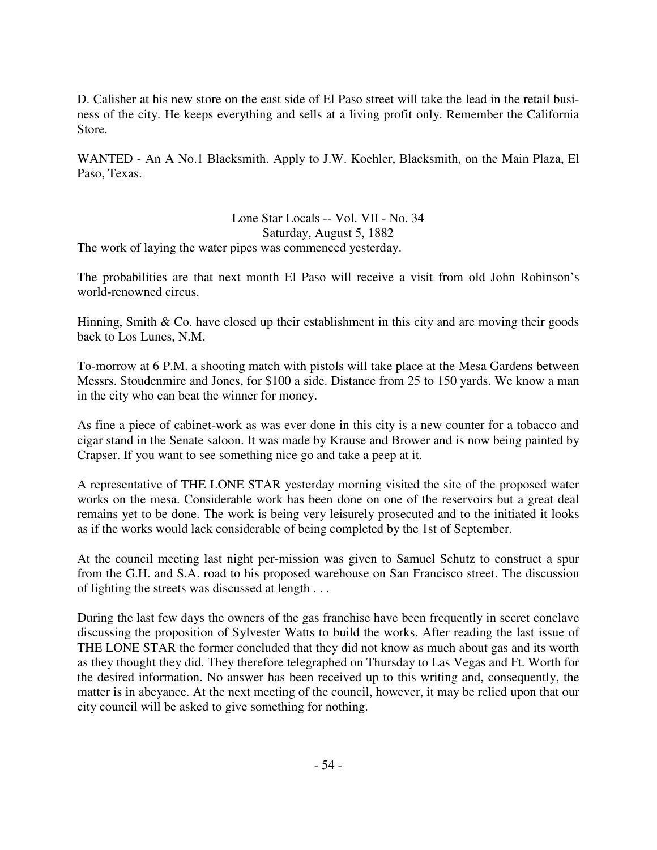D. Calisher at his new store on the east side of El Paso street will take the lead in the retail business of the city. He keeps everything and sells at a living profit only. Remember the California Store.

WANTED - An A No.1 Blacksmith. Apply to J.W. Koehler, Blacksmith, on the Main Plaza, El Paso, Texas.

Lone Star Locals -- Vol. VII - No. 34 Saturday, August 5, 1882 The work of laying the water pipes was commenced yesterday.

The probabilities are that next month El Paso will receive a visit from old John Robinson's world-renowned circus.

Hinning, Smith  $\&$  Co. have closed up their establishment in this city and are moving their goods back to Los Lunes, N.M.

To-morrow at 6 P.M. a shooting match with pistols will take place at the Mesa Gardens between Messrs. Stoudenmire and Jones, for \$100 a side. Distance from 25 to 150 yards. We know a man in the city who can beat the winner for money.

As fine a piece of cabinet-work as was ever done in this city is a new counter for a tobacco and cigar stand in the Senate saloon. It was made by Krause and Brower and is now being painted by Crapser. If you want to see something nice go and take a peep at it.

A representative of THE LONE STAR yesterday morning visited the site of the proposed water works on the mesa. Considerable work has been done on one of the reservoirs but a great deal remains yet to be done. The work is being very leisurely prosecuted and to the initiated it looks as if the works would lack considerable of being completed by the 1st of September.

At the council meeting last night per-mission was given to Samuel Schutz to construct a spur from the G.H. and S.A. road to his proposed warehouse on San Francisco street. The discussion of lighting the streets was discussed at length . . .

During the last few days the owners of the gas franchise have been frequently in secret conclave discussing the proposition of Sylvester Watts to build the works. After reading the last issue of THE LONE STAR the former concluded that they did not know as much about gas and its worth as they thought they did. They therefore telegraphed on Thursday to Las Vegas and Ft. Worth for the desired information. No answer has been received up to this writing and, consequently, the matter is in abeyance. At the next meeting of the council, however, it may be relied upon that our city council will be asked to give something for nothing.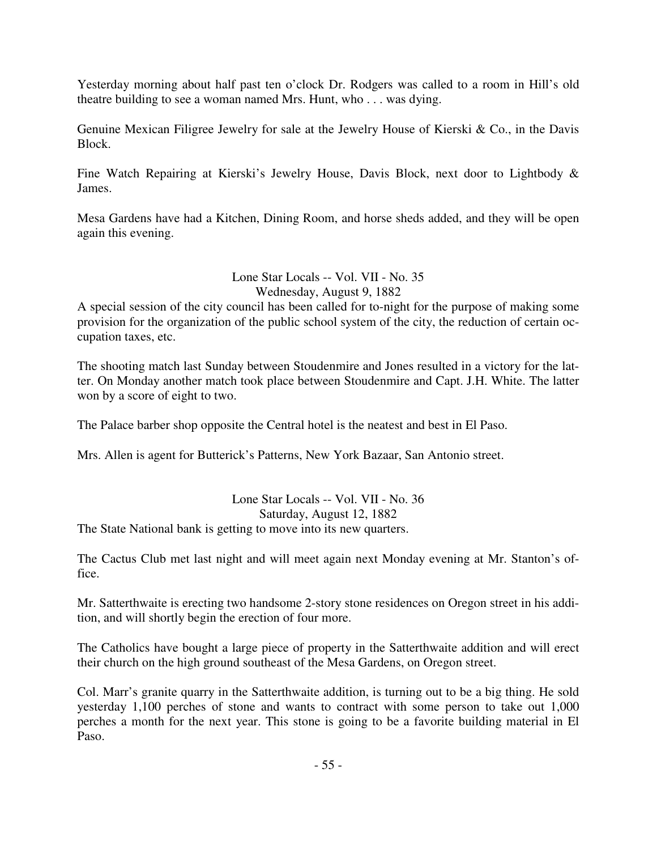Yesterday morning about half past ten o'clock Dr. Rodgers was called to a room in Hill's old theatre building to see a woman named Mrs. Hunt, who . . . was dying.

Genuine Mexican Filigree Jewelry for sale at the Jewelry House of Kierski & Co., in the Davis Block.

Fine Watch Repairing at Kierski's Jewelry House, Davis Block, next door to Lightbody & James.

Mesa Gardens have had a Kitchen, Dining Room, and horse sheds added, and they will be open again this evening.

> Lone Star Locals -- Vol. VII - No. 35 Wednesday, August 9, 1882

A special session of the city council has been called for to-night for the purpose of making some provision for the organization of the public school system of the city, the reduction of certain occupation taxes, etc.

The shooting match last Sunday between Stoudenmire and Jones resulted in a victory for the latter. On Monday another match took place between Stoudenmire and Capt. J.H. White. The latter won by a score of eight to two.

The Palace barber shop opposite the Central hotel is the neatest and best in El Paso.

Mrs. Allen is agent for Butterick's Patterns, New York Bazaar, San Antonio street.

Lone Star Locals -- Vol. VII - No. 36 Saturday, August 12, 1882 The State National bank is getting to move into its new quarters.

The Cactus Club met last night and will meet again next Monday evening at Mr. Stanton's office.

Mr. Satterthwaite is erecting two handsome 2-story stone residences on Oregon street in his addition, and will shortly begin the erection of four more.

The Catholics have bought a large piece of property in the Satterthwaite addition and will erect their church on the high ground southeast of the Mesa Gardens, on Oregon street.

Col. Marr's granite quarry in the Satterthwaite addition, is turning out to be a big thing. He sold yesterday 1,100 perches of stone and wants to contract with some person to take out 1,000 perches a month for the next year. This stone is going to be a favorite building material in El Paso.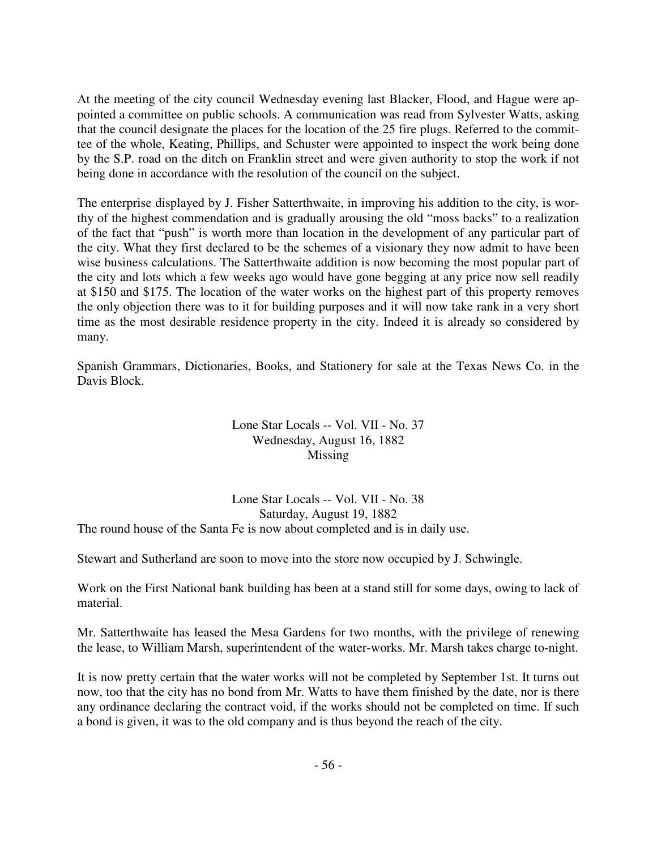At the meeting of the city council Wednesday evening last Blacker, Flood, and Hague were appointed a committee on public schools. A communication was read from Sylvester Watts, asking that the council designate the places for the location of the 25 fire plugs. Referred to the committee of the whole, Keating, Phillips, and Schuster were appointed to inspect the work being done by the S.P. road on the ditch on Franklin street and were given authority to stop the work if not being done in accordance with the resolution of the council on the subject.

The enterprise displayed by J. Fisher Satterthwaite, in improving his addition to the city, is worthy of the highest commendation and is gradually arousing the old "moss backs" to a realization of the fact that "push" is worth more than location in the development of any particular part of the city. What they first declared to be the schemes of a visionary they now admit to have been wise business calculations. The Satterthwaite addition is now becoming the most popular part of the city and lots which a few weeks ago would have gone begging at any price now sell readily at \$150 and \$175. The location of the water works on the highest part of this property removes the only objection there was to it for building purposes and it will now take rank in a very short time as the most desirable residence property in the city. Indeed it is already so considered by many.

Spanish Grammars, Dictionaries, Books, and Stationery for sale at the Texas News Co. in the Davis Block.

### Lone Star Locals -- Vol. VII - No. 37 Wednesday, August 16, 1882 Missing

Lone Star Locals -- Vol. VII - No. 38 Saturday, August 19, 1882 The round house of the Santa Fe is now about completed and is in daily use.

Stewart and Sutherland are soon to move into the store now occupied by J. Schwingle.

Work on the First National bank building has been at a stand still for some days, owing to lack of material.

Mr. Satterthwaite has leased the Mesa Gardens for two months, with the privilege of renewing the lease, to William Marsh, superintendent of the water-works. Mr. Marsh takes charge to-night.

It is now pretty certain that the water works will not be completed by September 1st. It turns out now, too that the city has no bond from Mr. Watts to have them finished by the date, nor is there any ordinance declaring the contract void, if the works should not be completed on time. If such a bond is given, it was to the old company and is thus beyond the reach of the city.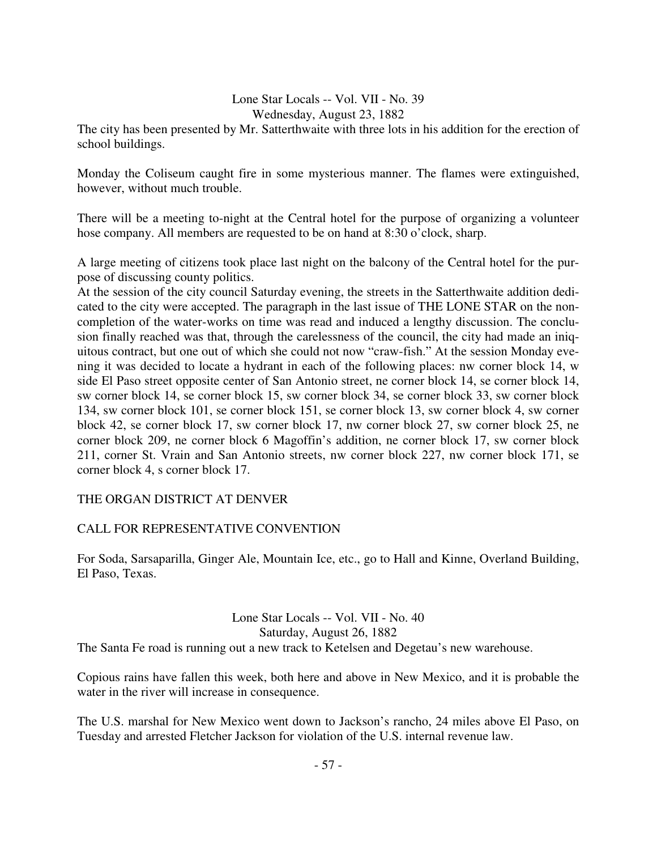### Lone Star Locals -- Vol. VII - No. 39 Wednesday, August 23, 1882

The city has been presented by Mr. Satterthwaite with three lots in his addition for the erection of school buildings.

Monday the Coliseum caught fire in some mysterious manner. The flames were extinguished, however, without much trouble.

There will be a meeting to-night at the Central hotel for the purpose of organizing a volunteer hose company. All members are requested to be on hand at 8:30 o'clock, sharp.

A large meeting of citizens took place last night on the balcony of the Central hotel for the purpose of discussing county politics.

At the session of the city council Saturday evening, the streets in the Satterthwaite addition dedicated to the city were accepted. The paragraph in the last issue of THE LONE STAR on the noncompletion of the water-works on time was read and induced a lengthy discussion. The conclusion finally reached was that, through the carelessness of the council, the city had made an iniquitous contract, but one out of which she could not now "craw-fish." At the session Monday evening it was decided to locate a hydrant in each of the following places: nw corner block 14, w side El Paso street opposite center of San Antonio street, ne corner block 14, se corner block 14, sw corner block 14, se corner block 15, sw corner block 34, se corner block 33, sw corner block 134, sw corner block 101, se corner block 151, se corner block 13, sw corner block 4, sw corner block 42, se corner block 17, sw corner block 17, nw corner block 27, sw corner block 25, ne corner block 209, ne corner block 6 Magoffin's addition, ne corner block 17, sw corner block 211, corner St. Vrain and San Antonio streets, nw corner block 227, nw corner block 171, se corner block 4, s corner block 17.

## THE ORGAN DISTRICT AT DENVER

## CALL FOR REPRESENTATIVE CONVENTION

For Soda, Sarsaparilla, Ginger Ale, Mountain Ice, etc., go to Hall and Kinne, Overland Building, El Paso, Texas.

#### Lone Star Locals -- Vol. VII - No. 40 Saturday, August 26, 1882

The Santa Fe road is running out a new track to Ketelsen and Degetau's new warehouse.

Copious rains have fallen this week, both here and above in New Mexico, and it is probable the water in the river will increase in consequence.

The U.S. marshal for New Mexico went down to Jackson's rancho, 24 miles above El Paso, on Tuesday and arrested Fletcher Jackson for violation of the U.S. internal revenue law.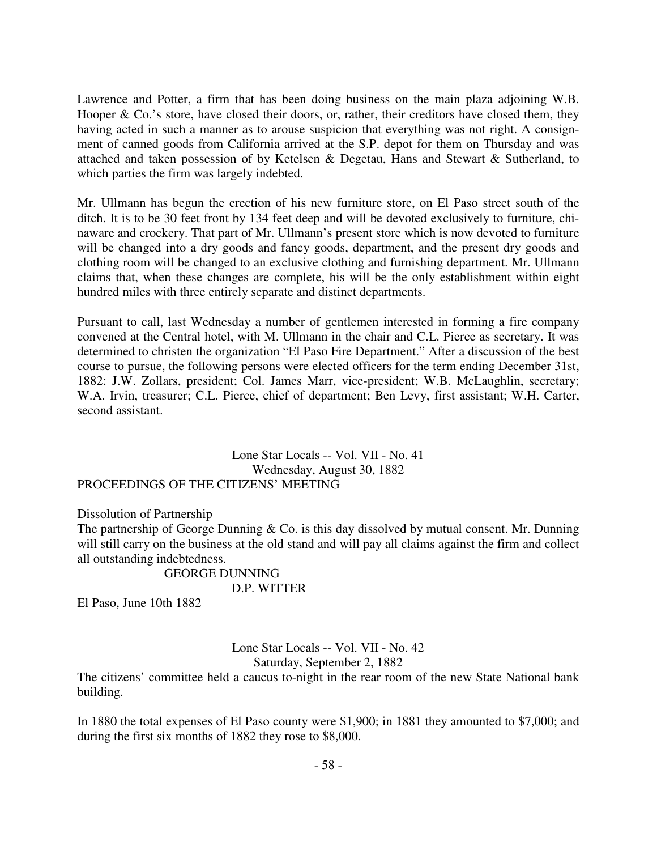Lawrence and Potter, a firm that has been doing business on the main plaza adjoining W.B. Hooper & Co.'s store, have closed their doors, or, rather, their creditors have closed them, they having acted in such a manner as to arouse suspicion that everything was not right. A consignment of canned goods from California arrived at the S.P. depot for them on Thursday and was attached and taken possession of by Ketelsen & Degetau, Hans and Stewart & Sutherland, to which parties the firm was largely indebted.

Mr. Ullmann has begun the erection of his new furniture store, on El Paso street south of the ditch. It is to be 30 feet front by 134 feet deep and will be devoted exclusively to furniture, chinaware and crockery. That part of Mr. Ullmann's present store which is now devoted to furniture will be changed into a dry goods and fancy goods, department, and the present dry goods and clothing room will be changed to an exclusive clothing and furnishing department. Mr. Ullmann claims that, when these changes are complete, his will be the only establishment within eight hundred miles with three entirely separate and distinct departments.

Pursuant to call, last Wednesday a number of gentlemen interested in forming a fire company convened at the Central hotel, with M. Ullmann in the chair and C.L. Pierce as secretary. It was determined to christen the organization "El Paso Fire Department." After a discussion of the best course to pursue, the following persons were elected officers for the term ending December 31st, 1882: J.W. Zollars, president; Col. James Marr, vice-president; W.B. McLaughlin, secretary; W.A. Irvin, treasurer; C.L. Pierce, chief of department; Ben Levy, first assistant; W.H. Carter, second assistant.

Lone Star Locals -- Vol. VII - No. 41 Wednesday, August 30, 1882 PROCEEDINGS OF THE CITIZENS' MEETING

Dissolution of Partnership

The partnership of George Dunning & Co. is this day dissolved by mutual consent. Mr. Dunning will still carry on the business at the old stand and will pay all claims against the firm and collect all outstanding indebtedness.

> GEORGE DUNNING D.P. WITTER

El Paso, June 10th 1882

Lone Star Locals -- Vol. VII - No. 42 Saturday, September 2, 1882

The citizens' committee held a caucus to-night in the rear room of the new State National bank building.

In 1880 the total expenses of El Paso county were \$1,900; in 1881 they amounted to \$7,000; and during the first six months of 1882 they rose to \$8,000.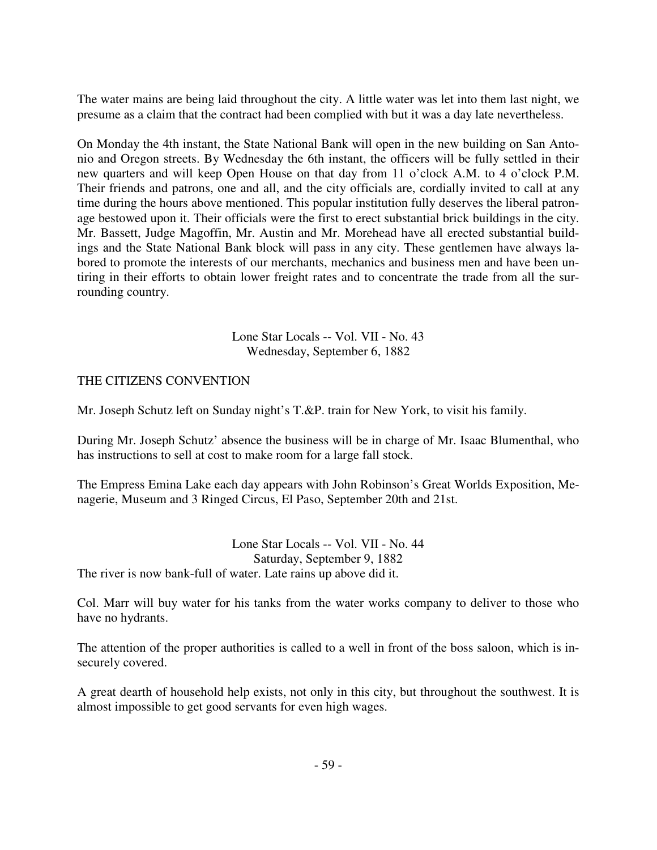The water mains are being laid throughout the city. A little water was let into them last night, we presume as a claim that the contract had been complied with but it was a day late nevertheless.

On Monday the 4th instant, the State National Bank will open in the new building on San Antonio and Oregon streets. By Wednesday the 6th instant, the officers will be fully settled in their new quarters and will keep Open House on that day from 11 o'clock A.M. to 4 o'clock P.M. Their friends and patrons, one and all, and the city officials are, cordially invited to call at any time during the hours above mentioned. This popular institution fully deserves the liberal patronage bestowed upon it. Their officials were the first to erect substantial brick buildings in the city. Mr. Bassett, Judge Magoffin, Mr. Austin and Mr. Morehead have all erected substantial buildings and the State National Bank block will pass in any city. These gentlemen have always labored to promote the interests of our merchants, mechanics and business men and have been untiring in their efforts to obtain lower freight rates and to concentrate the trade from all the surrounding country.

> Lone Star Locals -- Vol. VII - No. 43 Wednesday, September 6, 1882

## THE CITIZENS CONVENTION

Mr. Joseph Schutz left on Sunday night's T.&P. train for New York, to visit his family.

During Mr. Joseph Schutz' absence the business will be in charge of Mr. Isaac Blumenthal, who has instructions to sell at cost to make room for a large fall stock.

The Empress Emina Lake each day appears with John Robinson's Great Worlds Exposition, Menagerie, Museum and 3 Ringed Circus, El Paso, September 20th and 21st.

Lone Star Locals -- Vol. VII - No. 44 Saturday, September 9, 1882 The river is now bank-full of water. Late rains up above did it.

Col. Marr will buy water for his tanks from the water works company to deliver to those who have no hydrants.

The attention of the proper authorities is called to a well in front of the boss saloon, which is insecurely covered.

A great dearth of household help exists, not only in this city, but throughout the southwest. It is almost impossible to get good servants for even high wages.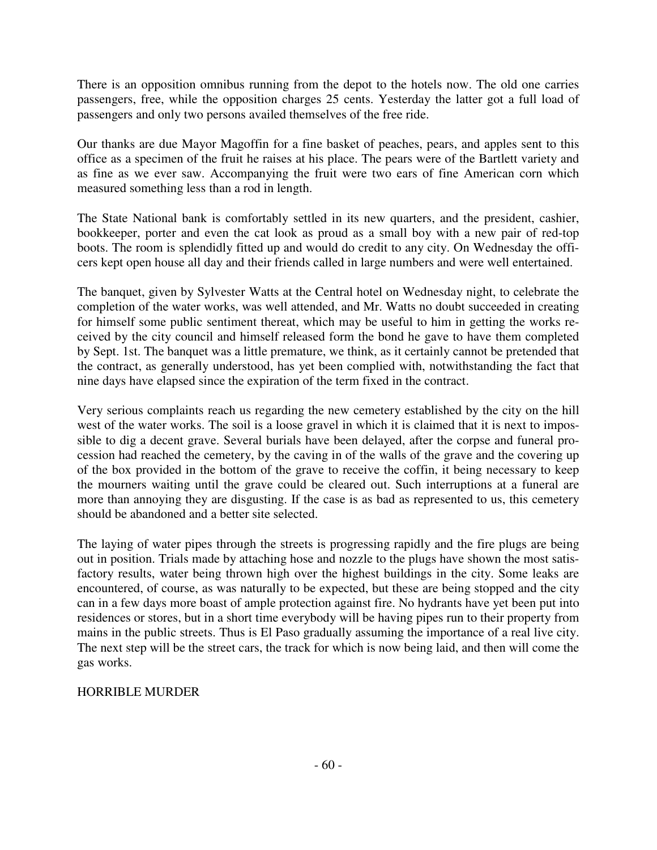There is an opposition omnibus running from the depot to the hotels now. The old one carries passengers, free, while the opposition charges 25 cents. Yesterday the latter got a full load of passengers and only two persons availed themselves of the free ride.

Our thanks are due Mayor Magoffin for a fine basket of peaches, pears, and apples sent to this office as a specimen of the fruit he raises at his place. The pears were of the Bartlett variety and as fine as we ever saw. Accompanying the fruit were two ears of fine American corn which measured something less than a rod in length.

The State National bank is comfortably settled in its new quarters, and the president, cashier, bookkeeper, porter and even the cat look as proud as a small boy with a new pair of red-top boots. The room is splendidly fitted up and would do credit to any city. On Wednesday the officers kept open house all day and their friends called in large numbers and were well entertained.

The banquet, given by Sylvester Watts at the Central hotel on Wednesday night, to celebrate the completion of the water works, was well attended, and Mr. Watts no doubt succeeded in creating for himself some public sentiment thereat, which may be useful to him in getting the works received by the city council and himself released form the bond he gave to have them completed by Sept. 1st. The banquet was a little premature, we think, as it certainly cannot be pretended that the contract, as generally understood, has yet been complied with, notwithstanding the fact that nine days have elapsed since the expiration of the term fixed in the contract.

Very serious complaints reach us regarding the new cemetery established by the city on the hill west of the water works. The soil is a loose gravel in which it is claimed that it is next to impossible to dig a decent grave. Several burials have been delayed, after the corpse and funeral procession had reached the cemetery, by the caving in of the walls of the grave and the covering up of the box provided in the bottom of the grave to receive the coffin, it being necessary to keep the mourners waiting until the grave could be cleared out. Such interruptions at a funeral are more than annoying they are disgusting. If the case is as bad as represented to us, this cemetery should be abandoned and a better site selected.

The laying of water pipes through the streets is progressing rapidly and the fire plugs are being out in position. Trials made by attaching hose and nozzle to the plugs have shown the most satisfactory results, water being thrown high over the highest buildings in the city. Some leaks are encountered, of course, as was naturally to be expected, but these are being stopped and the city can in a few days more boast of ample protection against fire. No hydrants have yet been put into residences or stores, but in a short time everybody will be having pipes run to their property from mains in the public streets. Thus is El Paso gradually assuming the importance of a real live city. The next step will be the street cars, the track for which is now being laid, and then will come the gas works.

## HORRIBLE MURDER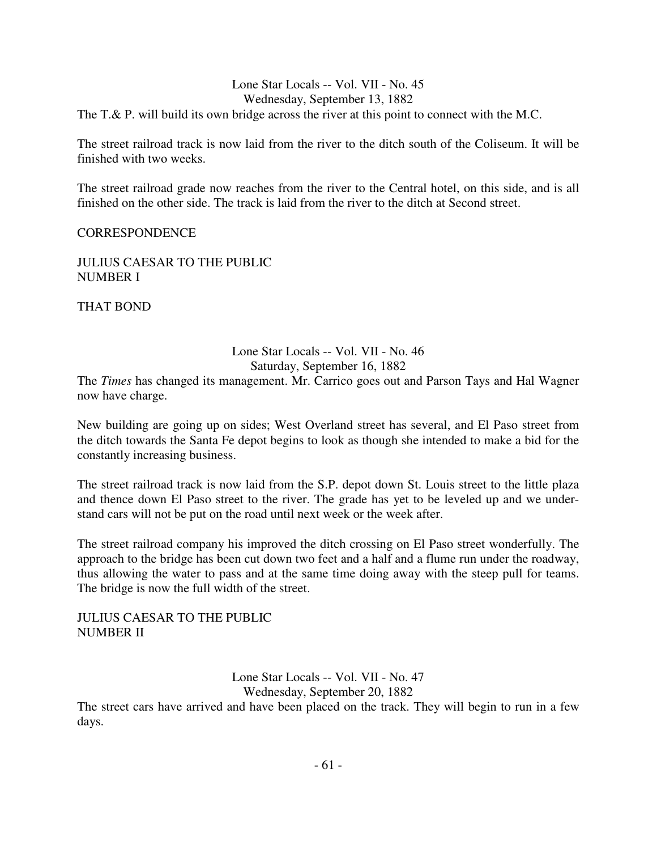### Lone Star Locals -- Vol. VII - No. 45 Wednesday, September 13, 1882 The T.& P. will build its own bridge across the river at this point to connect with the M.C.

The street railroad track is now laid from the river to the ditch south of the Coliseum. It will be finished with two weeks.

The street railroad grade now reaches from the river to the Central hotel, on this side, and is all finished on the other side. The track is laid from the river to the ditch at Second street.

#### CORRESPONDENCE

JULIUS CAESAR TO THE PUBLIC NUMBER I

THAT BOND

#### Lone Star Locals -- Vol. VII - No. 46 Saturday, September 16, 1882

The *Times* has changed its management. Mr. Carrico goes out and Parson Tays and Hal Wagner now have charge.

New building are going up on sides; West Overland street has several, and El Paso street from the ditch towards the Santa Fe depot begins to look as though she intended to make a bid for the constantly increasing business.

The street railroad track is now laid from the S.P. depot down St. Louis street to the little plaza and thence down El Paso street to the river. The grade has yet to be leveled up and we understand cars will not be put on the road until next week or the week after.

The street railroad company his improved the ditch crossing on El Paso street wonderfully. The approach to the bridge has been cut down two feet and a half and a flume run under the roadway, thus allowing the water to pass and at the same time doing away with the steep pull for teams. The bridge is now the full width of the street.

JULIUS CAESAR TO THE PUBLIC NUMBER II

> Lone Star Locals -- Vol. VII - No. 47 Wednesday, September 20, 1882

The street cars have arrived and have been placed on the track. They will begin to run in a few days.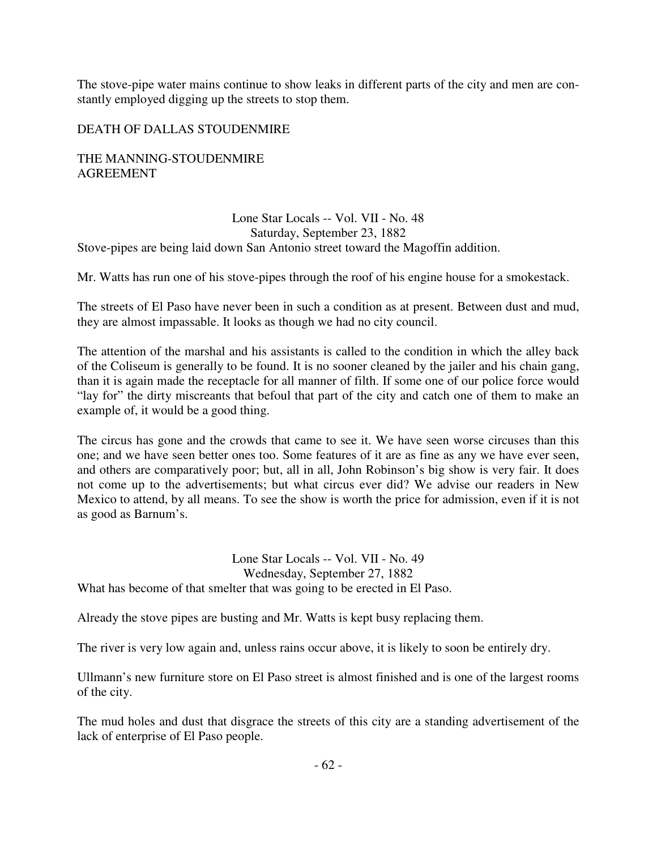The stove-pipe water mains continue to show leaks in different parts of the city and men are constantly employed digging up the streets to stop them.

## DEATH OF DALLAS STOUDENMIRE

THE MANNING-STOUDENMIRE AGREEMENT

### Lone Star Locals -- Vol. VII - No. 48 Saturday, September 23, 1882 Stove-pipes are being laid down San Antonio street toward the Magoffin addition.

Mr. Watts has run one of his stove-pipes through the roof of his engine house for a smokestack.

The streets of El Paso have never been in such a condition as at present. Between dust and mud, they are almost impassable. It looks as though we had no city council.

The attention of the marshal and his assistants is called to the condition in which the alley back of the Coliseum is generally to be found. It is no sooner cleaned by the jailer and his chain gang, than it is again made the receptacle for all manner of filth. If some one of our police force would "lay for" the dirty miscreants that befoul that part of the city and catch one of them to make an example of, it would be a good thing.

The circus has gone and the crowds that came to see it. We have seen worse circuses than this one; and we have seen better ones too. Some features of it are as fine as any we have ever seen, and others are comparatively poor; but, all in all, John Robinson's big show is very fair. It does not come up to the advertisements; but what circus ever did? We advise our readers in New Mexico to attend, by all means. To see the show is worth the price for admission, even if it is not as good as Barnum's.

Lone Star Locals -- Vol. VII - No. 49 Wednesday, September 27, 1882 What has become of that smelter that was going to be erected in El Paso.

Already the stove pipes are busting and Mr. Watts is kept busy replacing them.

The river is very low again and, unless rains occur above, it is likely to soon be entirely dry.

Ullmann's new furniture store on El Paso street is almost finished and is one of the largest rooms of the city.

The mud holes and dust that disgrace the streets of this city are a standing advertisement of the lack of enterprise of El Paso people.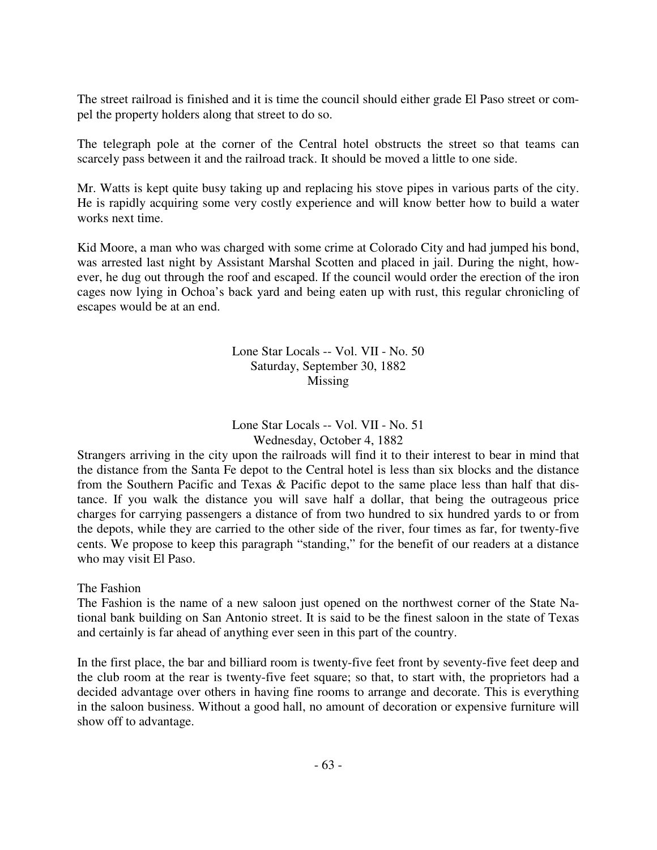The street railroad is finished and it is time the council should either grade El Paso street or compel the property holders along that street to do so.

The telegraph pole at the corner of the Central hotel obstructs the street so that teams can scarcely pass between it and the railroad track. It should be moved a little to one side.

Mr. Watts is kept quite busy taking up and replacing his stove pipes in various parts of the city. He is rapidly acquiring some very costly experience and will know better how to build a water works next time.

Kid Moore, a man who was charged with some crime at Colorado City and had jumped his bond, was arrested last night by Assistant Marshal Scotten and placed in jail. During the night, however, he dug out through the roof and escaped. If the council would order the erection of the iron cages now lying in Ochoa's back yard and being eaten up with rust, this regular chronicling of escapes would be at an end.

> Lone Star Locals -- Vol. VII - No. 50 Saturday, September 30, 1882 Missing

> Lone Star Locals -- Vol. VII - No. 51 Wednesday, October 4, 1882

Strangers arriving in the city upon the railroads will find it to their interest to bear in mind that the distance from the Santa Fe depot to the Central hotel is less than six blocks and the distance from the Southern Pacific and Texas & Pacific depot to the same place less than half that distance. If you walk the distance you will save half a dollar, that being the outrageous price charges for carrying passengers a distance of from two hundred to six hundred yards to or from the depots, while they are carried to the other side of the river, four times as far, for twenty-five cents. We propose to keep this paragraph "standing," for the benefit of our readers at a distance who may visit El Paso.

#### The Fashion

The Fashion is the name of a new saloon just opened on the northwest corner of the State National bank building on San Antonio street. It is said to be the finest saloon in the state of Texas and certainly is far ahead of anything ever seen in this part of the country.

In the first place, the bar and billiard room is twenty-five feet front by seventy-five feet deep and the club room at the rear is twenty-five feet square; so that, to start with, the proprietors had a decided advantage over others in having fine rooms to arrange and decorate. This is everything in the saloon business. Without a good hall, no amount of decoration or expensive furniture will show off to advantage.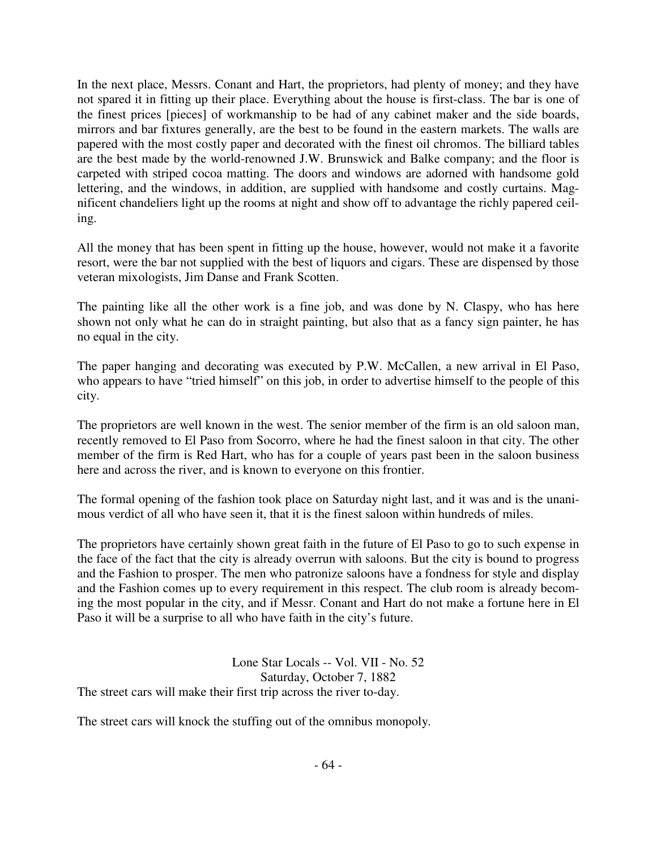In the next place, Messrs. Conant and Hart, the proprietors, had plenty of money; and they have not spared it in fitting up their place. Everything about the house is first-class. The bar is one of the finest prices [pieces] of workmanship to be had of any cabinet maker and the side boards, mirrors and bar fixtures generally, are the best to be found in the eastern markets. The walls are papered with the most costly paper and decorated with the finest oil chromos. The billiard tables are the best made by the world-renowned J.W. Brunswick and Balke company; and the floor is carpeted with striped cocoa matting. The doors and windows are adorned with handsome gold lettering, and the windows, in addition, are supplied with handsome and costly curtains. Magnificent chandeliers light up the rooms at night and show off to advantage the richly papered ceiling.

All the money that has been spent in fitting up the house, however, would not make it a favorite resort, were the bar not supplied with the best of liquors and cigars. These are dispensed by those veteran mixologists, Jim Danse and Frank Scotten.

The painting like all the other work is a fine job, and was done by N. Claspy, who has here shown not only what he can do in straight painting, but also that as a fancy sign painter, he has no equal in the city.

The paper hanging and decorating was executed by P.W. McCallen, a new arrival in El Paso, who appears to have "tried himself" on this job, in order to advertise himself to the people of this city.

The proprietors are well known in the west. The senior member of the firm is an old saloon man, recently removed to El Paso from Socorro, where he had the finest saloon in that city. The other member of the firm is Red Hart, who has for a couple of years past been in the saloon business here and across the river, and is known to everyone on this frontier.

The formal opening of the fashion took place on Saturday night last, and it was and is the unanimous verdict of all who have seen it, that it is the finest saloon within hundreds of miles.

The proprietors have certainly shown great faith in the future of El Paso to go to such expense in the face of the fact that the city is already overrun with saloons. But the city is bound to progress and the Fashion to prosper. The men who patronize saloons have a fondness for style and display and the Fashion comes up to every requirement in this respect. The club room is already becoming the most popular in the city, and if Messr. Conant and Hart do not make a fortune here in El Paso it will be a surprise to all who have faith in the city's future.

Lone Star Locals -- Vol. VII - No. 52 Saturday, October 7, 1882 The street cars will make their first trip across the river to-day.

The street cars will knock the stuffing out of the omnibus monopoly.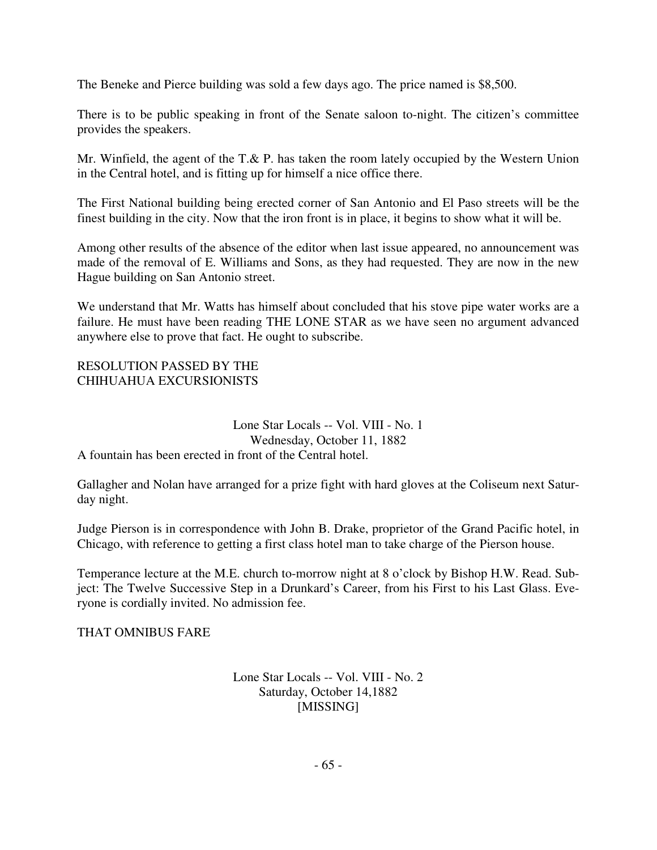The Beneke and Pierce building was sold a few days ago. The price named is \$8,500.

There is to be public speaking in front of the Senate saloon to-night. The citizen's committee provides the speakers.

Mr. Winfield, the agent of the T.& P. has taken the room lately occupied by the Western Union in the Central hotel, and is fitting up for himself a nice office there.

The First National building being erected corner of San Antonio and El Paso streets will be the finest building in the city. Now that the iron front is in place, it begins to show what it will be.

Among other results of the absence of the editor when last issue appeared, no announcement was made of the removal of E. Williams and Sons, as they had requested. They are now in the new Hague building on San Antonio street.

We understand that Mr. Watts has himself about concluded that his stove pipe water works are a failure. He must have been reading THE LONE STAR as we have seen no argument advanced anywhere else to prove that fact. He ought to subscribe.

### RESOLUTION PASSED BY THE CHIHUAHUA EXCURSIONISTS

#### Lone Star Locals -- Vol. VIII - No. 1 Wednesday, October 11, 1882 A fountain has been erected in front of the Central hotel.

Gallagher and Nolan have arranged for a prize fight with hard gloves at the Coliseum next Saturday night.

Judge Pierson is in correspondence with John B. Drake, proprietor of the Grand Pacific hotel, in Chicago, with reference to getting a first class hotel man to take charge of the Pierson house.

Temperance lecture at the M.E. church to-morrow night at 8 o'clock by Bishop H.W. Read. Subject: The Twelve Successive Step in a Drunkard's Career, from his First to his Last Glass. Everyone is cordially invited. No admission fee.

## THAT OMNIBUS FARE

### Lone Star Locals -- Vol. VIII - No. 2 Saturday, October 14,1882 [MISSING]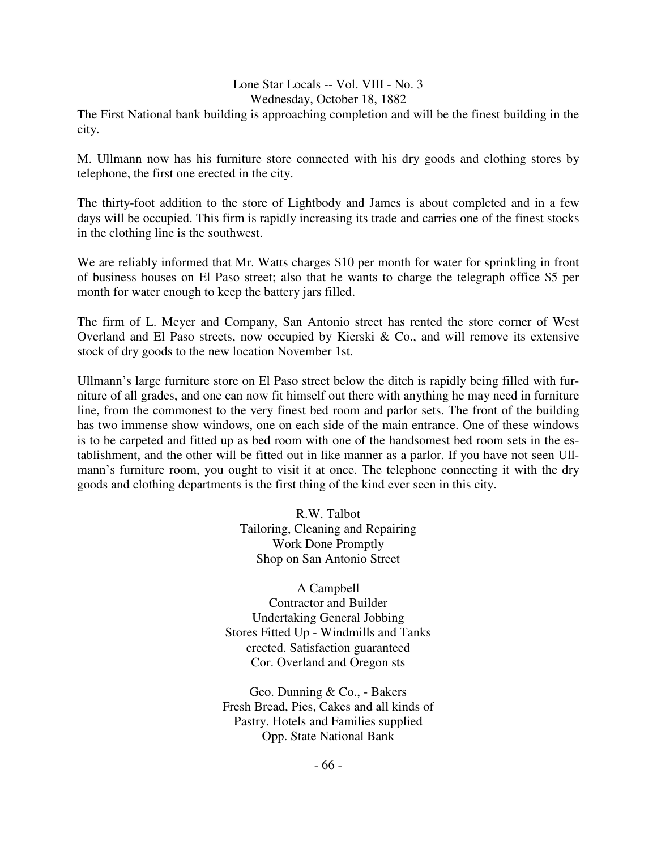#### Lone Star Locals -- Vol. VIII - No. 3 Wednesday, October 18, 1882

The First National bank building is approaching completion and will be the finest building in the city.

M. Ullmann now has his furniture store connected with his dry goods and clothing stores by telephone, the first one erected in the city.

The thirty-foot addition to the store of Lightbody and James is about completed and in a few days will be occupied. This firm is rapidly increasing its trade and carries one of the finest stocks in the clothing line is the southwest.

We are reliably informed that Mr. Watts charges \$10 per month for water for sprinkling in front of business houses on El Paso street; also that he wants to charge the telegraph office \$5 per month for water enough to keep the battery jars filled.

The firm of L. Meyer and Company, San Antonio street has rented the store corner of West Overland and El Paso streets, now occupied by Kierski & Co., and will remove its extensive stock of dry goods to the new location November 1st.

Ullmann's large furniture store on El Paso street below the ditch is rapidly being filled with furniture of all grades, and one can now fit himself out there with anything he may need in furniture line, from the commonest to the very finest bed room and parlor sets. The front of the building has two immense show windows, one on each side of the main entrance. One of these windows is to be carpeted and fitted up as bed room with one of the handsomest bed room sets in the establishment, and the other will be fitted out in like manner as a parlor. If you have not seen Ullmann's furniture room, you ought to visit it at once. The telephone connecting it with the dry goods and clothing departments is the first thing of the kind ever seen in this city.

> R.W. Talbot Tailoring, Cleaning and Repairing Work Done Promptly Shop on San Antonio Street

A Campbell Contractor and Builder Undertaking General Jobbing Stores Fitted Up - Windmills and Tanks erected. Satisfaction guaranteed Cor. Overland and Oregon sts

Geo. Dunning & Co., - Bakers Fresh Bread, Pies, Cakes and all kinds of Pastry. Hotels and Families supplied Opp. State National Bank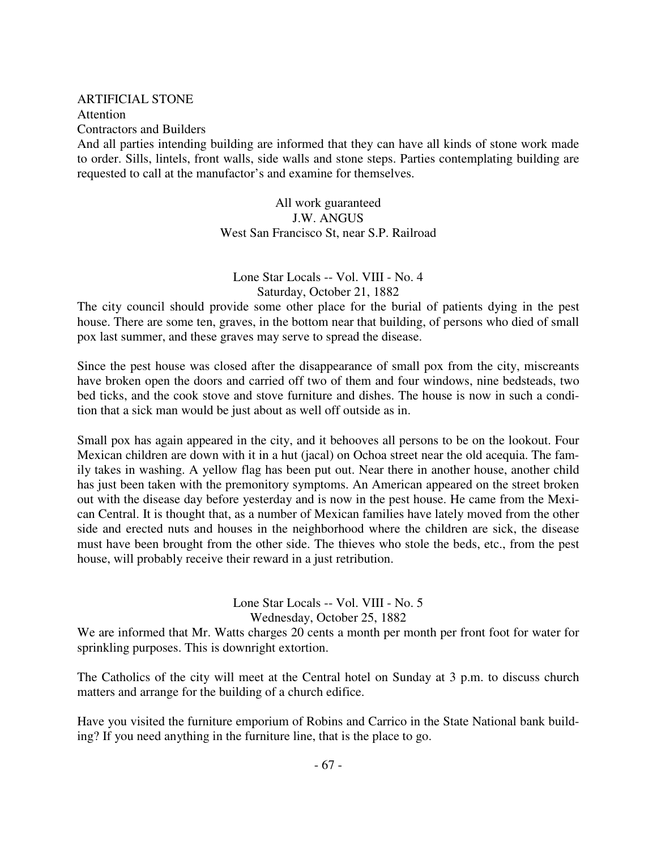# ARTIFICIAL STONE Attention

Contractors and Builders

And all parties intending building are informed that they can have all kinds of stone work made to order. Sills, lintels, front walls, side walls and stone steps. Parties contemplating building are requested to call at the manufactor's and examine for themselves.

> All work guaranteed J.W. ANGUS West San Francisco St, near S.P. Railroad

Lone Star Locals -- Vol. VIII - No. 4 Saturday, October 21, 1882

The city council should provide some other place for the burial of patients dying in the pest house. There are some ten, graves, in the bottom near that building, of persons who died of small pox last summer, and these graves may serve to spread the disease.

Since the pest house was closed after the disappearance of small pox from the city, miscreants have broken open the doors and carried off two of them and four windows, nine bedsteads, two bed ticks, and the cook stove and stove furniture and dishes. The house is now in such a condition that a sick man would be just about as well off outside as in.

Small pox has again appeared in the city, and it behooves all persons to be on the lookout. Four Mexican children are down with it in a hut (jacal) on Ochoa street near the old acequia. The family takes in washing. A yellow flag has been put out. Near there in another house, another child has just been taken with the premonitory symptoms. An American appeared on the street broken out with the disease day before yesterday and is now in the pest house. He came from the Mexican Central. It is thought that, as a number of Mexican families have lately moved from the other side and erected nuts and houses in the neighborhood where the children are sick, the disease must have been brought from the other side. The thieves who stole the beds, etc., from the pest house, will probably receive their reward in a just retribution.

Lone Star Locals -- Vol. VIII - No. 5

Wednesday, October 25, 1882

We are informed that Mr. Watts charges 20 cents a month per month per front foot for water for sprinkling purposes. This is downright extortion.

The Catholics of the city will meet at the Central hotel on Sunday at 3 p.m. to discuss church matters and arrange for the building of a church edifice.

Have you visited the furniture emporium of Robins and Carrico in the State National bank building? If you need anything in the furniture line, that is the place to go.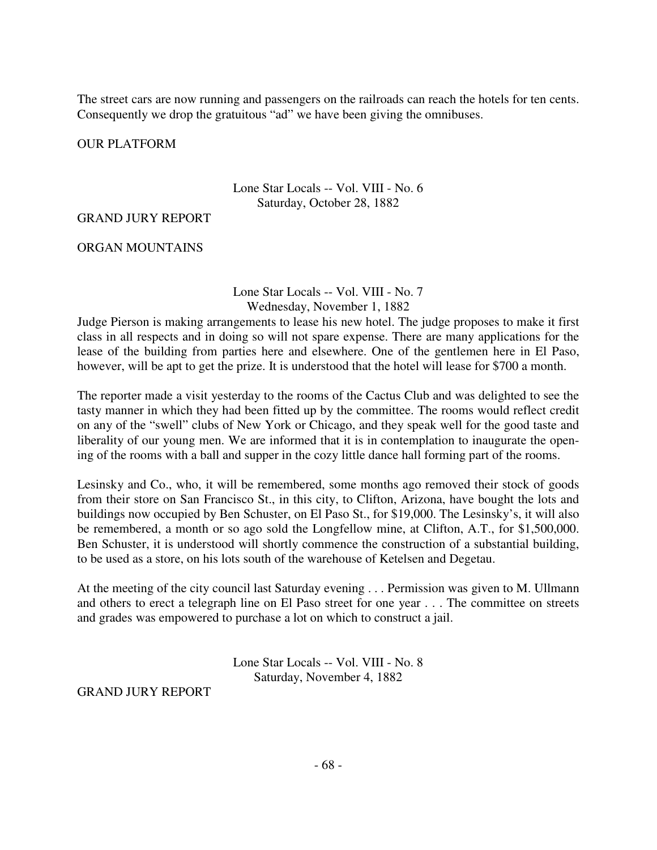The street cars are now running and passengers on the railroads can reach the hotels for ten cents. Consequently we drop the gratuitous "ad" we have been giving the omnibuses.

OUR PLATFORM

Lone Star Locals -- Vol. VIII - No. 6 Saturday, October 28, 1882

#### GRAND JURY REPORT

ORGAN MOUNTAINS

Lone Star Locals -- Vol. VIII - No. 7 Wednesday, November 1, 1882

Judge Pierson is making arrangements to lease his new hotel. The judge proposes to make it first class in all respects and in doing so will not spare expense. There are many applications for the lease of the building from parties here and elsewhere. One of the gentlemen here in El Paso, however, will be apt to get the prize. It is understood that the hotel will lease for \$700 a month.

The reporter made a visit yesterday to the rooms of the Cactus Club and was delighted to see the tasty manner in which they had been fitted up by the committee. The rooms would reflect credit on any of the "swell" clubs of New York or Chicago, and they speak well for the good taste and liberality of our young men. We are informed that it is in contemplation to inaugurate the opening of the rooms with a ball and supper in the cozy little dance hall forming part of the rooms.

Lesinsky and Co., who, it will be remembered, some months ago removed their stock of goods from their store on San Francisco St., in this city, to Clifton, Arizona, have bought the lots and buildings now occupied by Ben Schuster, on El Paso St., for \$19,000. The Lesinsky's, it will also be remembered, a month or so ago sold the Longfellow mine, at Clifton, A.T., for \$1,500,000. Ben Schuster, it is understood will shortly commence the construction of a substantial building, to be used as a store, on his lots south of the warehouse of Ketelsen and Degetau.

At the meeting of the city council last Saturday evening . . . Permission was given to M. Ullmann and others to erect a telegraph line on El Paso street for one year . . . The committee on streets and grades was empowered to purchase a lot on which to construct a jail.

> Lone Star Locals -- Vol. VIII - No. 8 Saturday, November 4, 1882

GRAND JURY REPORT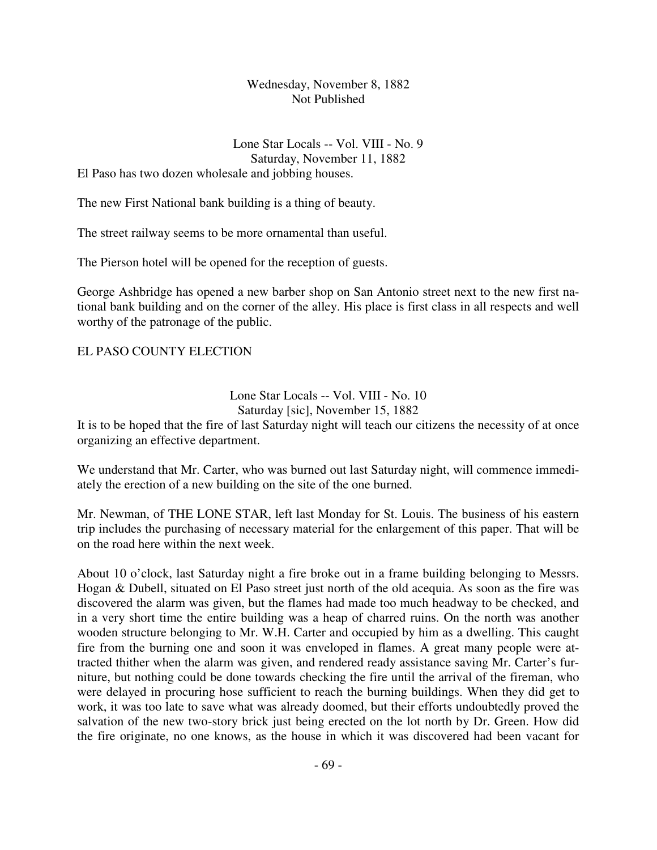## Wednesday, November 8, 1882 Not Published

Lone Star Locals -- Vol. VIII - No. 9 Saturday, November 11, 1882 El Paso has two dozen wholesale and jobbing houses.

The new First National bank building is a thing of beauty.

The street railway seems to be more ornamental than useful.

The Pierson hotel will be opened for the reception of guests.

George Ashbridge has opened a new barber shop on San Antonio street next to the new first national bank building and on the corner of the alley. His place is first class in all respects and well worthy of the patronage of the public.

### EL PASO COUNTY ELECTION

### Lone Star Locals -- Vol. VIII - No. 10 Saturday [sic], November 15, 1882

It is to be hoped that the fire of last Saturday night will teach our citizens the necessity of at once organizing an effective department.

We understand that Mr. Carter, who was burned out last Saturday night, will commence immediately the erection of a new building on the site of the one burned.

Mr. Newman, of THE LONE STAR, left last Monday for St. Louis. The business of his eastern trip includes the purchasing of necessary material for the enlargement of this paper. That will be on the road here within the next week.

About 10 o'clock, last Saturday night a fire broke out in a frame building belonging to Messrs. Hogan & Dubell, situated on El Paso street just north of the old acequia. As soon as the fire was discovered the alarm was given, but the flames had made too much headway to be checked, and in a very short time the entire building was a heap of charred ruins. On the north was another wooden structure belonging to Mr. W.H. Carter and occupied by him as a dwelling. This caught fire from the burning one and soon it was enveloped in flames. A great many people were attracted thither when the alarm was given, and rendered ready assistance saving Mr. Carter's furniture, but nothing could be done towards checking the fire until the arrival of the fireman, who were delayed in procuring hose sufficient to reach the burning buildings. When they did get to work, it was too late to save what was already doomed, but their efforts undoubtedly proved the salvation of the new two-story brick just being erected on the lot north by Dr. Green. How did the fire originate, no one knows, as the house in which it was discovered had been vacant for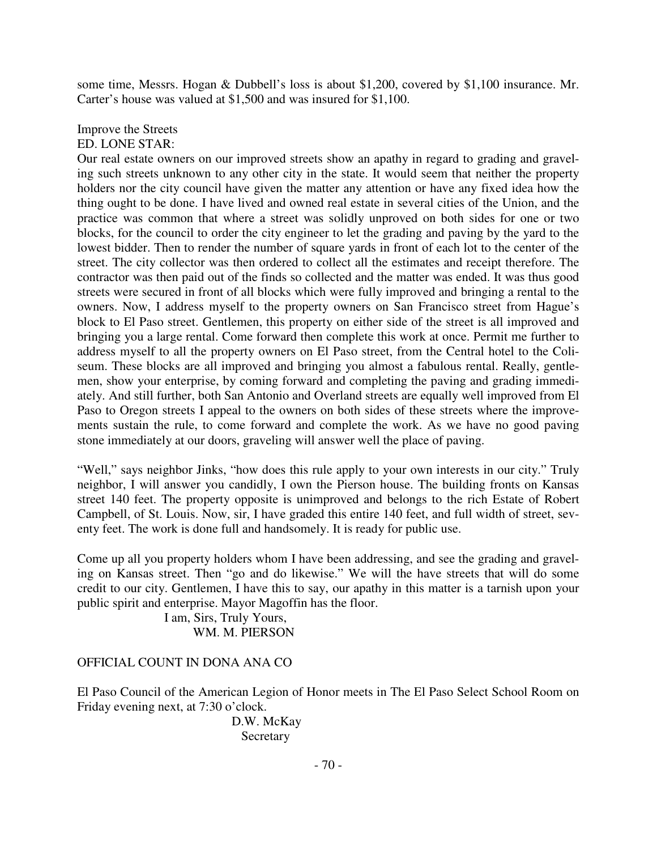some time, Messrs. Hogan & Dubbell's loss is about \$1,200, covered by \$1,100 insurance. Mr. Carter's house was valued at \$1,500 and was insured for \$1,100.

#### Improve the Streets ED. LONE STAR:

Our real estate owners on our improved streets show an apathy in regard to grading and graveling such streets unknown to any other city in the state. It would seem that neither the property holders nor the city council have given the matter any attention or have any fixed idea how the thing ought to be done. I have lived and owned real estate in several cities of the Union, and the practice was common that where a street was solidly unproved on both sides for one or two blocks, for the council to order the city engineer to let the grading and paving by the yard to the lowest bidder. Then to render the number of square yards in front of each lot to the center of the street. The city collector was then ordered to collect all the estimates and receipt therefore. The contractor was then paid out of the finds so collected and the matter was ended. It was thus good streets were secured in front of all blocks which were fully improved and bringing a rental to the owners. Now, I address myself to the property owners on San Francisco street from Hague's block to El Paso street. Gentlemen, this property on either side of the street is all improved and bringing you a large rental. Come forward then complete this work at once. Permit me further to address myself to all the property owners on El Paso street, from the Central hotel to the Coliseum. These blocks are all improved and bringing you almost a fabulous rental. Really, gentlemen, show your enterprise, by coming forward and completing the paving and grading immediately. And still further, both San Antonio and Overland streets are equally well improved from El Paso to Oregon streets I appeal to the owners on both sides of these streets where the improvements sustain the rule, to come forward and complete the work. As we have no good paving stone immediately at our doors, graveling will answer well the place of paving.

"Well," says neighbor Jinks, "how does this rule apply to your own interests in our city." Truly neighbor, I will answer you candidly, I own the Pierson house. The building fronts on Kansas street 140 feet. The property opposite is unimproved and belongs to the rich Estate of Robert Campbell, of St. Louis. Now, sir, I have graded this entire 140 feet, and full width of street, seventy feet. The work is done full and handsomely. It is ready for public use.

Come up all you property holders whom I have been addressing, and see the grading and graveling on Kansas street. Then "go and do likewise." We will the have streets that will do some credit to our city. Gentlemen, I have this to say, our apathy in this matter is a tarnish upon your public spirit and enterprise. Mayor Magoffin has the floor.

> I am, Sirs, Truly Yours, WM. M. PIERSON

## OFFICIAL COUNT IN DONA ANA CO

El Paso Council of the American Legion of Honor meets in The El Paso Select School Room on Friday evening next, at 7:30 o'clock.

> D.W. McKay **Secretary**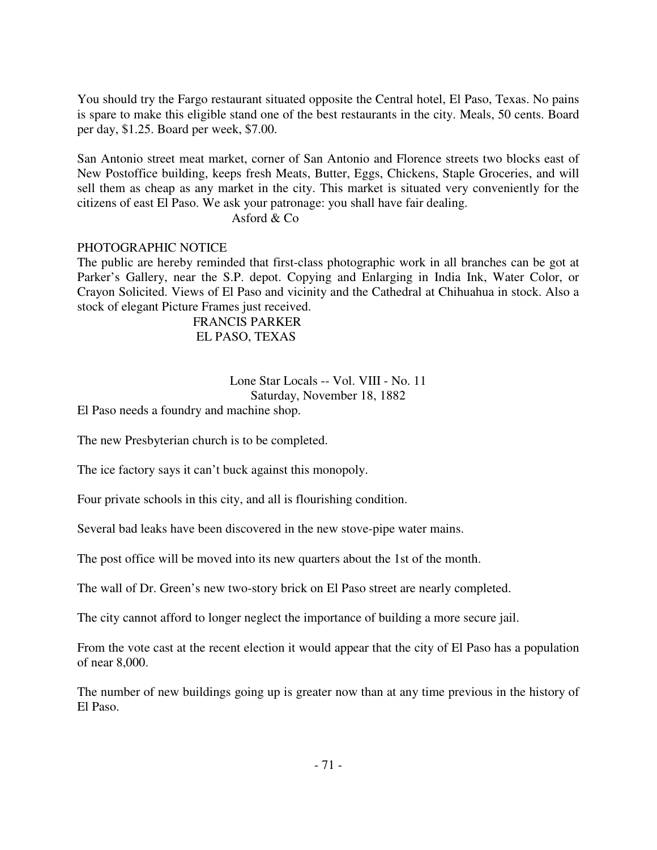You should try the Fargo restaurant situated opposite the Central hotel, El Paso, Texas. No pains is spare to make this eligible stand one of the best restaurants in the city. Meals, 50 cents. Board per day, \$1.25. Board per week, \$7.00.

San Antonio street meat market, corner of San Antonio and Florence streets two blocks east of New Postoffice building, keeps fresh Meats, Butter, Eggs, Chickens, Staple Groceries, and will sell them as cheap as any market in the city. This market is situated very conveniently for the citizens of east El Paso. We ask your patronage: you shall have fair dealing.

Asford & Co

### PHOTOGRAPHIC NOTICE

The public are hereby reminded that first-class photographic work in all branches can be got at Parker's Gallery, near the S.P. depot. Copying and Enlarging in India Ink, Water Color, or Crayon Solicited. Views of El Paso and vicinity and the Cathedral at Chihuahua in stock. Also a stock of elegant Picture Frames just received.

> FRANCIS PARKER EL PASO, TEXAS

#### Lone Star Locals -- Vol. VIII - No. 11 Saturday, November 18, 1882

El Paso needs a foundry and machine shop.

The new Presbyterian church is to be completed.

The ice factory says it can't buck against this monopoly.

Four private schools in this city, and all is flourishing condition.

Several bad leaks have been discovered in the new stove-pipe water mains.

The post office will be moved into its new quarters about the 1st of the month.

The wall of Dr. Green's new two-story brick on El Paso street are nearly completed.

The city cannot afford to longer neglect the importance of building a more secure jail.

From the vote cast at the recent election it would appear that the city of El Paso has a population of near 8,000.

The number of new buildings going up is greater now than at any time previous in the history of El Paso.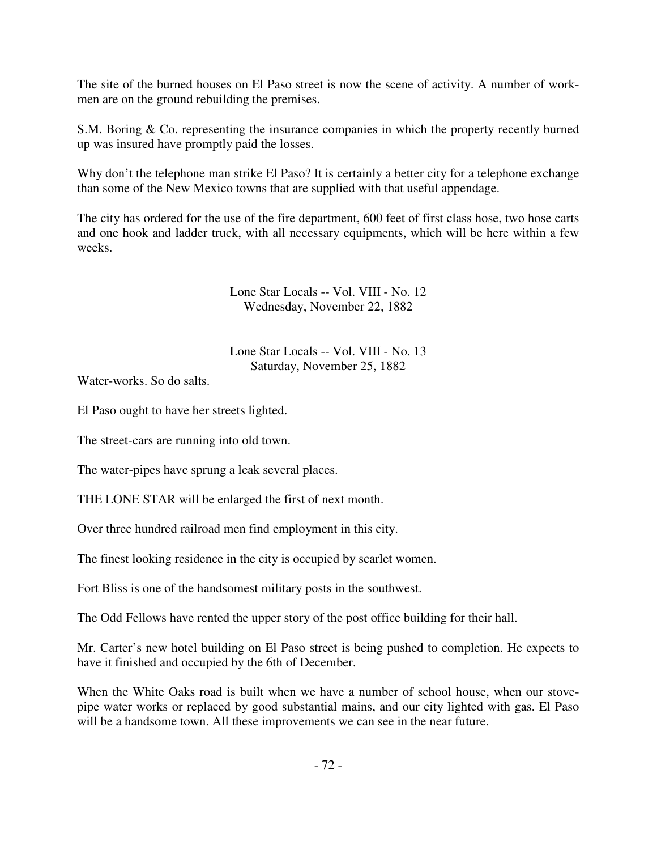The site of the burned houses on El Paso street is now the scene of activity. A number of workmen are on the ground rebuilding the premises.

S.M. Boring & Co. representing the insurance companies in which the property recently burned up was insured have promptly paid the losses.

Why don't the telephone man strike El Paso? It is certainly a better city for a telephone exchange than some of the New Mexico towns that are supplied with that useful appendage.

The city has ordered for the use of the fire department, 600 feet of first class hose, two hose carts and one hook and ladder truck, with all necessary equipments, which will be here within a few weeks.

> Lone Star Locals -- Vol. VIII - No. 12 Wednesday, November 22, 1882

> Lone Star Locals -- Vol. VIII - No. 13 Saturday, November 25, 1882

Water-works. So do salts.

El Paso ought to have her streets lighted.

The street-cars are running into old town.

The water-pipes have sprung a leak several places.

THE LONE STAR will be enlarged the first of next month.

Over three hundred railroad men find employment in this city.

The finest looking residence in the city is occupied by scarlet women.

Fort Bliss is one of the handsomest military posts in the southwest.

The Odd Fellows have rented the upper story of the post office building for their hall.

Mr. Carter's new hotel building on El Paso street is being pushed to completion. He expects to have it finished and occupied by the 6th of December.

When the White Oaks road is built when we have a number of school house, when our stovepipe water works or replaced by good substantial mains, and our city lighted with gas. El Paso will be a handsome town. All these improvements we can see in the near future.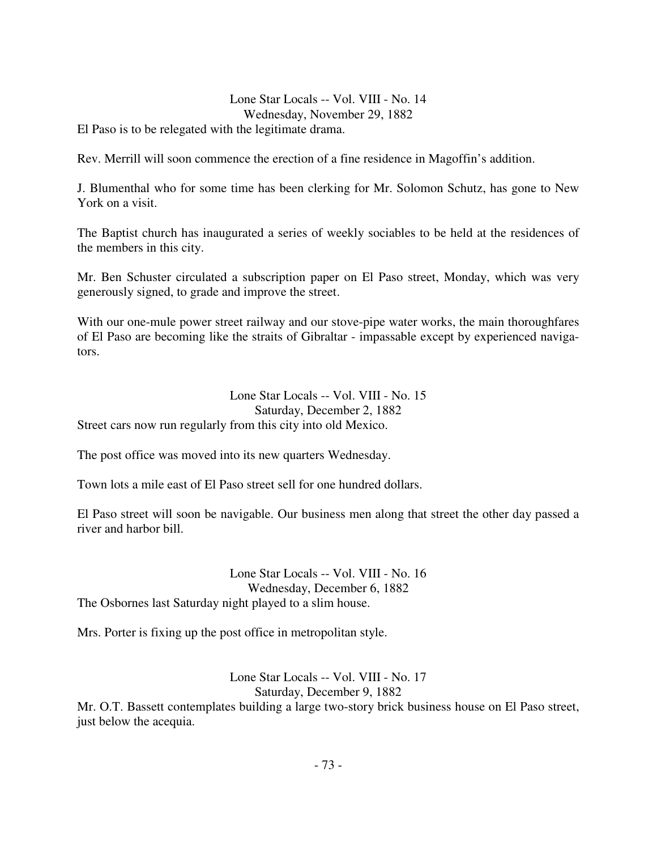Lone Star Locals -- Vol. VIII - No. 14 Wednesday, November 29, 1882

El Paso is to be relegated with the legitimate drama.

Rev. Merrill will soon commence the erection of a fine residence in Magoffin's addition.

J. Blumenthal who for some time has been clerking for Mr. Solomon Schutz, has gone to New York on a visit.

The Baptist church has inaugurated a series of weekly sociables to be held at the residences of the members in this city.

Mr. Ben Schuster circulated a subscription paper on El Paso street, Monday, which was very generously signed, to grade and improve the street.

With our one-mule power street railway and our stove-pipe water works, the main thoroughfares of El Paso are becoming like the straits of Gibraltar - impassable except by experienced navigators.

Lone Star Locals -- Vol. VIII - No. 15 Saturday, December 2, 1882 Street cars now run regularly from this city into old Mexico.

The post office was moved into its new quarters Wednesday.

Town lots a mile east of El Paso street sell for one hundred dollars.

El Paso street will soon be navigable. Our business men along that street the other day passed a river and harbor bill.

Lone Star Locals -- Vol. VIII - No. 16 Wednesday, December 6, 1882 The Osbornes last Saturday night played to a slim house.

Mrs. Porter is fixing up the post office in metropolitan style.

Lone Star Locals -- Vol. VIII - No. 17 Saturday, December 9, 1882 Mr. O.T. Bassett contemplates building a large two-story brick business house on El Paso street, just below the acequia.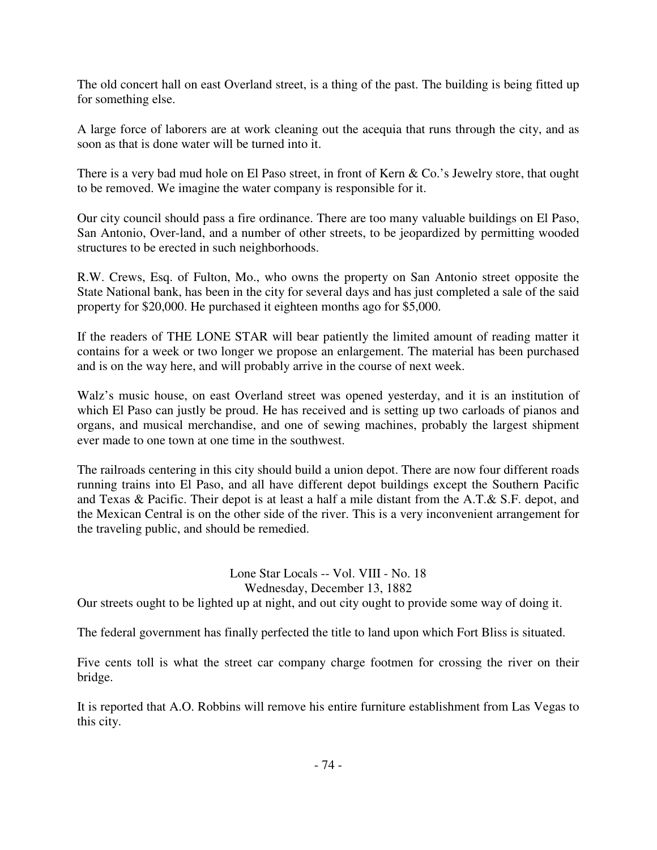The old concert hall on east Overland street, is a thing of the past. The building is being fitted up for something else.

A large force of laborers are at work cleaning out the acequia that runs through the city, and as soon as that is done water will be turned into it.

There is a very bad mud hole on El Paso street, in front of Kern & Co.'s Jewelry store, that ought to be removed. We imagine the water company is responsible for it.

Our city council should pass a fire ordinance. There are too many valuable buildings on El Paso, San Antonio, Over-land, and a number of other streets, to be jeopardized by permitting wooded structures to be erected in such neighborhoods.

R.W. Crews, Esq. of Fulton, Mo., who owns the property on San Antonio street opposite the State National bank, has been in the city for several days and has just completed a sale of the said property for \$20,000. He purchased it eighteen months ago for \$5,000.

If the readers of THE LONE STAR will bear patiently the limited amount of reading matter it contains for a week or two longer we propose an enlargement. The material has been purchased and is on the way here, and will probably arrive in the course of next week.

Walz's music house, on east Overland street was opened yesterday, and it is an institution of which El Paso can justly be proud. He has received and is setting up two carloads of pianos and organs, and musical merchandise, and one of sewing machines, probably the largest shipment ever made to one town at one time in the southwest.

The railroads centering in this city should build a union depot. There are now four different roads running trains into El Paso, and all have different depot buildings except the Southern Pacific and Texas & Pacific. Their depot is at least a half a mile distant from the A.T.& S.F. depot, and the Mexican Central is on the other side of the river. This is a very inconvenient arrangement for the traveling public, and should be remedied.

## Lone Star Locals -- Vol. VIII - No. 18 Wednesday, December 13, 1882

Our streets ought to be lighted up at night, and out city ought to provide some way of doing it.

The federal government has finally perfected the title to land upon which Fort Bliss is situated.

Five cents toll is what the street car company charge footmen for crossing the river on their bridge.

It is reported that A.O. Robbins will remove his entire furniture establishment from Las Vegas to this city.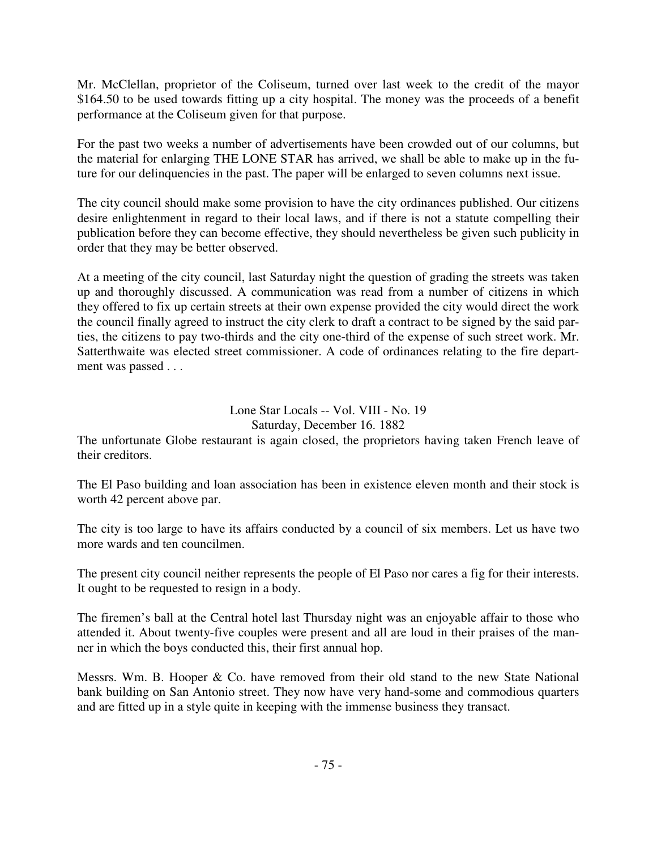Mr. McClellan, proprietor of the Coliseum, turned over last week to the credit of the mayor \$164.50 to be used towards fitting up a city hospital. The money was the proceeds of a benefit performance at the Coliseum given for that purpose.

For the past two weeks a number of advertisements have been crowded out of our columns, but the material for enlarging THE LONE STAR has arrived, we shall be able to make up in the future for our delinquencies in the past. The paper will be enlarged to seven columns next issue.

The city council should make some provision to have the city ordinances published. Our citizens desire enlightenment in regard to their local laws, and if there is not a statute compelling their publication before they can become effective, they should nevertheless be given such publicity in order that they may be better observed.

At a meeting of the city council, last Saturday night the question of grading the streets was taken up and thoroughly discussed. A communication was read from a number of citizens in which they offered to fix up certain streets at their own expense provided the city would direct the work the council finally agreed to instruct the city clerk to draft a contract to be signed by the said parties, the citizens to pay two-thirds and the city one-third of the expense of such street work. Mr. Satterthwaite was elected street commissioner. A code of ordinances relating to the fire department was passed . . .

> Lone Star Locals -- Vol. VIII - No. 19 Saturday, December 16. 1882

The unfortunate Globe restaurant is again closed, the proprietors having taken French leave of their creditors.

The El Paso building and loan association has been in existence eleven month and their stock is worth 42 percent above par.

The city is too large to have its affairs conducted by a council of six members. Let us have two more wards and ten councilmen.

The present city council neither represents the people of El Paso nor cares a fig for their interests. It ought to be requested to resign in a body.

The firemen's ball at the Central hotel last Thursday night was an enjoyable affair to those who attended it. About twenty-five couples were present and all are loud in their praises of the manner in which the boys conducted this, their first annual hop.

Messrs. Wm. B. Hooper & Co. have removed from their old stand to the new State National bank building on San Antonio street. They now have very hand-some and commodious quarters and are fitted up in a style quite in keeping with the immense business they transact.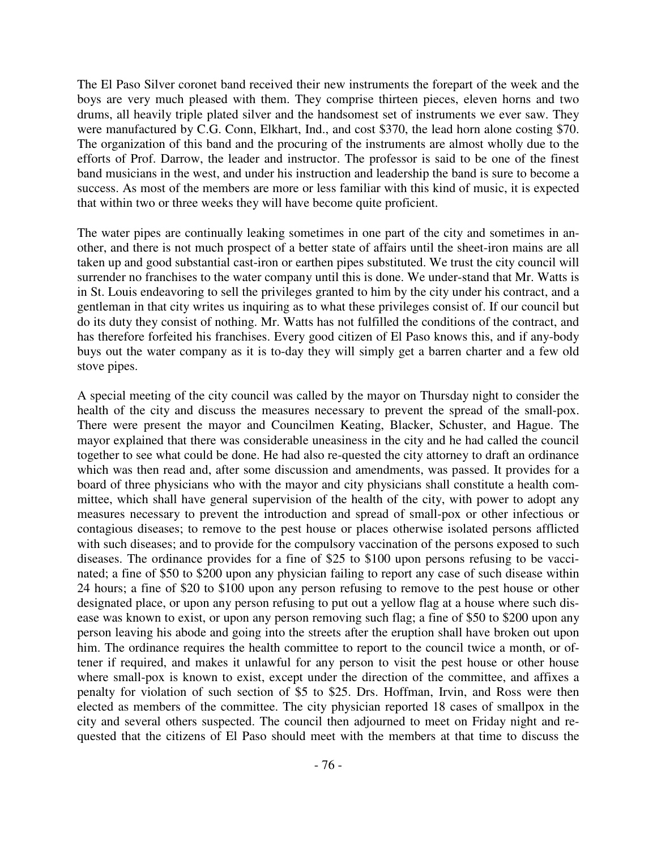The El Paso Silver coronet band received their new instruments the forepart of the week and the boys are very much pleased with them. They comprise thirteen pieces, eleven horns and two drums, all heavily triple plated silver and the handsomest set of instruments we ever saw. They were manufactured by C.G. Conn, Elkhart, Ind., and cost \$370, the lead horn alone costing \$70. The organization of this band and the procuring of the instruments are almost wholly due to the efforts of Prof. Darrow, the leader and instructor. The professor is said to be one of the finest band musicians in the west, and under his instruction and leadership the band is sure to become a success. As most of the members are more or less familiar with this kind of music, it is expected that within two or three weeks they will have become quite proficient.

The water pipes are continually leaking sometimes in one part of the city and sometimes in another, and there is not much prospect of a better state of affairs until the sheet-iron mains are all taken up and good substantial cast-iron or earthen pipes substituted. We trust the city council will surrender no franchises to the water company until this is done. We under-stand that Mr. Watts is in St. Louis endeavoring to sell the privileges granted to him by the city under his contract, and a gentleman in that city writes us inquiring as to what these privileges consist of. If our council but do its duty they consist of nothing. Mr. Watts has not fulfilled the conditions of the contract, and has therefore forfeited his franchises. Every good citizen of El Paso knows this, and if any-body buys out the water company as it is to-day they will simply get a barren charter and a few old stove pipes.

A special meeting of the city council was called by the mayor on Thursday night to consider the health of the city and discuss the measures necessary to prevent the spread of the small-pox. There were present the mayor and Councilmen Keating, Blacker, Schuster, and Hague. The mayor explained that there was considerable uneasiness in the city and he had called the council together to see what could be done. He had also re-quested the city attorney to draft an ordinance which was then read and, after some discussion and amendments, was passed. It provides for a board of three physicians who with the mayor and city physicians shall constitute a health committee, which shall have general supervision of the health of the city, with power to adopt any measures necessary to prevent the introduction and spread of small-pox or other infectious or contagious diseases; to remove to the pest house or places otherwise isolated persons afflicted with such diseases; and to provide for the compulsory vaccination of the persons exposed to such diseases. The ordinance provides for a fine of \$25 to \$100 upon persons refusing to be vaccinated; a fine of \$50 to \$200 upon any physician failing to report any case of such disease within 24 hours; a fine of \$20 to \$100 upon any person refusing to remove to the pest house or other designated place, or upon any person refusing to put out a yellow flag at a house where such disease was known to exist, or upon any person removing such flag; a fine of \$50 to \$200 upon any person leaving his abode and going into the streets after the eruption shall have broken out upon him. The ordinance requires the health committee to report to the council twice a month, or oftener if required, and makes it unlawful for any person to visit the pest house or other house where small-pox is known to exist, except under the direction of the committee, and affixes a penalty for violation of such section of \$5 to \$25. Drs. Hoffman, Irvin, and Ross were then elected as members of the committee. The city physician reported 18 cases of smallpox in the city and several others suspected. The council then adjourned to meet on Friday night and requested that the citizens of El Paso should meet with the members at that time to discuss the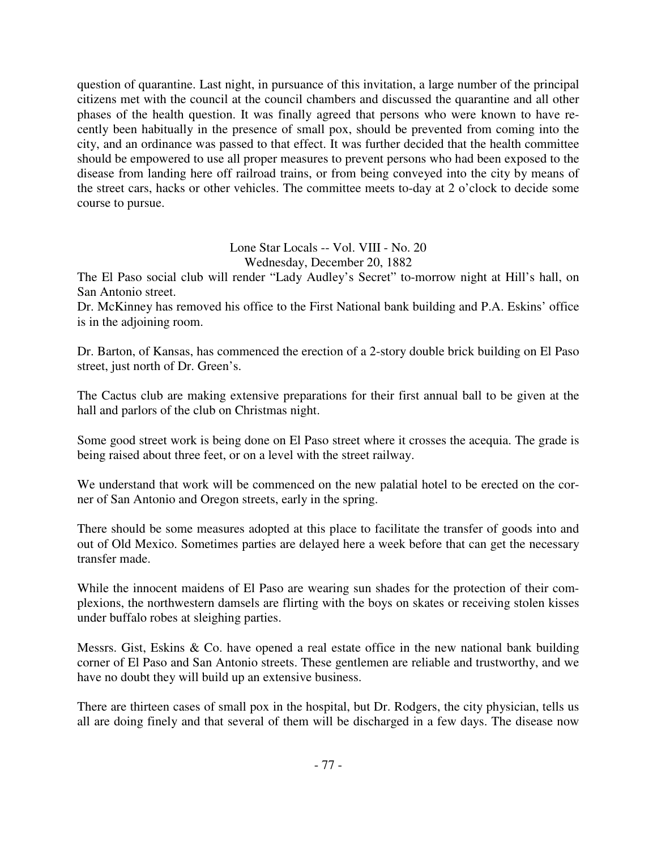question of quarantine. Last night, in pursuance of this invitation, a large number of the principal citizens met with the council at the council chambers and discussed the quarantine and all other phases of the health question. It was finally agreed that persons who were known to have recently been habitually in the presence of small pox, should be prevented from coming into the city, and an ordinance was passed to that effect. It was further decided that the health committee should be empowered to use all proper measures to prevent persons who had been exposed to the disease from landing here off railroad trains, or from being conveyed into the city by means of the street cars, hacks or other vehicles. The committee meets to-day at 2 o'clock to decide some course to pursue.

> Lone Star Locals -- Vol. VIII - No. 20 Wednesday, December 20, 1882

The El Paso social club will render "Lady Audley's Secret" to-morrow night at Hill's hall, on San Antonio street.

Dr. McKinney has removed his office to the First National bank building and P.A. Eskins' office is in the adjoining room.

Dr. Barton, of Kansas, has commenced the erection of a 2-story double brick building on El Paso street, just north of Dr. Green's.

The Cactus club are making extensive preparations for their first annual ball to be given at the hall and parlors of the club on Christmas night.

Some good street work is being done on El Paso street where it crosses the acequia. The grade is being raised about three feet, or on a level with the street railway.

We understand that work will be commenced on the new palatial hotel to be erected on the corner of San Antonio and Oregon streets, early in the spring.

There should be some measures adopted at this place to facilitate the transfer of goods into and out of Old Mexico. Sometimes parties are delayed here a week before that can get the necessary transfer made.

While the innocent maidens of El Paso are wearing sun shades for the protection of their complexions, the northwestern damsels are flirting with the boys on skates or receiving stolen kisses under buffalo robes at sleighing parties.

Messrs. Gist, Eskins  $\&$  Co. have opened a real estate office in the new national bank building corner of El Paso and San Antonio streets. These gentlemen are reliable and trustworthy, and we have no doubt they will build up an extensive business.

There are thirteen cases of small pox in the hospital, but Dr. Rodgers, the city physician, tells us all are doing finely and that several of them will be discharged in a few days. The disease now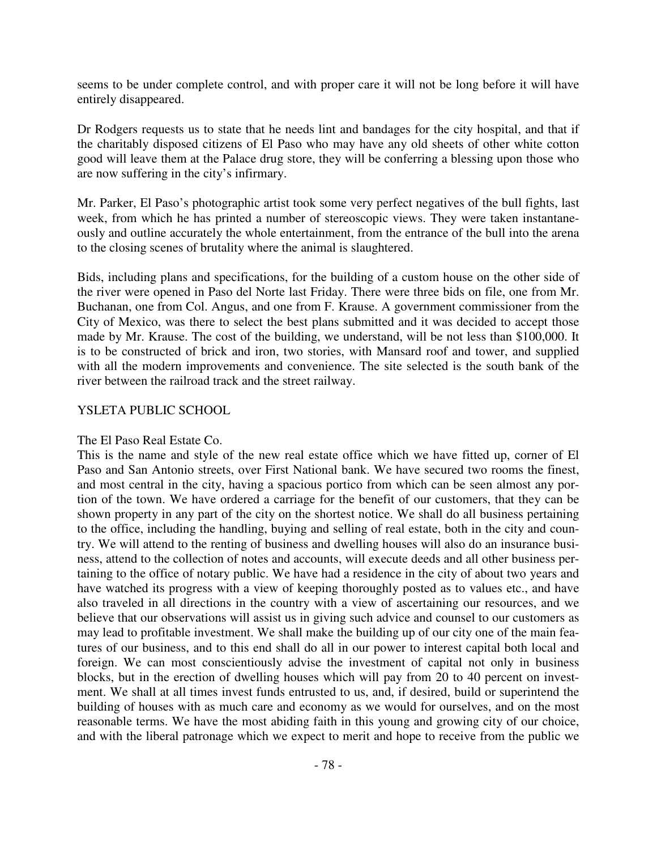seems to be under complete control, and with proper care it will not be long before it will have entirely disappeared.

Dr Rodgers requests us to state that he needs lint and bandages for the city hospital, and that if the charitably disposed citizens of El Paso who may have any old sheets of other white cotton good will leave them at the Palace drug store, they will be conferring a blessing upon those who are now suffering in the city's infirmary.

Mr. Parker, El Paso's photographic artist took some very perfect negatives of the bull fights, last week, from which he has printed a number of stereoscopic views. They were taken instantaneously and outline accurately the whole entertainment, from the entrance of the bull into the arena to the closing scenes of brutality where the animal is slaughtered.

Bids, including plans and specifications, for the building of a custom house on the other side of the river were opened in Paso del Norte last Friday. There were three bids on file, one from Mr. Buchanan, one from Col. Angus, and one from F. Krause. A government commissioner from the City of Mexico, was there to select the best plans submitted and it was decided to accept those made by Mr. Krause. The cost of the building, we understand, will be not less than \$100,000. It is to be constructed of brick and iron, two stories, with Mansard roof and tower, and supplied with all the modern improvements and convenience. The site selected is the south bank of the river between the railroad track and the street railway.

## YSLETA PUBLIC SCHOOL

## The El Paso Real Estate Co.

This is the name and style of the new real estate office which we have fitted up, corner of El Paso and San Antonio streets, over First National bank. We have secured two rooms the finest, and most central in the city, having a spacious portico from which can be seen almost any portion of the town. We have ordered a carriage for the benefit of our customers, that they can be shown property in any part of the city on the shortest notice. We shall do all business pertaining to the office, including the handling, buying and selling of real estate, both in the city and country. We will attend to the renting of business and dwelling houses will also do an insurance business, attend to the collection of notes and accounts, will execute deeds and all other business pertaining to the office of notary public. We have had a residence in the city of about two years and have watched its progress with a view of keeping thoroughly posted as to values etc., and have also traveled in all directions in the country with a view of ascertaining our resources, and we believe that our observations will assist us in giving such advice and counsel to our customers as may lead to profitable investment. We shall make the building up of our city one of the main features of our business, and to this end shall do all in our power to interest capital both local and foreign. We can most conscientiously advise the investment of capital not only in business blocks, but in the erection of dwelling houses which will pay from 20 to 40 percent on investment. We shall at all times invest funds entrusted to us, and, if desired, build or superintend the building of houses with as much care and economy as we would for ourselves, and on the most reasonable terms. We have the most abiding faith in this young and growing city of our choice, and with the liberal patronage which we expect to merit and hope to receive from the public we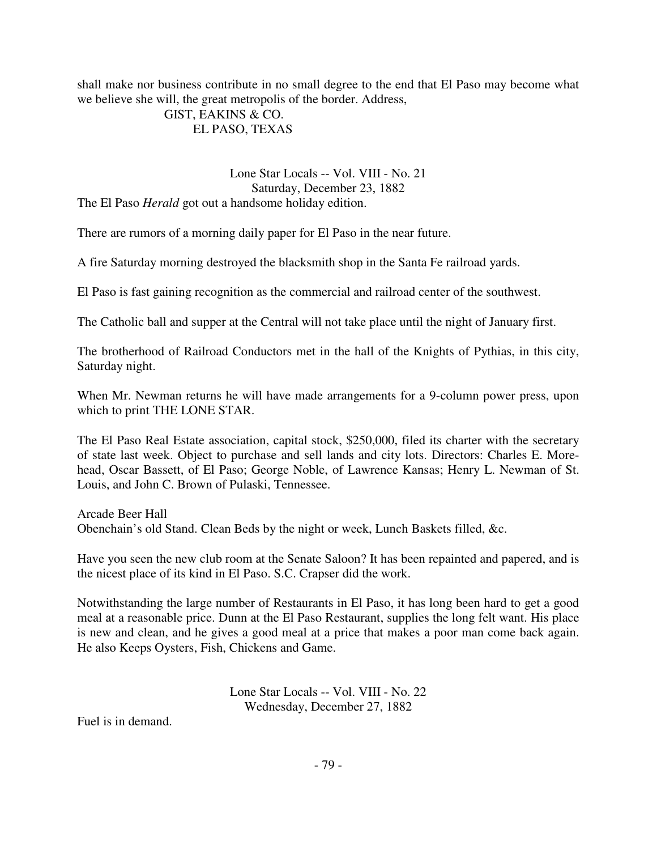shall make nor business contribute in no small degree to the end that El Paso may become what we believe she will, the great metropolis of the border. Address,

## GIST, EAKINS & CO. EL PASO, TEXAS

Lone Star Locals -- Vol. VIII - No. 21 Saturday, December 23, 1882 The El Paso *Herald* got out a handsome holiday edition.

There are rumors of a morning daily paper for El Paso in the near future.

A fire Saturday morning destroyed the blacksmith shop in the Santa Fe railroad yards.

El Paso is fast gaining recognition as the commercial and railroad center of the southwest.

The Catholic ball and supper at the Central will not take place until the night of January first.

The brotherhood of Railroad Conductors met in the hall of the Knights of Pythias, in this city, Saturday night.

When Mr. Newman returns he will have made arrangements for a 9-column power press, upon which to print THE LONE STAR.

The El Paso Real Estate association, capital stock, \$250,000, filed its charter with the secretary of state last week. Object to purchase and sell lands and city lots. Directors: Charles E. Morehead, Oscar Bassett, of El Paso; George Noble, of Lawrence Kansas; Henry L. Newman of St. Louis, and John C. Brown of Pulaski, Tennessee.

Arcade Beer Hall Obenchain's old Stand. Clean Beds by the night or week, Lunch Baskets filled, &c.

Have you seen the new club room at the Senate Saloon? It has been repainted and papered, and is the nicest place of its kind in El Paso. S.C. Crapser did the work.

Notwithstanding the large number of Restaurants in El Paso, it has long been hard to get a good meal at a reasonable price. Dunn at the El Paso Restaurant, supplies the long felt want. His place is new and clean, and he gives a good meal at a price that makes a poor man come back again. He also Keeps Oysters, Fish, Chickens and Game.

> Lone Star Locals -- Vol. VIII - No. 22 Wednesday, December 27, 1882

Fuel is in demand.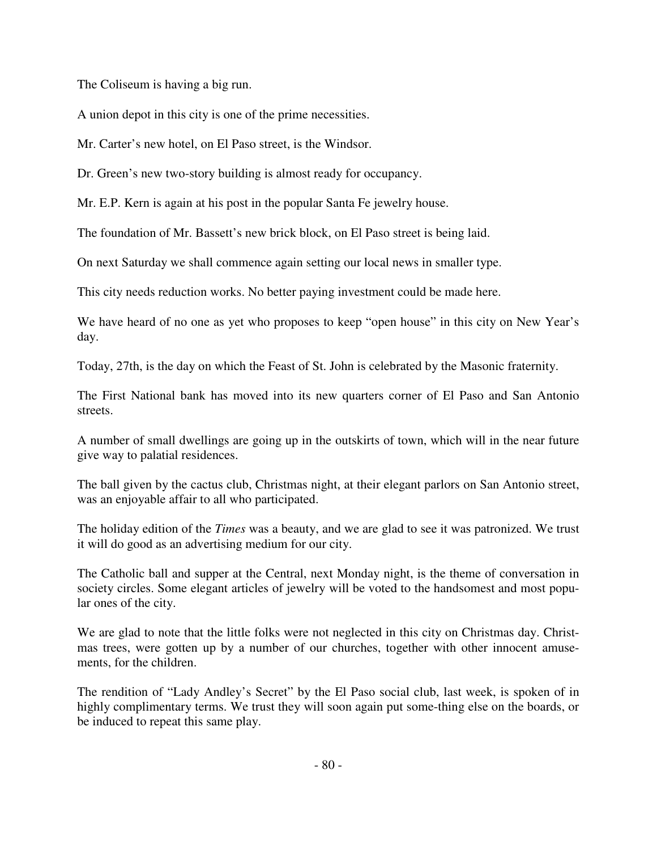The Coliseum is having a big run.

A union depot in this city is one of the prime necessities.

Mr. Carter's new hotel, on El Paso street, is the Windsor.

Dr. Green's new two-story building is almost ready for occupancy.

Mr. E.P. Kern is again at his post in the popular Santa Fe jewelry house.

The foundation of Mr. Bassett's new brick block, on El Paso street is being laid.

On next Saturday we shall commence again setting our local news in smaller type.

This city needs reduction works. No better paying investment could be made here.

We have heard of no one as yet who proposes to keep "open house" in this city on New Year's day.

Today, 27th, is the day on which the Feast of St. John is celebrated by the Masonic fraternity.

The First National bank has moved into its new quarters corner of El Paso and San Antonio streets.

A number of small dwellings are going up in the outskirts of town, which will in the near future give way to palatial residences.

The ball given by the cactus club, Christmas night, at their elegant parlors on San Antonio street, was an enjoyable affair to all who participated.

The holiday edition of the *Times* was a beauty, and we are glad to see it was patronized. We trust it will do good as an advertising medium for our city.

The Catholic ball and supper at the Central, next Monday night, is the theme of conversation in society circles. Some elegant articles of jewelry will be voted to the handsomest and most popular ones of the city.

We are glad to note that the little folks were not neglected in this city on Christmas day. Christmas trees, were gotten up by a number of our churches, together with other innocent amusements, for the children.

The rendition of "Lady Andley's Secret" by the El Paso social club, last week, is spoken of in highly complimentary terms. We trust they will soon again put some-thing else on the boards, or be induced to repeat this same play.